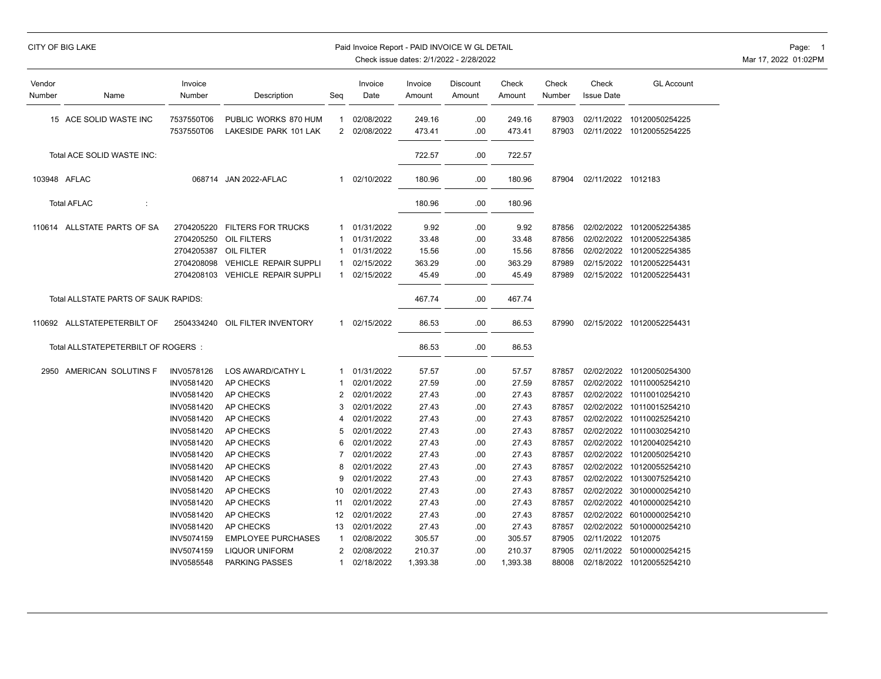| CITY OF BIG LAKE |  |  |
|------------------|--|--|
|------------------|--|--|

### Paid Invoice Report - PAID INVOICE W GL DETAIL **Page: 1** Page: 1

| Vendor<br>Number                     | Name                                | Invoice<br>Number        | Description                                   | Seq                 | Invoice<br>Date          | Invoice<br>Amount | Discount<br>Amount | Check<br>Amount  | Check<br>Number | Check<br><b>Issue Date</b> | <b>GL Account</b>                |
|--------------------------------------|-------------------------------------|--------------------------|-----------------------------------------------|---------------------|--------------------------|-------------------|--------------------|------------------|-----------------|----------------------------|----------------------------------|
|                                      | 15 ACE SOLID WASTE INC              | 7537550T06<br>7537550T06 | PUBLIC WORKS 870 HUM<br>LAKESIDE PARK 101 LAK | 1<br>$\overline{2}$ | 02/08/2022<br>02/08/2022 | 249.16<br>473.41  | .00<br>.00         | 249.16<br>473.41 | 87903<br>87903  | 02/11/2022<br>02/11/2022   | 10120050254225<br>10120055254225 |
|                                      | Total ACE SOLID WASTE INC:          |                          |                                               |                     |                          | 722.57            | .00                | 722.57           |                 |                            |                                  |
| 103948 AFLAC                         |                                     |                          | 068714 JAN 2022-AFLAC                         | 1                   | 02/10/2022               | 180.96            | .00                | 180.96           | 87904           | 02/11/2022 1012183         |                                  |
|                                      | <b>Total AFLAC</b><br>÷             |                          |                                               |                     |                          | 180.96            | .00                | 180.96           |                 |                            |                                  |
|                                      | 110614 ALLSTATE PARTS OF SA         | 2704205220               | <b>FILTERS FOR TRUCKS</b>                     | 1                   | 01/31/2022               | 9.92              | .00                | 9.92             | 87856           | 02/02/2022                 | 10120052254385                   |
|                                      |                                     | 2704205250               | OIL FILTERS                                   | -1                  | 01/31/2022               | 33.48             | .00                | 33.48            | 87856           | 02/02/2022                 | 10120052254385                   |
|                                      |                                     | 2704205387               | OIL FILTER                                    |                     | 01/31/2022               | 15.56             | .00                | 15.56            | 87856           | 02/02/2022                 | 10120052254385                   |
|                                      |                                     | 2704208098               | <b>VEHICLE REPAIR SUPPLI</b>                  | -1                  | 02/15/2022               | 363.29            | .00                | 363.29           | 87989           | 02/15/2022                 | 10120052254431                   |
|                                      |                                     | 2704208103               | <b>VEHICLE REPAIR SUPPLI</b>                  | 1                   | 02/15/2022               | 45.49             | .00                | 45.49            | 87989           | 02/15/2022                 | 10120052254431                   |
| Total ALLSTATE PARTS OF SAUK RAPIDS: |                                     |                          |                                               |                     |                          | 467.74            | .00                | 467.74           |                 |                            |                                  |
|                                      | 110692 ALLSTATEPETERBILT OF         | 2504334240               | OIL FILTER INVENTORY                          | $\mathbf{1}$        | 02/15/2022               | 86.53             | .00                | 86.53            | 87990           |                            | 02/15/2022 10120052254431        |
|                                      | Total ALLSTATEPETERBILT OF ROGERS : |                          |                                               |                     |                          | 86.53             | .00                | 86.53            |                 |                            |                                  |
|                                      | 2950 AMERICAN SOLUTINS F            | <b>INV0578126</b>        | LOS AWARD/CATHY L                             | -1                  | 01/31/2022               | 57.57             | .00                | 57.57            | 87857           |                            | 02/02/2022 10120050254300        |
|                                      |                                     | INV0581420               | AP CHECKS                                     |                     | 02/01/2022               | 27.59             | .00                | 27.59            | 87857           |                            | 02/02/2022 10110005254210        |
|                                      |                                     | INV0581420               | AP CHECKS                                     | 2                   | 02/01/2022               | 27.43             | .00                | 27.43            | 87857           | 02/02/2022                 | 10110010254210                   |
|                                      |                                     | INV0581420               | AP CHECKS                                     | 3                   | 02/01/2022               | 27.43             | .00                | 27.43            | 87857           | 02/02/2022                 | 10110015254210                   |
|                                      |                                     | INV0581420               | AP CHECKS                                     | 4                   | 02/01/2022               | 27.43             | .00                | 27.43            | 87857           | 02/02/2022                 | 10110025254210                   |
|                                      |                                     | INV0581420               | AP CHECKS                                     | 5                   | 02/01/2022               | 27.43             | .00                | 27.43            | 87857           | 02/02/2022                 | 10110030254210                   |
|                                      |                                     | INV0581420               | AP CHECKS                                     | 6                   | 02/01/2022               | 27.43             | .00                | 27.43            | 87857           | 02/02/2022                 | 10120040254210                   |
|                                      |                                     | INV0581420               | AP CHECKS                                     | $\overline{7}$      | 02/01/2022               | 27.43             | .00                | 27.43            | 87857           | 02/02/2022                 | 10120050254210                   |
|                                      |                                     | INV0581420               | AP CHECKS                                     | 8                   | 02/01/2022               | 27.43             | .00                | 27.43            | 87857           | 02/02/2022                 | 10120055254210                   |
|                                      |                                     | INV0581420               | AP CHECKS                                     | 9                   | 02/01/2022               | 27.43             | .00                | 27.43            | 87857           | 02/02/2022                 | 10130075254210                   |
|                                      |                                     | INV0581420               | AP CHECKS                                     | 10                  | 02/01/2022               | 27.43             | .00                | 27.43            | 87857           | 02/02/2022                 | 30100000254210                   |
|                                      |                                     | INV0581420               | AP CHECKS                                     | 11                  | 02/01/2022               | 27.43             | .00                | 27.43            | 87857           | 02/02/2022                 | 40100000254210                   |
|                                      |                                     | INV0581420               | AP CHECKS                                     | 12                  | 02/01/2022               | 27.43             | .00                | 27.43            | 87857           |                            | 02/02/2022 60100000254210        |
|                                      |                                     | INV0581420               | AP CHECKS                                     | 13                  | 02/01/2022               | 27.43             | .00                | 27.43            | 87857           | 02/02/2022                 | 50100000254210                   |
|                                      |                                     | INV5074159               | <b>EMPLOYEE PURCHASES</b>                     | -1                  | 02/08/2022               | 305.57            | .00                | 305.57           | 87905           | 02/11/2022                 | 1012075                          |
|                                      |                                     | INV5074159               | <b>LIQUOR UNIFORM</b>                         | 2                   | 02/08/2022               | 210.37            | .00                | 210.37           | 87905           |                            | 02/11/2022 50100000254215        |
|                                      |                                     | INV0585548               | PARKING PASSES                                | 1                   | 02/18/2022               | 1,393.38          | .00                | 1,393.38         | 88008           |                            | 02/18/2022 10120055254210        |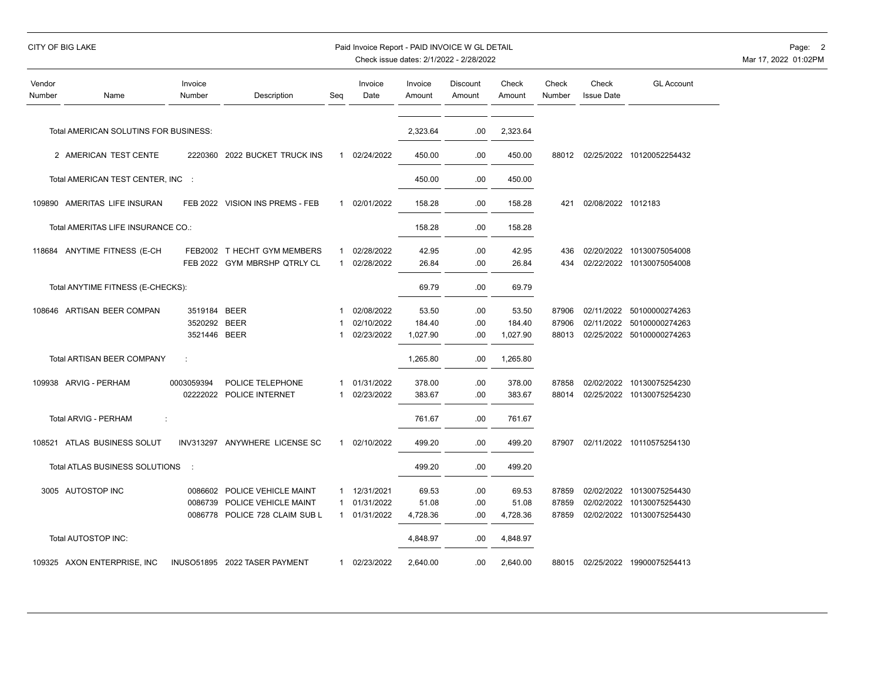### CITY OF BIG LAKE **Example 2** Paid Invoice Report - PAID INVOICE W GL DETAIL **Page: 2** Page: 2

| Vendor<br>Number | Name                                  | Invoice<br>Number | Description                     | Seg          | Invoice<br>Date | Invoice<br>Amount | Discount<br>Amount | Check<br>Amount | Check<br>Number | Check<br><b>Issue Date</b> | <b>GL Account</b>         |
|------------------|---------------------------------------|-------------------|---------------------------------|--------------|-----------------|-------------------|--------------------|-----------------|-----------------|----------------------------|---------------------------|
|                  | Total AMERICAN SOLUTINS FOR BUSINESS: |                   |                                 |              |                 | 2,323.64          | .00                | 2,323.64        |                 |                            |                           |
|                  | 2 AMERICAN TEST CENTE                 |                   | 2220360 2022 BUCKET TRUCK INS   | 1            | 02/24/2022      | 450.00            | .00                | 450.00          | 88012           |                            | 02/25/2022 10120052254432 |
|                  | Total AMERICAN TEST CENTER, INC :     |                   |                                 |              |                 | 450.00            | .00                | 450.00          |                 |                            |                           |
|                  | 109890 AMERITAS LIFE INSURAN          |                   | FEB 2022 VISION INS PREMS - FEB | $\mathbf{1}$ | 02/01/2022      | 158.28            | .00                | 158.28          | 421             | 02/08/2022 1012183         |                           |
|                  | Total AMERITAS LIFE INSURANCE CO.:    |                   |                                 |              |                 | 158.28            | .00                | 158.28          |                 |                            |                           |
|                  | 118684 ANYTIME FITNESS (E-CH          |                   | FEB2002 T HECHT GYM MEMBERS     | 1            | 02/28/2022      | 42.95             | .00                | 42.95           | 436             |                            | 02/20/2022 10130075054008 |
|                  |                                       |                   | FEB 2022 GYM MBRSHP QTRLY CL    | $\mathbf{1}$ | 02/28/2022      | 26.84             | .00                | 26.84           | 434             |                            | 02/22/2022 10130075054008 |
|                  | Total ANYTIME FITNESS (E-CHECKS):     |                   |                                 |              |                 | 69.79             | .00                | 69.79           |                 |                            |                           |
|                  | 108646 ARTISAN BEER COMPAN            | 3519184 BEER      |                                 |              | 02/08/2022      | 53.50             | .00                | 53.50           | 87906           |                            | 02/11/2022 50100000274263 |
|                  |                                       | 3520292 BEER      |                                 |              | 02/10/2022      | 184.40            | .00                | 184.40          | 87906           |                            | 02/11/2022 50100000274263 |
|                  |                                       | 3521446 BEER      |                                 | 1            | 02/23/2022      | 1,027.90          | .00                | 1,027.90        | 88013           |                            | 02/25/2022 50100000274263 |
|                  | Total ARTISAN BEER COMPANY            | ċ                 |                                 |              |                 | 1,265.80          | .00                | 1,265.80        |                 |                            |                           |
|                  | 109938 ARVIG - PERHAM                 | 0003059394        | POLICE TELEPHONE                | 1            | 01/31/2022      | 378.00            | .00                | 378.00          | 87858           |                            | 02/02/2022 10130075254230 |
|                  |                                       |                   | 02222022 POLICE INTERNET        | 1            | 02/23/2022      | 383.67            | .00                | 383.67          | 88014           |                            | 02/25/2022 10130075254230 |
|                  | <b>Total ARVIG - PERHAM</b><br>÷      |                   |                                 |              |                 | 761.67            | .00                | 761.67          |                 |                            |                           |
|                  | 108521 ATLAS BUSINESS SOLUT           |                   | INV313297 ANYWHERE LICENSE SC   | $\mathbf{1}$ | 02/10/2022      | 499.20            | .00                | 499.20          | 87907           |                            | 02/11/2022 10110575254130 |
|                  | Total ATLAS BUSINESS SOLUTIONS        | $\mathbb{R}^2$    |                                 |              |                 | 499.20            | .00                | 499.20          |                 |                            |                           |
|                  | 3005 AUTOSTOP INC                     |                   | 0086602 POLICE VEHICLE MAINT    |              | 1 12/31/2021    | 69.53             | .00                | 69.53           | 87859           |                            | 02/02/2022 10130075254430 |
|                  |                                       | 0086739           | POLICE VEHICLE MAINT            | 1            | 01/31/2022      | 51.08             | .00                | 51.08           | 87859           |                            | 02/02/2022 10130075254430 |
|                  |                                       |                   | 0086778 POLICE 728 CLAIM SUB L  | 1            | 01/31/2022      | 4,728.36          | .00                | 4,728.36        | 87859           |                            | 02/02/2022 10130075254430 |
|                  | Total AUTOSTOP INC:                   |                   |                                 |              |                 | 4,848.97          | .00                | 4,848.97        |                 |                            |                           |
|                  | 109325 AXON ENTERPRISE, INC           |                   | INUSO51895 2022 TASER PAYMENT   | 1            | 02/23/2022      | 2,640.00          | .00                | 2,640.00        | 88015           |                            | 02/25/2022 19900075254413 |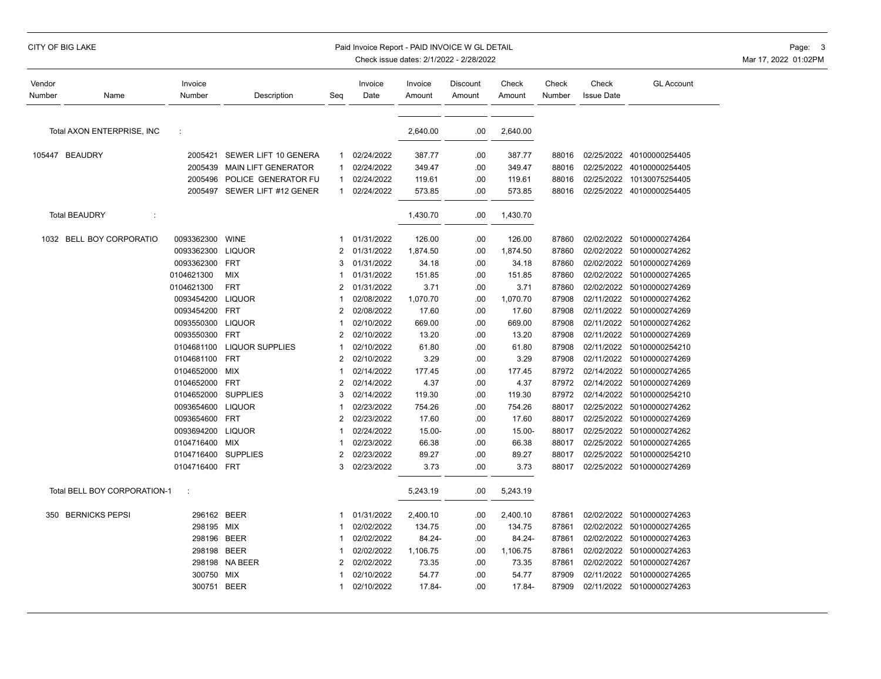### CITY OF BIG LAKE **Example 2008 CITY OF BIG LAKE** Page: 3 Paid Invoice Report - PAID INVOICE W GL DETAIL

| Vendor<br>Number | Name                         | Invoice<br>Number | Description                  | Seq            | Invoice<br>Date | Invoice<br>Amount | Discount<br>Amount | Check<br>Amount | Check<br>Number | Check<br><b>Issue Date</b> | <b>GL Account</b>         |
|------------------|------------------------------|-------------------|------------------------------|----------------|-----------------|-------------------|--------------------|-----------------|-----------------|----------------------------|---------------------------|
|                  | Total AXON ENTERPRISE, INC   | ÷                 |                              |                |                 | 2,640.00          | .00                | 2,640.00        |                 |                            |                           |
|                  |                              |                   |                              |                |                 |                   |                    |                 |                 |                            |                           |
|                  | 105447 BEAUDRY               | 2005421           | SEWER LIFT 10 GENERA         | 1              | 02/24/2022      | 387.77            | .00                | 387.77          | 88016           | 02/25/2022                 | 40100000254405            |
|                  |                              | 2005439           | <b>MAIN LIFT GENERATOR</b>   |                | 02/24/2022      | 349.47            | .00                | 349.47          | 88016           | 02/25/2022                 | 40100000254405            |
|                  |                              | 2005496           | POLICE GENERATOR FU          | -1             | 02/24/2022      | 119.61            | .00                | 119.61          | 88016           | 02/25/2022                 | 10130075254405            |
|                  |                              |                   | 2005497 SEWER LIFT #12 GENER | $\mathbf{1}$   | 02/24/2022      | 573.85            | .00                | 573.85          | 88016           |                            | 02/25/2022 40100000254405 |
|                  | <b>Total BEAUDRY</b>         |                   |                              |                |                 | 1,430.70          | .00                | 1,430.70        |                 |                            |                           |
|                  | 1032 BELL BOY CORPORATIO     | 0093362300        | <b>WINE</b>                  | 1              | 01/31/2022      | 126.00            | .00                | 126.00          | 87860           | 02/02/2022                 | 50100000274264            |
|                  |                              | 0093362300        | <b>LIQUOR</b>                | $\overline{2}$ | 01/31/2022      | 1,874.50          | .00                | 1,874.50        | 87860           | 02/02/2022                 | 50100000274262            |
|                  |                              | 0093362300        | <b>FRT</b>                   | 3              | 01/31/2022      | 34.18             | .00                | 34.18           | 87860           | 02/02/2022                 | 50100000274269            |
|                  |                              | 0104621300        | <b>MIX</b>                   |                | 01/31/2022      | 151.85            | .00                | 151.85          | 87860           |                            | 02/02/2022 50100000274265 |
|                  |                              | 0104621300        | <b>FRT</b>                   | $\overline{2}$ | 01/31/2022      | 3.71              | .00                | 3.71            | 87860           | 02/02/2022                 | 50100000274269            |
|                  |                              | 0093454200        | <b>LIQUOR</b>                |                | 02/08/2022      | 1,070.70          | .00                | 1,070.70        | 87908           | 02/11/2022                 | 50100000274262            |
|                  |                              | 0093454200        | <b>FRT</b>                   | 2              | 02/08/2022      | 17.60             | .00                | 17.60           | 87908           | 02/11/2022                 | 50100000274269            |
|                  |                              | 0093550300        | <b>LIQUOR</b>                |                | 02/10/2022      | 669.00            | .00                | 669.00          | 87908           | 02/11/2022                 | 50100000274262            |
|                  |                              | 0093550300        | <b>FRT</b>                   | $\overline{2}$ | 02/10/2022      | 13.20             | .00                | 13.20           | 87908           | 02/11/2022                 | 50100000274269            |
|                  |                              | 0104681100        | <b>LIQUOR SUPPLIES</b>       |                | 02/10/2022      | 61.80             | .00                | 61.80           | 87908           | 02/11/2022                 | 50100000254210            |
|                  |                              | 0104681100        | <b>FRT</b>                   | $\overline{2}$ | 02/10/2022      | 3.29              | .00                | 3.29            | 87908           | 02/11/2022                 | 50100000274269            |
|                  |                              | 0104652000        | <b>MIX</b>                   |                | 02/14/2022      | 177.45            | .00                | 177.45          | 87972           | 02/14/2022                 | 50100000274265            |
|                  |                              | 0104652000        | <b>FRT</b>                   | $\overline{2}$ | 02/14/2022      | 4.37              | .00                | 4.37            | 87972           | 02/14/2022                 | 50100000274269            |
|                  |                              | 0104652000        | <b>SUPPLIES</b>              | 3              | 02/14/2022      | 119.30            | .00                | 119.30          | 87972           | 02/14/2022                 | 50100000254210            |
|                  |                              | 0093654600        | <b>LIQUOR</b>                |                | 02/23/2022      | 754.26            | .00                | 754.26          | 88017           | 02/25/2022                 | 50100000274262            |
|                  |                              | 0093654600        | <b>FRT</b>                   | 2              | 02/23/2022      | 17.60             | .00                | 17.60           | 88017           | 02/25/2022                 | 50100000274269            |
|                  |                              | 0093694200        | <b>LIQUOR</b>                |                | 02/24/2022      | 15.00-            | .00                | 15.00-          | 88017           | 02/25/2022                 | 50100000274262            |
|                  |                              | 0104716400        | <b>MIX</b>                   |                | 02/23/2022      | 66.38             | .00                | 66.38           | 88017           |                            | 02/25/2022 50100000274265 |
|                  |                              | 0104716400        | <b>SUPPLIES</b>              | $\overline{2}$ | 02/23/2022      | 89.27             | .00                | 89.27           | 88017           | 02/25/2022                 | 50100000254210            |
|                  |                              | 0104716400 FRT    |                              | 3              | 02/23/2022      | 3.73              | .00                | 3.73            | 88017           |                            | 02/25/2022 50100000274269 |
|                  | Total BELL BOY CORPORATION-1 | ÷                 |                              |                |                 | 5,243.19          | .00                | 5,243.19        |                 |                            |                           |
|                  | 350 BERNICKS PEPSI           | 296162 BEER       |                              | 1              | 01/31/2022      | 2,400.10          | .00                | 2,400.10        | 87861           | 02/02/2022                 | 50100000274263            |
|                  |                              | 298195 MIX        |                              |                | 02/02/2022      | 134.75            | .00                | 134.75          | 87861           |                            | 02/02/2022 50100000274265 |
|                  |                              | 298196            | <b>BEER</b>                  |                | 02/02/2022      | 84.24-            | .00                | 84.24-          | 87861           | 02/02/2022                 | 50100000274263            |
|                  |                              | 298198 BEER       |                              |                | 02/02/2022      | 1,106.75          | .00                | 1,106.75        | 87861           | 02/02/2022                 | 50100000274263            |
|                  |                              | 298198            | NA BEER                      | $\overline{2}$ | 02/02/2022      | 73.35             | .00                | 73.35           | 87861           | 02/02/2022                 | 50100000274267            |
|                  |                              | 300750            | MIX                          |                | 02/10/2022      | 54.77             | .00                | 54.77           | 87909           | 02/11/2022                 | 50100000274265            |
|                  |                              | 300751 BEER       |                              |                | 02/10/2022      | 17.84-            | .00                | 17.84-          | 87909           | 02/11/2022                 | 50100000274263            |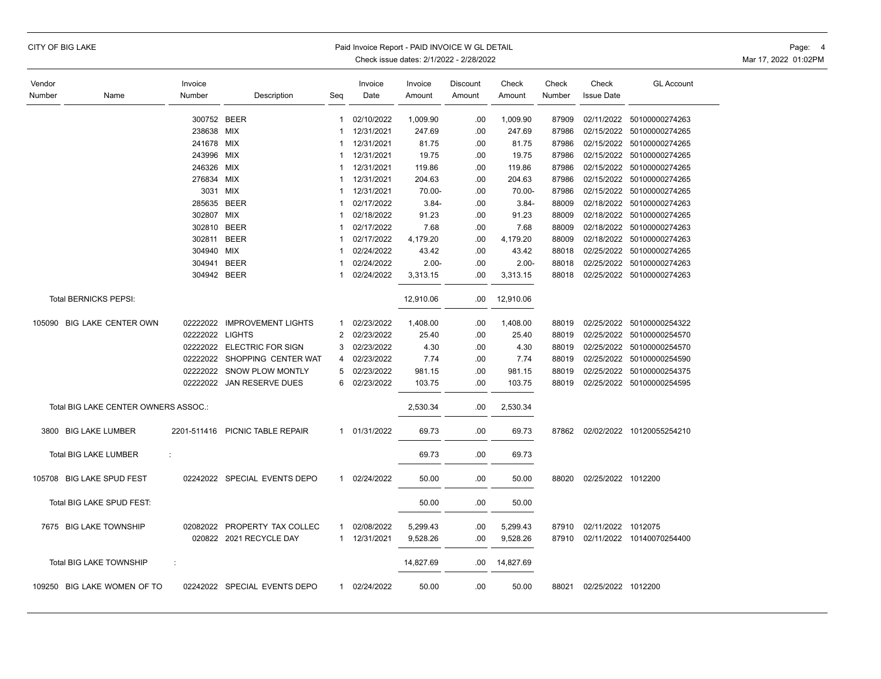| <b>CITY OF BIG LAKE</b> |  |  |
|-------------------------|--|--|
|-------------------------|--|--|

### Paid Invoice Report - PAID INVOICE W GL DETAIL **CONSERVANCE WAS A CONSERVANCE OF A CONSERVANCE OF A** Page: 4

| Vendor |                                      | Invoice         |                                                         |                | Invoice                  | Invoice              | Discount | Check     | Check          | Check              | <b>GL Account</b>         |
|--------|--------------------------------------|-----------------|---------------------------------------------------------|----------------|--------------------------|----------------------|----------|-----------|----------------|--------------------|---------------------------|
| Number | Name                                 | Number          | Description                                             | Seq            | Date                     | Amount               | Amount   | Amount    | Number         | <b>Issue Date</b>  |                           |
|        |                                      |                 |                                                         |                |                          |                      |          |           |                |                    |                           |
|        |                                      | 300752 BEER     |                                                         | 1              | 02/10/2022               | 1,009.90             | .00      | 1,009.90  | 87909          | 02/11/2022         | 50100000274263            |
|        |                                      | 238638          | MIX                                                     | 1              | 12/31/2021               | 247.69               | .00      | 247.69    | 87986          | 02/15/2022         | 50100000274265            |
|        |                                      | 241678          | <b>MIX</b>                                              | 1              | 12/31/2021               | 81.75                | .00      | 81.75     | 87986          |                    | 02/15/2022 50100000274265 |
|        |                                      | 243996          | <b>MIX</b>                                              | 1              | 12/31/2021               | 19.75                | .00      | 19.75     | 87986          |                    | 02/15/2022 50100000274265 |
|        |                                      | 246326          | <b>MIX</b>                                              | 1              | 12/31/2021               | 119.86               | .00      | 119.86    | 87986          | 02/15/2022         | 50100000274265            |
|        |                                      | 276834          | MIX                                                     | 1              | 12/31/2021               | 204.63               | .00      | 204.63    | 87986          |                    | 02/15/2022 50100000274265 |
|        |                                      | 3031            | MIX                                                     | 1              | 12/31/2021               | 70.00-               | .00      | 70.00-    | 87986          |                    | 02/15/2022 50100000274265 |
|        |                                      | 285635          | <b>BEER</b>                                             | 1              | 02/17/2022               | $3.84 -$             | .00      | $3.84 -$  | 88009          |                    | 02/18/2022 50100000274263 |
|        |                                      | 302807          | MIX                                                     | 1              | 02/18/2022               | 91.23                | .00      | 91.23     | 88009          |                    | 02/18/2022 50100000274265 |
|        |                                      | 302810          | <b>BEER</b>                                             | 1              | 02/17/2022               | 7.68                 | .00      | 7.68      | 88009          |                    | 02/18/2022 50100000274263 |
|        |                                      | 302811          | <b>BEER</b>                                             | 1              | 02/17/2022               | 4,179.20             | .00      | 4,179.20  | 88009          | 02/18/2022         | 50100000274263            |
|        |                                      | 304940          | MIX                                                     |                | 02/24/2022               | 43.42                | .00      | 43.42     | 88018          |                    | 02/25/2022 50100000274265 |
|        |                                      | 304941          | <b>BEER</b>                                             | 1              | 02/24/2022               | $2.00 -$             | .00      | $2.00 -$  | 88018          |                    | 02/25/2022 50100000274263 |
|        |                                      | 304942 BEER     |                                                         | 1              | 02/24/2022               | 3,313.15             | .00      | 3,313.15  | 88018          |                    | 02/25/2022 50100000274263 |
|        | <b>Total BERNICKS PEPSI:</b>         |                 |                                                         |                |                          | 12,910.06            | .00      | 12,910.06 |                |                    |                           |
|        | 105090 BIG LAKE CENTER OWN           | 02222022        | <b>IMPROVEMENT LIGHTS</b>                               | 1              | 02/23/2022               | 1,408.00             | .00      | 1,408.00  | 88019          |                    | 02/25/2022 50100000254322 |
|        |                                      | 02222022 LIGHTS |                                                         | $\mathfrak{p}$ | 02/23/2022               | 25.40                | .00      | 25.40     | 88019          |                    | 02/25/2022 50100000254570 |
|        |                                      |                 | 02222022 ELECTRIC FOR SIGN                              | 3              | 02/23/2022               | 4.30                 | .00      | 4.30      | 88019          |                    | 02/25/2022 50100000254570 |
|        |                                      |                 | 02222022 SHOPPING CENTER WAT                            | 4              | 02/23/2022               | 7.74                 | .00      | 7.74      | 88019          |                    | 02/25/2022 50100000254590 |
|        |                                      |                 | 02222022 SNOW PLOW MONTLY                               | 5              | 02/23/2022               | 981.15               | .00      | 981.15    | 88019          |                    | 02/25/2022 50100000254375 |
|        |                                      | 02222022        | JAN RESERVE DUES                                        | 6              | 02/23/2022               | 103.75               | .00      | 103.75    | 88019          |                    | 02/25/2022 50100000254595 |
|        | Total BIG LAKE CENTER OWNERS ASSOC.: |                 |                                                         |                |                          | 2,530.34             | .00      | 2,530.34  |                |                    |                           |
|        |                                      |                 |                                                         |                |                          |                      |          |           |                |                    |                           |
|        | 3800 BIG LAKE LUMBER                 |                 | 2201-511416 PICNIC TABLE REPAIR                         | $\mathbf{1}$   | 01/31/2022               | 69.73                | .00      | 69.73     | 87862          |                    | 02/02/2022 10120055254210 |
|        | Total BIG LAKE LUMBER                | ÷               |                                                         |                |                          | 69.73                | .00      | 69.73     |                |                    |                           |
| 105708 | <b>BIG LAKE SPUD FEST</b>            |                 | 02242022 SPECIAL EVENTS DEPO                            | $\mathbf{1}$   | 02/24/2022               | 50.00                | .00      | 50.00     | 88020          | 02/25/2022 1012200 |                           |
|        | Total BIG LAKE SPUD FEST:            |                 |                                                         |                |                          | 50.00                | .00      | 50.00     |                |                    |                           |
|        |                                      |                 |                                                         |                |                          |                      |          |           |                |                    |                           |
|        | 7675 BIG LAKE TOWNSHIP               |                 | 02082022 PROPERTY TAX COLLEC<br>020822 2021 RECYCLE DAY | 1<br>1         | 02/08/2022<br>12/31/2021 | 5,299.43<br>9,528.26 | .00      | 5,299.43  | 87910<br>87910 | 02/11/2022 1012075 | 02/11/2022 10140070254400 |
|        |                                      |                 |                                                         |                |                          |                      | .00      | 9,528.26  |                |                    |                           |
|        | <b>Total BIG LAKE TOWNSHIP</b>       | ÷               |                                                         |                |                          | 14,827.69            | .00      | 14,827.69 |                |                    |                           |
|        | 109250 BIG LAKE WOMEN OF TO          |                 | 02242022 SPECIAL EVENTS DEPO                            | 1              | 02/24/2022               | 50.00                | .00      | 50.00     | 88021          | 02/25/2022 1012200 |                           |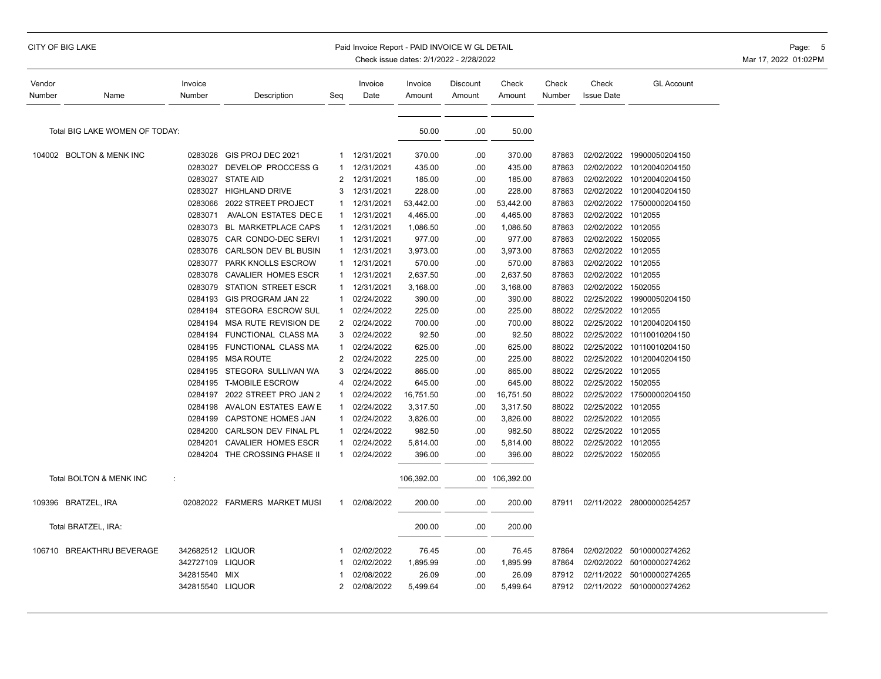### CITY OF BIG LAKE **Example 2008 CITY OF BIG LAKE** Page: 5 Paid Invoice Report - PAID INVOICE W GL DETAIL Page: 5 Page: 5

| Vendor |                                | Invoice          |                               |                | Invoice    | Invoice    | Discount | Check          | Check  | Check              | <b>GL Account</b>         |
|--------|--------------------------------|------------------|-------------------------------|----------------|------------|------------|----------|----------------|--------|--------------------|---------------------------|
| Number | Name                           | Number           | Description                   | Seg            | Date       | Amount     | Amount   | Amount         | Number | <b>Issue Date</b>  |                           |
|        |                                |                  |                               |                |            |            |          |                |        |                    |                           |
|        | Total BIG LAKE WOMEN OF TODAY: |                  |                               |                |            | 50.00      | .00      | 50.00          |        |                    |                           |
|        |                                |                  |                               |                |            |            |          |                |        |                    |                           |
|        | 104002 BOLTON & MENK INC       | 0283026          | GIS PROJ DEC 2021             | 1.             | 12/31/2021 | 370.00     | .00      | 370.00         | 87863  | 02/02/2022         | 19900050204150            |
|        |                                | 0283027          | DEVELOP PROCCESS G            | 1              | 12/31/2021 | 435.00     | .00      | 435.00         | 87863  | 02/02/2022         | 10120040204150            |
|        |                                | 0283027          | <b>STATE AID</b>              | 2              | 12/31/2021 | 185.00     | .00      | 185.00         | 87863  | 02/02/2022         | 10120040204150            |
|        |                                |                  | 0283027 HIGHLAND DRIVE        | 3              | 12/31/2021 | 228.00     | .00      | 228.00         | 87863  | 02/02/2022         | 10120040204150            |
|        |                                | 0283066          | 2022 STREET PROJECT           | 1              | 12/31/2021 | 53,442.00  | .00      | 53,442.00      | 87863  | 02/02/2022         | 17500000204150            |
|        |                                | 0283071          | AVALON ESTATES DECE           | 1              | 12/31/2021 | 4,465.00   | .00      | 4,465.00       | 87863  | 02/02/2022 1012055 |                           |
|        |                                | 0283073          | BL MARKETPLACE CAPS           | $\mathbf{1}$   | 12/31/2021 | 1,086.50   | .00      | 1,086.50       | 87863  | 02/02/2022 1012055 |                           |
|        |                                | 0283075          | CAR CONDO-DEC SERVI           | 1              | 12/31/2021 | 977.00     | .00.     | 977.00         | 87863  | 02/02/2022         | 1502055                   |
|        |                                | 0283076          | CARLSON DEV BL BUSIN          | 1              | 12/31/2021 | 3,973.00   | .00      | 3,973.00       | 87863  | 02/02/2022         | 1012055                   |
|        |                                | 0283077          | PARK KNOLLS ESCROW            | 1              | 12/31/2021 | 570.00     | .00      | 570.00         | 87863  | 02/02/2022 1012055 |                           |
|        |                                | 0283078          | <b>CAVALIER HOMES ESCR</b>    | 1              | 12/31/2021 | 2,637.50   | .00      | 2,637.50       | 87863  | 02/02/2022 1012055 |                           |
|        |                                | 0283079          | STATION STREET ESCR           | 1              | 12/31/2021 | 3,168.00   | .00      | 3,168.00       | 87863  | 02/02/2022         | 1502055                   |
|        |                                | 0284193          | GIS PROGRAM JAN 22            | 1              | 02/24/2022 | 390.00     | .00      | 390.00         | 88022  | 02/25/2022         | 19900050204150            |
|        |                                | 0284194          | STEGORA ESCROW SUL            | 1              | 02/24/2022 | 225.00     | .00      | 225.00         | 88022  | 02/25/2022         | 1012055                   |
|        |                                | 0284194          | MSA RUTE REVISION DE          | 2              | 02/24/2022 | 700.00     | .00      | 700.00         | 88022  | 02/25/2022         | 10120040204150            |
|        |                                |                  | 0284194 FUNCTIONAL CLASS MA   | 3              | 02/24/2022 | 92.50      | .00      | 92.50          | 88022  | 02/25/2022         | 10110010204150            |
|        |                                |                  | 0284195 FUNCTIONAL CLASS MA   | 1              | 02/24/2022 | 625.00     | .00      | 625.00         | 88022  | 02/25/2022         | 10110010204150            |
|        |                                |                  | 0284195 MSA ROUTE             | 2              | 02/24/2022 | 225.00     | .00      | 225.00         | 88022  | 02/25/2022         | 10120040204150            |
|        |                                |                  | 0284195 STEGORA SULLIVAN WA   | 3              | 02/24/2022 | 865.00     | .00      | 865.00         | 88022  | 02/25/2022         | 1012055                   |
|        |                                |                  | 0284195 T-MOBILE ESCROW       | 4              | 02/24/2022 | 645.00     | .00      | 645.00         | 88022  | 02/25/2022 1502055 |                           |
|        |                                | 0284197          | 2022 STREET PRO JAN 2         | 1              | 02/24/2022 | 16,751.50  | .00      | 16,751.50      | 88022  |                    | 02/25/2022 17500000204150 |
|        |                                | 0284198          | AVALON ESTATES EAW E          | 1              | 02/24/2022 | 3,317.50   | .00      | 3,317.50       | 88022  | 02/25/2022         | 1012055                   |
|        |                                | 0284199          | <b>CAPSTONE HOMES JAN</b>     | 1              | 02/24/2022 | 3,826.00   | .00      | 3,826.00       | 88022  | 02/25/2022         | 1012055                   |
|        |                                | 0284200          | CARLSON DEV FINAL PL          | 1              | 02/24/2022 | 982.50     | .00      | 982.50         | 88022  | 02/25/2022 1012055 |                           |
|        |                                | 0284201          | <b>CAVALIER HOMES ESCR</b>    | 1              | 02/24/2022 | 5,814.00   | .00      | 5,814.00       | 88022  | 02/25/2022 1012055 |                           |
|        |                                |                  | 0284204 THE CROSSING PHASE II | 1              | 02/24/2022 | 396.00     | .00      | 396.00         | 88022  | 02/25/2022 1502055 |                           |
|        | Total BOLTON & MENK INC        |                  |                               |                |            | 106,392.00 |          | .00 106,392.00 |        |                    |                           |
|        | 109396 BRATZEL, IRA            |                  | 02082022 FARMERS MARKET MUSI  | 1.             | 02/08/2022 | 200.00     | .00      | 200.00         | 87911  |                    | 02/11/2022 28000000254257 |
|        | Total BRATZEL, IRA:            |                  |                               |                |            | 200.00     | .00      | 200.00         |        |                    |                           |
|        | 106710 BREAKTHRU BEVERAGE      | 342682512 LIQUOR |                               | 1              | 02/02/2022 | 76.45      | .00      | 76.45          | 87864  |                    | 02/02/2022 50100000274262 |
|        |                                | 342727109        | <b>LIQUOR</b>                 | 1              | 02/02/2022 | 1,895.99   | .00      | 1,895.99       | 87864  | 02/02/2022         | 50100000274262            |
|        |                                | 342815540        | MIX                           | 1              | 02/08/2022 | 26.09      | .00      | 26.09          | 87912  |                    | 02/11/2022 50100000274265 |
|        |                                | 342815540 LIQUOR |                               | $\overline{c}$ | 02/08/2022 | 5,499.64   | .00      | 5,499.64       | 87912  |                    | 02/11/2022 50100000274262 |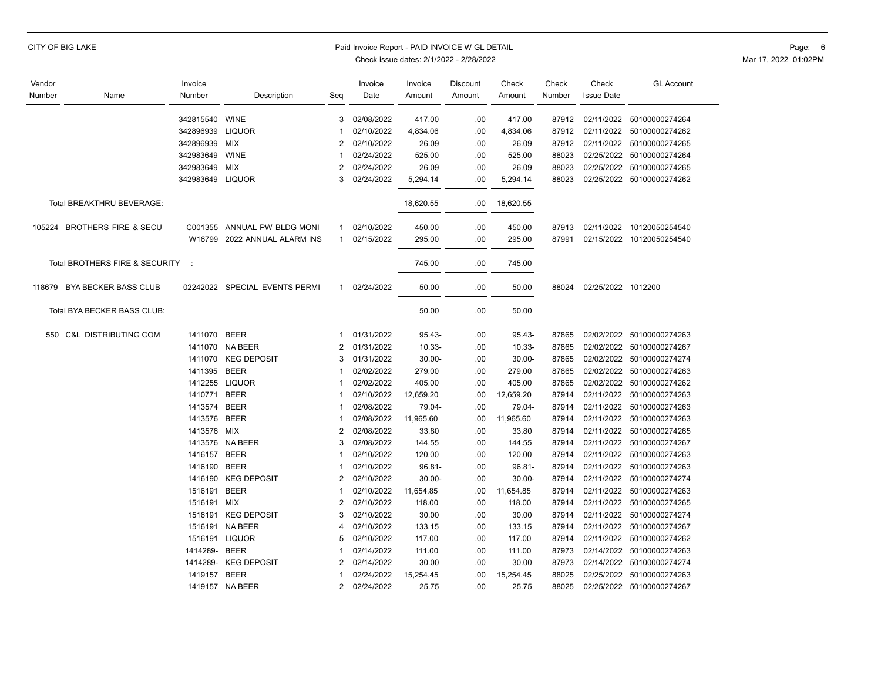| CITY OF BIG LAKE |  |  |  |
|------------------|--|--|--|
|------------------|--|--|--|

#### Paid Invoice Report - PAID INVOICE W GL DETAIL **CONSERVANCE AND A CONSERVANCE OF A CONSERVANCE** OF Page: 6

| Vendor                    |                                 | Invoice        |                               |                | Invoice    | Invoice   | Discount | Check     | Check  | Check              | <b>GL Account</b>         |
|---------------------------|---------------------------------|----------------|-------------------------------|----------------|------------|-----------|----------|-----------|--------|--------------------|---------------------------|
| Number                    | Name                            | Number         | Description                   | Seg            | Date       | Amount    | Amount   | Amount    | Number | <b>Issue Date</b>  |                           |
|                           |                                 |                |                               |                |            |           |          |           |        |                    |                           |
|                           |                                 | 342815540      | <b>WINE</b>                   | 3              | 02/08/2022 | 417.00    | .00      | 417.00    | 87912  | 02/11/2022         | 50100000274264            |
|                           |                                 | 342896939      | <b>LIQUOR</b>                 |                | 02/10/2022 | 4,834.06  | .00      | 4,834.06  | 87912  | 02/11/2022         | 50100000274262            |
|                           |                                 | 342896939      | <b>MIX</b>                    | $\overline{2}$ | 02/10/2022 | 26.09     | .00      | 26.09     | 87912  | 02/11/2022         | 50100000274265            |
|                           |                                 | 342983649      | <b>WINE</b>                   | -1             | 02/24/2022 | 525.00    | .00      | 525.00    | 88023  | 02/25/2022         | 50100000274264            |
|                           |                                 | 342983649      | <b>MIX</b>                    | 2              | 02/24/2022 | 26.09     | .00      | 26.09     | 88023  | 02/25/2022         | 50100000274265            |
|                           |                                 | 342983649      | <b>LIQUOR</b>                 | 3              | 02/24/2022 | 5,294.14  | .00      | 5,294.14  | 88023  |                    | 02/25/2022 50100000274262 |
| Total BREAKTHRU BEVERAGE: |                                 |                |                               |                |            | 18,620.55 | .00      | 18,620.55 |        |                    |                           |
|                           | 105224 BROTHERS FIRE & SECU     | C001355        | ANNUAL PW BLDG MONI           | 1              | 02/10/2022 | 450.00    | .00      | 450.00    | 87913  |                    | 02/11/2022 10120050254540 |
|                           |                                 | W16799         | 2022 ANNUAL ALARM INS         | $\mathbf{1}$   | 02/15/2022 | 295.00    | .00      | 295.00    | 87991  |                    | 02/15/2022 10120050254540 |
|                           | Total BROTHERS FIRE & SECURITY  | $\mathbb{R}^2$ |                               |                |            | 745.00    | .00      | 745.00    |        |                    |                           |
| 118679                    | <b>BYA BECKER BASS CLUB</b>     |                | 02242022 SPECIAL EVENTS PERMI | $\mathbf{1}$   | 02/24/2022 | 50.00     | .00      | 50.00     | 88024  | 02/25/2022 1012200 |                           |
|                           | Total BYA BECKER BASS CLUB:     |                |                               |                |            | 50.00     | .00      | 50.00     |        |                    |                           |
| 550                       | <b>C&amp;L DISTRIBUTING COM</b> | 1411070 BEER   |                               | -1             | 01/31/2022 | $95.43 -$ | .00.     | $95.43 -$ | 87865  |                    | 02/02/2022 50100000274263 |
|                           |                                 | 1411070        | NA BEER                       | $\overline{2}$ | 01/31/2022 | $10.33 -$ | .00      | $10.33 -$ | 87865  | 02/02/2022         | 50100000274267            |
|                           |                                 | 1411070        | <b>KEG DEPOSIT</b>            | 3              | 01/31/2022 | $30.00 -$ | .00      | $30.00 -$ | 87865  | 02/02/2022         | 50100000274274            |
|                           |                                 | 1411395        | <b>BEER</b>                   |                | 02/02/2022 | 279.00    | .00      | 279.00    | 87865  | 02/02/2022         | 50100000274263            |
|                           |                                 |                | 1412255 LIQUOR                |                | 02/02/2022 | 405.00    | .00      | 405.00    | 87865  | 02/02/2022         | 50100000274262            |
|                           |                                 | 1410771        | <b>BEER</b>                   |                | 02/10/2022 | 12,659.20 | .00      | 12,659.20 | 87914  | 02/11/2022         | 50100000274263            |
|                           |                                 | 1413574        | <b>BEER</b>                   |                | 02/08/2022 | 79.04-    | .00      | 79.04-    | 87914  | 02/11/2022         | 50100000274263            |
|                           |                                 | 1413576 BEER   |                               |                | 02/08/2022 | 11,965.60 | .00      | 11,965.60 | 87914  | 02/11/2022         | 50100000274263            |
|                           |                                 | 1413576 MIX    |                               | $\overline{2}$ | 02/08/2022 | 33.80     | .00      | 33.80     | 87914  | 02/11/2022         | 50100000274265            |
|                           |                                 | 1413576        | NA BEER                       | 3              | 02/08/2022 | 144.55    | .00      | 144.55    | 87914  | 02/11/2022         | 50100000274267            |
|                           |                                 | 1416157        | <b>BEER</b>                   |                | 02/10/2022 | 120.00    | .00      | 120.00    | 87914  | 02/11/2022         | 50100000274263            |
|                           |                                 | 1416190        | <b>BEER</b>                   |                | 02/10/2022 | $96.81 -$ | .00      | 96.81-    | 87914  | 02/11/2022         | 50100000274263            |
|                           |                                 | 1416190        | <b>KEG DEPOSIT</b>            | $\overline{2}$ | 02/10/2022 | $30.00 -$ | .00      | $30.00 -$ | 87914  | 02/11/2022         | 50100000274274            |
|                           |                                 | 1516191        | <b>BEER</b>                   |                | 02/10/2022 | 11,654.85 | .00      | 11,654.85 | 87914  | 02/11/2022         | 50100000274263            |
|                           |                                 | 1516191        | MIX                           | 2              | 02/10/2022 | 118.00    | .00      | 118.00    | 87914  | 02/11/2022         | 50100000274265            |
|                           |                                 | 1516191        | <b>KEG DEPOSIT</b>            | 3              | 02/10/2022 | 30.00     | .00      | 30.00     | 87914  | 02/11/2022         | 50100000274274            |
|                           |                                 |                | 1516191 NA BEER               | 4              | 02/10/2022 | 133.15    | .00.     | 133.15    | 87914  | 02/11/2022         | 50100000274267            |
|                           |                                 | 1516191        | <b>LIQUOR</b>                 | 5              | 02/10/2022 | 117.00    | .00      | 117.00    | 87914  | 02/11/2022         | 50100000274262            |
|                           |                                 | 1414289-       | <b>BEER</b>                   |                | 02/14/2022 | 111.00    | .00      | 111.00    | 87973  | 02/14/2022         | 50100000274263            |
|                           |                                 | 1414289-       | <b>KEG DEPOSIT</b>            | $\overline{2}$ | 02/14/2022 | 30.00     | .00.     | 30.00     | 87973  | 02/14/2022         | 50100000274274            |
|                           |                                 | 1419157        | <b>BEER</b>                   |                | 02/24/2022 | 15,254.45 | .00      | 15,254.45 | 88025  | 02/25/2022         | 50100000274263            |
|                           |                                 |                | 1419157 NA BEER               | 2              | 02/24/2022 | 25.75     | .00      | 25.75     | 88025  | 02/25/2022         | 50100000274267            |
|                           |                                 |                |                               |                |            |           |          |           |        |                    |                           |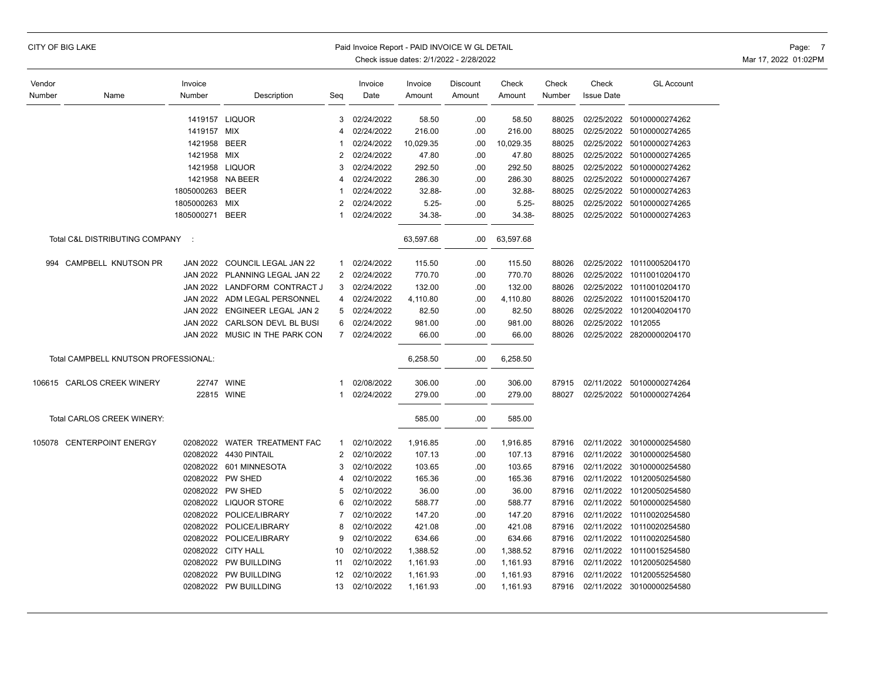|  |  |  | CITY OF BIG LAKE |
|--|--|--|------------------|
|--|--|--|------------------|

### Paid Invoice Report - PAID INVOICE W GL DETAIL **Page:** 7

| Vendor |                                      | Invoice         |                                |                | Invoice    | Invoice   | Discount  | Check     | Check  | Check              | <b>GL Account</b>         |
|--------|--------------------------------------|-----------------|--------------------------------|----------------|------------|-----------|-----------|-----------|--------|--------------------|---------------------------|
| Number | Name                                 | Number          | Description                    | Seg            | Date       | Amount    | Amount    | Amount    | Number | <b>Issue Date</b>  |                           |
|        |                                      |                 |                                |                |            |           |           |           |        |                    |                           |
|        |                                      |                 | 1419157 LIQUOR                 | 3              | 02/24/2022 | 58.50     | .00       | 58.50     | 88025  |                    | 02/25/2022 50100000274262 |
|        |                                      | 1419157         | MIX                            | 4              | 02/24/2022 | 216.00    | .00       | 216.00    | 88025  | 02/25/2022         | 50100000274265            |
|        |                                      | 1421958         | <b>BEER</b>                    | 1              | 02/24/2022 | 10,029.35 | .00       | 10,029.35 | 88025  |                    | 02/25/2022 50100000274263 |
|        |                                      | 1421958         | <b>MIX</b>                     | $\overline{2}$ | 02/24/2022 | 47.80     | .00       | 47.80     | 88025  | 02/25/2022         | 50100000274265            |
|        |                                      |                 | 1421958 LIQUOR                 | 3              | 02/24/2022 | 292.50    | .00       | 292.50    | 88025  |                    | 02/25/2022 50100000274262 |
|        |                                      | 1421958         | <b>NA BEER</b>                 | 4              | 02/24/2022 | 286.30    | .00       | 286.30    | 88025  |                    | 02/25/2022 50100000274267 |
|        |                                      | 1805000263      | <b>BEER</b>                    | 1              | 02/24/2022 | 32.88-    | .00       | 32.88-    | 88025  |                    | 02/25/2022 50100000274263 |
|        |                                      | 1805000263      | <b>MIX</b>                     | $\overline{2}$ | 02/24/2022 | $5.25 -$  | .00       | $5.25 -$  | 88025  | 02/25/2022         | 50100000274265            |
|        |                                      | 1805000271      | <b>BEER</b>                    | 1              | 02/24/2022 | 34.38-    | .00       | 34.38-    | 88025  |                    | 02/25/2022 50100000274263 |
|        | Total C&L DISTRIBUTING COMPANY :     |                 |                                |                | 63,597.68  | .00       | 63,597.68 |           |        |                    |                           |
| 994    | CAMPBELL KNUTSON PR                  | <b>JAN 2022</b> | COUNCIL LEGAL JAN 22           | 1              | 02/24/2022 | 115.50    | .00       | 115.50    | 88026  | 02/25/2022         | 10110005204170            |
|        |                                      |                 | JAN 2022 PLANNING LEGAL JAN 22 | $\overline{2}$ | 02/24/2022 | 770.70    | .00       | 770.70    | 88026  | 02/25/2022         | 10110010204170            |
|        |                                      | <b>JAN 2022</b> | LANDFORM CONTRACT J            | 3              | 02/24/2022 | 132.00    | .00       | 132.00    | 88026  | 02/25/2022         | 10110010204170            |
|        |                                      | <b>JAN 2022</b> | ADM LEGAL PERSONNEL            | 4              | 02/24/2022 | 4,110.80  | .00       | 4,110.80  | 88026  | 02/25/2022         | 10110015204170            |
|        |                                      |                 | JAN 2022 ENGINEER LEGAL JAN 2  | 5              | 02/24/2022 | 82.50     | .00       | 82.50     | 88026  | 02/25/2022         | 10120040204170            |
|        |                                      | <b>JAN 2022</b> | CARLSON DEVL BL BUSI           | 6              | 02/24/2022 | 981.00    | .00       | 981.00    | 88026  | 02/25/2022 1012055 |                           |
|        |                                      |                 | JAN 2022 MUSIC IN THE PARK CON | $\overline{7}$ | 02/24/2022 | 66.00     | .00       | 66.00     | 88026  |                    | 02/25/2022 28200000204170 |
|        |                                      |                 |                                |                |            |           |           |           |        |                    |                           |
|        | Total CAMPBELL KNUTSON PROFESSIONAL: |                 |                                |                |            | 6,258.50  | .00       | 6,258.50  |        |                    |                           |
|        |                                      |                 |                                |                |            |           |           |           |        |                    |                           |
|        | 106615 CARLOS CREEK WINERY           | 22747 WINE      |                                | 1              | 02/08/2022 | 306.00    | .00       | 306.00    | 87915  | 02/11/2022         | 50100000274264            |
|        |                                      | 22815 WINE      |                                | 1              | 02/24/2022 | 279.00    | .00       | 279.00    | 88027  |                    | 02/25/2022 50100000274264 |
|        | Total CARLOS CREEK WINERY:           |                 |                                |                |            | 585.00    | .00       | 585.00    |        |                    |                           |
| 105078 | <b>CENTERPOINT ENERGY</b>            |                 | 02082022 WATER TREATMENT FAC   | 1              | 02/10/2022 | 1,916.85  | .00       | 1,916.85  | 87916  |                    | 02/11/2022 30100000254580 |
|        |                                      | 02082022        | 4430 PINTAIL                   | 2              | 02/10/2022 | 107.13    | .00       | 107.13    | 87916  | 02/11/2022         | 30100000254580            |
|        |                                      |                 | 02082022 601 MINNESOTA         | 3              | 02/10/2022 | 103.65    | .00       | 103.65    | 87916  | 02/11/2022         | 30100000254580            |
|        |                                      |                 | 02082022 PW SHED               | 4              | 02/10/2022 | 165.36    | .00       | 165.36    | 87916  | 02/11/2022         | 10120050254580            |
|        |                                      |                 | 02082022 PW SHED               | 5              | 02/10/2022 | 36.00     | .00       | 36.00     | 87916  | 02/11/2022         | 10120050254580            |
|        |                                      |                 | 02082022 LIQUOR STORE          | 6              | 02/10/2022 | 588.77    | .00       | 588.77    | 87916  | 02/11/2022         | 50100000254580            |
|        |                                      | 02082022        | POLICE/LIBRARY                 | $\overline{7}$ | 02/10/2022 | 147.20    | .00       | 147.20    | 87916  | 02/11/2022         | 10110020254580            |
|        |                                      |                 | 02082022 POLICE/LIBRARY        | 8              | 02/10/2022 | 421.08    | .00       | 421.08    | 87916  | 02/11/2022         | 10110020254580            |
|        |                                      | 02082022        | POLICE/LIBRARY                 | 9              | 02/10/2022 | 634.66    | .00       | 634.66    | 87916  | 02/11/2022         | 10110020254580            |
|        |                                      |                 | 02082022 CITY HALL             | 10             | 02/10/2022 | 1,388.52  | .00       | 1,388.52  | 87916  | 02/11/2022         | 10110015254580            |
|        |                                      |                 | 02082022 PW BUILLDING          | 11             | 02/10/2022 | 1,161.93  | .00       | 1,161.93  | 87916  | 02/11/2022         | 10120050254580            |
|        |                                      |                 | 02082022 PW BUILLDING          | 12             | 02/10/2022 | 1,161.93  | .00       | 1,161.93  | 87916  | 02/11/2022         | 10120055254580            |
|        |                                      |                 | 02082022 PW BUILLDING          | 13             | 02/10/2022 | 1,161.93  | .00       | 1,161.93  | 87916  |                    | 02/11/2022 30100000254580 |
|        |                                      |                 |                                |                |            |           |           |           |        |                    |                           |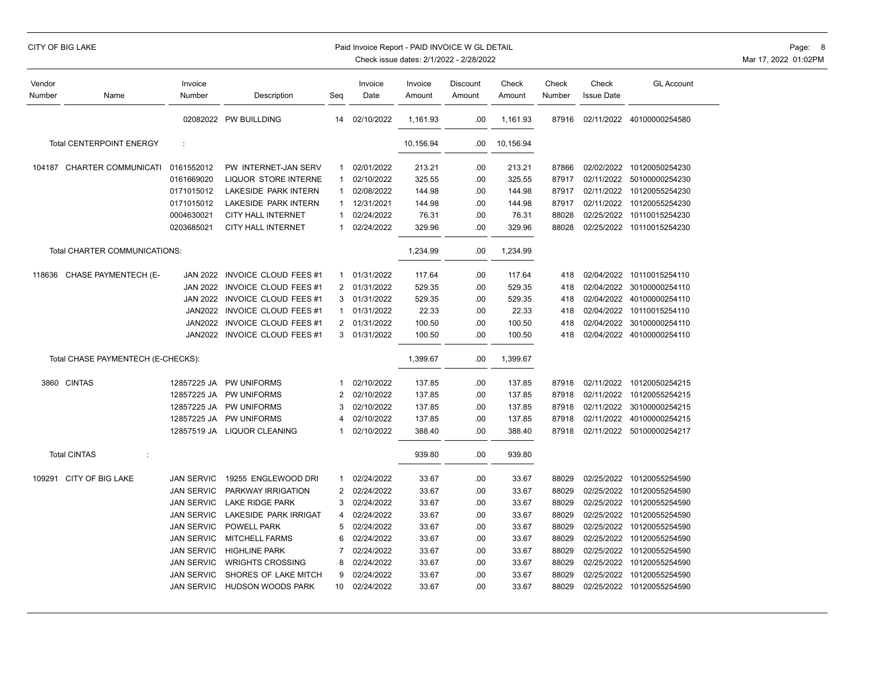### CITY OF BIG LAKE **Example 2008 CITY OF BIG LAKE** Page: 8

| Vendor<br>Number              | Name                               | Invoice<br>Number | Description                  | Seg            | Invoice<br>Date | Invoice<br>Amount | Discount<br>Amount | Check<br>Amount | Check<br>Number | Check<br><b>Issue Date</b> | <b>GL Account</b>         |
|-------------------------------|------------------------------------|-------------------|------------------------------|----------------|-----------------|-------------------|--------------------|-----------------|-----------------|----------------------------|---------------------------|
|                               |                                    |                   | 02082022 PW BUILLDING        | 14             | 02/10/2022      | 1,161.93          | .00                | 1,161.93        | 87916           |                            | 02/11/2022 40100000254580 |
|                               | <b>Total CENTERPOINT ENERGY</b>    | ÷                 |                              |                |                 | 10,156.94         | .00.               | 10,156.94       |                 |                            |                           |
|                               | 104187 CHARTER COMMUNICATI         | 0161552012        | PW INTERNET-JAN SERV         | 1              | 02/01/2022      | 213.21            | .00                | 213.21          | 87866           |                            | 02/02/2022 10120050254230 |
|                               |                                    | 0161669020        | <b>LIQUOR STORE INTERNE</b>  | -1             | 02/10/2022      | 325.55            | .00.               | 325.55          | 87917           | 02/11/2022                 | 50100000254230            |
|                               |                                    | 0171015012        | LAKESIDE PARK INTERN         |                | 02/08/2022      | 144.98            | .00.               | 144.98          | 87917           |                            | 02/11/2022 10120055254230 |
|                               |                                    | 0171015012        | LAKESIDE PARK INTERN         | 1              | 12/31/2021      | 144.98            | .00                | 144.98          | 87917           | 02/11/2022                 | 10120055254230            |
|                               |                                    | 0004630021        | <b>CITY HALL INTERNET</b>    |                | 02/24/2022      | 76.31             | .00.               | 76.31           | 88028           | 02/25/2022                 | 10110015254230            |
|                               |                                    | 0203685021        | <b>CITY HALL INTERNET</b>    | $\mathbf 1$    | 02/24/2022      | 329.96            | .00                | 329.96          | 88028           |                            | 02/25/2022 10110015254230 |
| Total CHARTER COMMUNICATIONS: |                                    |                   |                              |                |                 | 1,234.99          | .00                | 1,234.99        |                 |                            |                           |
| 118636                        | <b>CHASE PAYMENTECH (E-</b>        | <b>JAN 2022</b>   | <b>INVOICE CLOUD FEES #1</b> | 1              | 01/31/2022      | 117.64            | .00.               | 117.64          | 418             | 02/04/2022                 | 10110015254110            |
|                               |                                    | <b>JAN 2022</b>   | INVOICE CLOUD FEES #1        | 2              | 01/31/2022      | 529.35            | .00                | 529.35          | 418             | 02/04/2022                 | 30100000254110            |
|                               |                                    | <b>JAN 2022</b>   | <b>INVOICE CLOUD FEES #1</b> | 3              | 01/31/2022      | 529.35            | .00                | 529.35          | 418             | 02/04/2022                 | 40100000254110            |
|                               |                                    | JAN2022           | <b>INVOICE CLOUD FEES #1</b> | -1             | 01/31/2022      | 22.33             | .00                | 22.33           | 418             | 02/04/2022                 | 10110015254110            |
|                               |                                    | JAN2022           | INVOICE CLOUD FEES #1        | $\overline{2}$ | 01/31/2022      | 100.50            | .00                | 100.50          | 418             | 02/04/2022                 | 30100000254110            |
|                               |                                    | <b>JAN2022</b>    | INVOICE CLOUD FEES #1        | 3              | 01/31/2022      | 100.50            | .00                | 100.50          | 418             | 02/04/2022                 | 40100000254110            |
|                               | Total CHASE PAYMENTECH (E-CHECKS): |                   |                              |                |                 | 1,399.67          | .00                | 1,399.67        |                 |                            |                           |
|                               | 3860 CINTAS                        | 12857225 JA       | <b>PW UNIFORMS</b>           | -1             | 02/10/2022      | 137.85            | .00                | 137.85          | 87918           | 02/11/2022                 | 10120050254215            |
|                               |                                    | 12857225 JA       | PW UNIFORMS                  | 2              | 02/10/2022      | 137.85            | .00.               | 137.85          | 87918           | 02/11/2022                 | 10120055254215            |
|                               |                                    | 12857225 JA       | PW UNIFORMS                  | 3              | 02/10/2022      | 137.85            | .00                | 137.85          | 87918           | 02/11/2022                 | 30100000254215            |
|                               |                                    | 12857225 JA       | PW UNIFORMS                  | 4              | 02/10/2022      | 137.85            | .00                | 137.85          | 87918           | 02/11/2022                 | 40100000254215            |
|                               |                                    | 12857519 JA       | LIQUOR CLEANING              |                | 02/10/2022      | 388.40            | .00                | 388.40          | 87918           |                            | 02/11/2022 50100000254217 |
|                               | <b>Total CINTAS</b><br>÷           |                   |                              |                |                 | 939.80            | .00                | 939.80          |                 |                            |                           |
| 109291                        | CITY OF BIG LAKE                   | <b>JAN SERVIC</b> | 19255 ENGLEWOOD DRI          | -1             | 02/24/2022      | 33.67             | .00                | 33.67           | 88029           | 02/25/2022                 | 10120055254590            |
|                               |                                    | <b>JAN SERVIC</b> | PARKWAY IRRIGATION           | 2              | 02/24/2022      | 33.67             | .00                | 33.67           | 88029           | 02/25/2022                 | 10120055254590            |
|                               |                                    | <b>JAN SERVIC</b> | <b>LAKE RIDGE PARK</b>       | 3              | 02/24/2022      | 33.67             | .00                | 33.67           | 88029           | 02/25/2022                 | 10120055254590            |
|                               |                                    | <b>JAN SERVIC</b> | LAKESIDE PARK IRRIGAT        | 4              | 02/24/2022      | 33.67             | .00                | 33.67           | 88029           | 02/25/2022                 | 10120055254590            |
|                               |                                    | <b>JAN SERVIC</b> | <b>POWELL PARK</b>           | 5              | 02/24/2022      | 33.67             | .00                | 33.67           | 88029           | 02/25/2022                 | 10120055254590            |
|                               |                                    | <b>JAN SERVIC</b> | <b>MITCHELL FARMS</b>        | 6              | 02/24/2022      | 33.67             | .00                | 33.67           | 88029           | 02/25/2022                 | 10120055254590            |
|                               |                                    | <b>JAN SERVIC</b> | <b>HIGHLINE PARK</b>         | 7              | 02/24/2022      | 33.67             | .00                | 33.67           | 88029           | 02/25/2022                 | 10120055254590            |
|                               |                                    | <b>JAN SERVIC</b> | <b>WRIGHTS CROSSING</b>      | 8              | 02/24/2022      | 33.67             | .00                | 33.67           | 88029           | 02/25/2022                 | 10120055254590            |
|                               |                                    | <b>JAN SERVIC</b> | SHORES OF LAKE MITCH         | 9              | 02/24/2022      | 33.67             | .00                | 33.67           | 88029           | 02/25/2022                 | 10120055254590            |
|                               |                                    | <b>JAN SERVIC</b> | HUDSON WOODS PARK            | 10             | 02/24/2022      | 33.67             | .00                | 33.67           | 88029           |                            | 02/25/2022 10120055254590 |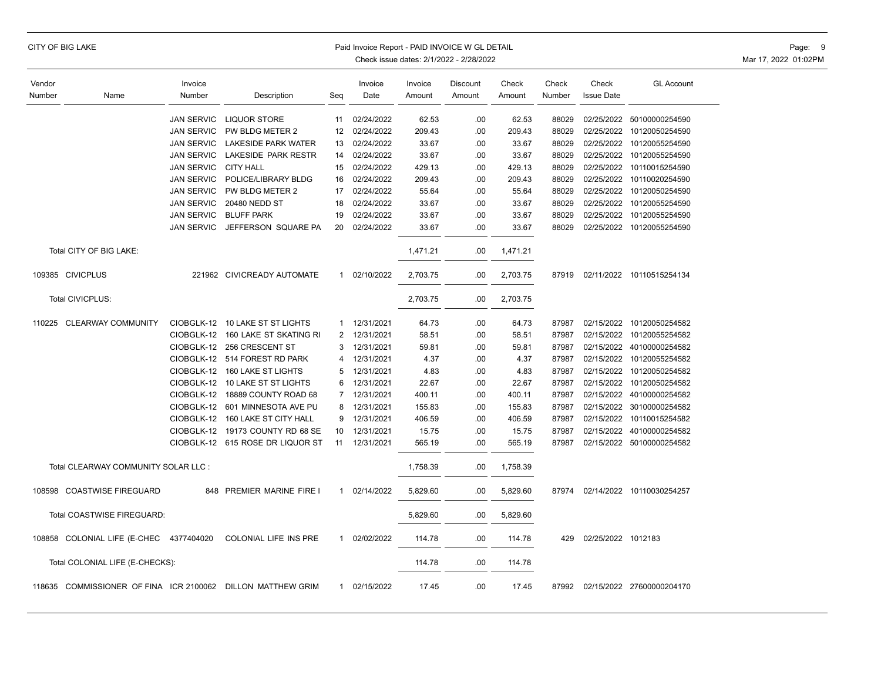|  |  |  | CITY OF BIG LAKE |
|--|--|--|------------------|
|--|--|--|------------------|

### Paid Invoice Report - PAID INVOICE W GL DETAIL **CONSERVATION** CONSERVATION Page: 9

| Vendor |                                                             | Invoice           |                                  |                | Invoice      | Invoice  | Discount | Check    | Check  | Check              | <b>GL Account</b>               |
|--------|-------------------------------------------------------------|-------------------|----------------------------------|----------------|--------------|----------|----------|----------|--------|--------------------|---------------------------------|
| Number | Name                                                        | Number            | Description                      | Seg            | Date         | Amount   | Amount   | Amount   | Number | <b>Issue Date</b>  |                                 |
|        |                                                             |                   |                                  |                |              |          |          |          |        |                    |                                 |
|        |                                                             | <b>JAN SERVIC</b> | <b>LIQUOR STORE</b>              | 11             | 02/24/2022   | 62.53    | .00      | 62.53    | 88029  |                    | 02/25/2022 50100000254590       |
|        |                                                             | <b>JAN SERVIC</b> | PW BLDG METER 2                  | 12             | 02/24/2022   | 209.43   | .00.     | 209.43   | 88029  | 02/25/2022         | 10120050254590                  |
|        |                                                             | <b>JAN SERVIC</b> | <b>LAKESIDE PARK WATER</b>       | 13             | 02/24/2022   | 33.67    | .00      | 33.67    | 88029  |                    | 02/25/2022 10120055254590       |
|        |                                                             | <b>JAN SERVIC</b> | LAKESIDE PARK RESTR              | 14             | 02/24/2022   | 33.67    | .00      | 33.67    | 88029  | 02/25/2022         | 10120055254590                  |
|        |                                                             | <b>JAN SERVIC</b> | <b>CITY HALL</b>                 | 15             | 02/24/2022   | 429.13   | .00.     | 429.13   | 88029  |                    | 02/25/2022 10110015254590       |
|        |                                                             | <b>JAN SERVIC</b> | POLICE/LIBRARY BLDG              | 16             | 02/24/2022   | 209.43   | .00      | 209.43   | 88029  | 02/25/2022         | 10110020254590                  |
|        |                                                             | <b>JAN SERVIC</b> | PW BLDG METER 2                  | 17             | 02/24/2022   | 55.64    | .00      | 55.64    | 88029  | 02/25/2022         | 10120050254590                  |
|        |                                                             | <b>JAN SERVIC</b> | 20480 NEDD ST                    | 18             | 02/24/2022   | 33.67    | .00.     | 33.67    | 88029  | 02/25/2022         | 10120055254590                  |
|        |                                                             | <b>JAN SERVIC</b> | <b>BLUFF PARK</b>                | 19             | 02/24/2022   | 33.67    | .00.     | 33.67    | 88029  | 02/25/2022         | 10120055254590                  |
|        |                                                             | <b>JAN SERVIC</b> | JEFFERSON SQUARE PA              | 20             | 02/24/2022   | 33.67    | .00      | 33.67    | 88029  |                    | 02/25/2022 10120055254590       |
|        | Total CITY OF BIG LAKE:                                     |                   |                                  |                |              | 1,471.21 | .00      | 1,471.21 |        |                    |                                 |
|        | 109385 CIVICPLUS                                            |                   | 221962 CIVICREADY AUTOMATE       | $\mathbf{1}$   | 02/10/2022   | 2,703.75 | .00      | 2,703.75 | 87919  |                    | 02/11/2022 10110515254134       |
|        | Total CIVICPLUS:                                            |                   |                                  |                |              | 2,703.75 | .00      | 2,703.75 |        |                    |                                 |
| 110225 | <b>CLEARWAY COMMUNITY</b>                                   | CIOBGLK-12        | 10 LAKE ST ST LIGHTS             | $\mathbf{1}$   | 12/31/2021   | 64.73    | .00.     | 64.73    | 87987  |                    | 02/15/2022 10120050254582       |
|        |                                                             | CIOBGLK-12        | 160 LAKE ST SKATING RI           | 2              | 12/31/2021   | 58.51    | .00.     | 58.51    | 87987  | 02/15/2022         | 10120055254582                  |
|        |                                                             | CIOBGLK-12        | 256 CRESCENT ST                  | 3              | 12/31/2021   | 59.81    | .00      | 59.81    | 87987  |                    | 02/15/2022 40100000254582       |
|        |                                                             |                   | CIOBGLK-12 514 FOREST RD PARK    | 4              | 12/31/2021   | 4.37     | .00      | 4.37     | 87987  |                    | 02/15/2022 10120055254582       |
|        |                                                             |                   | CIOBGLK-12 160 LAKE ST LIGHTS    | 5              | 12/31/2021   | 4.83     | .00      | 4.83     | 87987  |                    | 02/15/2022 10120050254582       |
|        |                                                             |                   | CIOBGLK-12 10 LAKE ST ST LIGHTS  | 6              | 12/31/2021   | 22.67    | .00      | 22.67    | 87987  | 02/15/2022         | 10120050254582                  |
|        |                                                             |                   | CIOBGLK-12 18889 COUNTY ROAD 68  | $\overline{7}$ | 12/31/2021   | 400.11   | .00.     | 400.11   | 87987  |                    | 02/15/2022 40100000254582       |
|        |                                                             | CIOBGLK-12        | 601 MINNESOTA AVE PU             | 8              | 12/31/2021   | 155.83   | .00      | 155.83   | 87987  |                    | 02/15/2022 30100000254582       |
|        |                                                             |                   | CIOBGLK-12 160 LAKE ST CITY HALL | 9              | 12/31/2021   | 406.59   | .00      | 406.59   | 87987  |                    | 02/15/2022 10110015254582       |
|        |                                                             |                   | CIOBGLK-12 19173 COUNTY RD 68 SE | 10             | 12/31/2021   | 15.75    | .00      | 15.75    | 87987  |                    | 02/15/2022 40100000254582       |
|        |                                                             |                   | CIOBGLK-12 615 ROSE DR LIQUOR ST | 11             | 12/31/2021   | 565.19   | .00      | 565.19   | 87987  |                    | 02/15/2022 50100000254582       |
|        | Total CLEARWAY COMMUNITY SOLAR LLC :                        |                   |                                  |                |              | 1,758.39 | .00      | 1,758.39 |        |                    |                                 |
| 108598 | <b>COASTWISE FIREGUARD</b>                                  | 848               | PREMIER MARINE FIRE I            | $\mathbf{1}$   | 02/14/2022   | 5,829.60 | .00      | 5,829.60 | 87974  |                    | 02/14/2022 10110030254257       |
|        | Total COASTWISE FIREGUARD:                                  |                   |                                  |                |              | 5,829.60 | .00      | 5,829.60 |        |                    |                                 |
|        | 108858 COLONIAL LIFE (E-CHEC 4377404020                     |                   | COLONIAL LIFE INS PRE            | $\mathbf{1}$   | 02/02/2022   | 114.78   | .00      | 114.78   | 429    | 02/25/2022 1012183 |                                 |
|        | Total COLONIAL LIFE (E-CHECKS):                             |                   |                                  |                |              | 114.78   | .00      | 114.78   |        |                    |                                 |
|        | 118635 COMMISSIONER OF FINA ICR 2100062 DILLON MATTHEW GRIM |                   |                                  |                | 1 02/15/2022 | 17.45    | .00.     | 17.45    |        |                    | 87992 02/15/2022 27600000204170 |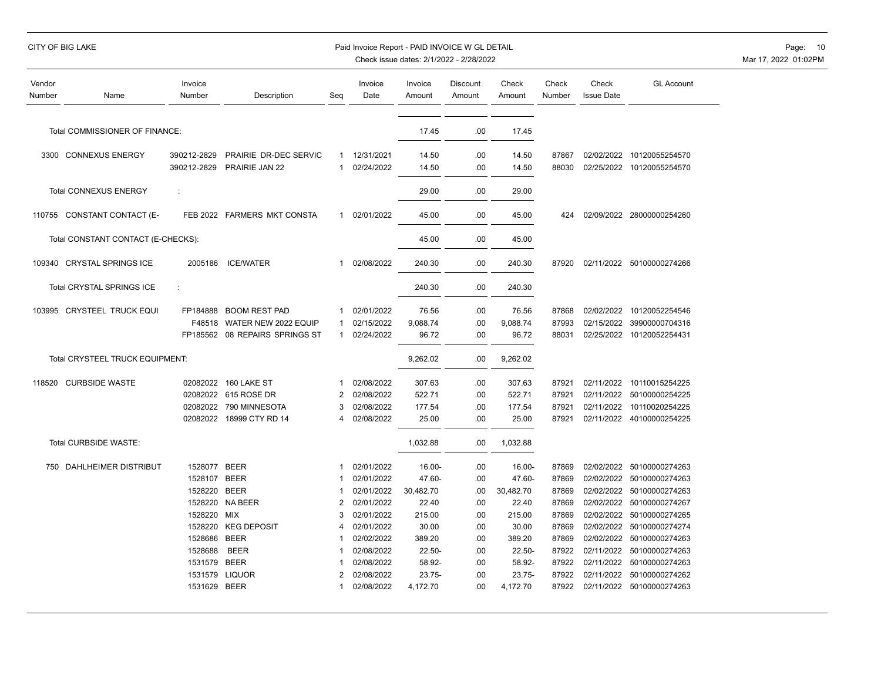## CITY OF BIG LAKE PAID INVOICE WORLD EXAMPLE PAID INVOICE WORLD DETAIL PAID INVOICE WORLD DETAIL PAGE: 10

| Vendor<br>Number | Name                               | Invoice<br>Number    | Description                    | Seg          | Invoice<br>Date          | Invoice<br>Amount | <b>Discount</b><br>Amount | Check<br>Amount  | Check<br>Number | Check<br><b>Issue Date</b> | <b>GL Account</b>                |
|------------------|------------------------------------|----------------------|--------------------------------|--------------|--------------------------|-------------------|---------------------------|------------------|-----------------|----------------------------|----------------------------------|
|                  | Total COMMISSIONER OF FINANCE:     |                      |                                |              |                          | 17.45             | .00                       | 17.45            |                 |                            |                                  |
|                  |                                    |                      |                                |              |                          |                   |                           |                  |                 |                            |                                  |
|                  | 3300 CONNEXUS ENERGY               | 390212-2829          | PRAIRIE DR-DEC SERVIC          | $\mathbf{1}$ | 12/31/2021               | 14.50             | .00                       | 14.50            | 87867           |                            | 02/02/2022 10120055254570        |
|                  |                                    | 390212-2829          | PRAIRIE JAN 22                 | $\mathbf 1$  | 02/24/2022               | 14.50             | .00                       | 14.50            | 88030           |                            | 02/25/2022 10120055254570        |
|                  | <b>Total CONNEXUS ENERGY</b>       | $\ddot{\phantom{a}}$ |                                |              |                          | 29.00             | .00                       | 29.00            |                 |                            |                                  |
|                  | 110755 CONSTANT CONTACT (E-        |                      | FEB 2022 FARMERS MKT CONSTA    | $\mathbf{1}$ | 02/01/2022               | 45.00             | .00                       | 45.00            | 424             |                            | 02/09/2022 28000000254260        |
|                  | Total CONSTANT CONTACT (E-CHECKS): |                      |                                |              |                          | 45.00             | .00                       | 45.00            |                 |                            |                                  |
|                  | 109340 CRYSTAL SPRINGS ICE         | 2005186              | <b>ICE/WATER</b>               | $\mathbf{1}$ | 02/08/2022               | 240.30            | .00                       | 240.30           | 87920           |                            | 02/11/2022 50100000274266        |
|                  | Total CRYSTAL SPRINGS ICE          | ÷                    |                                |              |                          | 240.30            | .00                       | 240.30           |                 |                            |                                  |
|                  | 103995 CRYSTEEL TRUCK EQUI         | FP184888             | <b>BOOM REST PAD</b>           | -1           | 02/01/2022               | 76.56             | .00.                      | 76.56            | 87868           |                            | 02/02/2022 10120052254546        |
|                  |                                    | F48518               | WATER NEW 2022 EQUIP           | -1           | 02/15/2022               | 9,088.74          | .00                       | 9,088.74         | 87993           | 02/15/2022                 | 39900000704316                   |
|                  |                                    |                      | FP185562 08 REPAIRS SPRINGS ST | $\mathbf{1}$ | 02/24/2022               | 96.72             | .00                       | 96.72            | 88031           |                            | 02/25/2022 10120052254431        |
|                  | Total CRYSTEEL TRUCK EQUIPMENT:    |                      |                                |              |                          | 9,262.02          | .00                       | 9,262.02         |                 |                            |                                  |
|                  |                                    |                      |                                |              |                          |                   |                           |                  |                 |                            |                                  |
| 118520           | <b>CURBSIDE WASTE</b>              | 02082022             | 160 LAKE ST                    | 2            | 02/08/2022               | 307.63            | .00                       | 307.63           | 87921           | 02/11/2022                 | 10110015254225                   |
|                  |                                    | 02082022<br>02082022 | 615 ROSE DR<br>790 MINNESOTA   | 3            | 02/08/2022<br>02/08/2022 | 522.71<br>177.54  | .00.<br>.00               | 522.71<br>177.54 | 87921<br>87921  | 02/11/2022<br>02/11/2022   | 50100000254225<br>10110020254225 |
|                  |                                    | 02082022             | 18999 CTY RD 14                |              | 02/08/2022               | 25.00             | .00                       | 25.00            | 87921           |                            | 02/11/2022 40100000254225        |
|                  |                                    |                      |                                |              |                          |                   |                           |                  |                 |                            |                                  |
|                  | Total CURBSIDE WASTE:              |                      |                                |              |                          | 1,032.88          | .00                       | 1,032.88         |                 |                            |                                  |
|                  | 750 DAHLHEIMER DISTRIBUT           | 1528077 BEER         |                                |              | 02/01/2022               | 16.00-            | .00                       | 16.00-           | 87869           | 02/02/2022                 | 50100000274263                   |
|                  |                                    | 1528107 BEER         |                                |              | 02/01/2022               | 47.60-            | .00                       | 47.60-           | 87869           |                            | 02/02/2022 50100000274263        |
|                  |                                    | 1528220              | <b>BEER</b>                    |              | 02/01/2022               | 30,482.70         | .00                       | 30,482.70        | 87869           |                            | 02/02/2022 50100000274263        |
|                  |                                    |                      | 1528220 NA BEER                | 2            | 02/01/2022               | 22.40             | .00                       | 22.40            | 87869           |                            | 02/02/2022 50100000274267        |
|                  |                                    | 1528220              | MIX                            | 3            | 02/01/2022               | 215.00            | .00                       | 215.00           | 87869           |                            | 02/02/2022 50100000274265        |
|                  |                                    | 1528220              | <b>KEG DEPOSIT</b>             | 4            | 02/01/2022               | 30.00             | .00                       | 30.00            | 87869           |                            | 02/02/2022 50100000274274        |
|                  |                                    | 1528686              | <b>BEER</b>                    |              | 02/02/2022               | 389.20            | .00                       | 389.20           | 87869           | 02/02/2022                 | 50100000274263                   |
|                  |                                    | 1528688              | <b>BEER</b>                    |              | 02/08/2022               | $22.50 -$         | .00                       | $22.50 -$        | 87922           | 02/11/2022                 | 50100000274263                   |
|                  |                                    | 1531579              | <b>BEER</b>                    |              | 02/08/2022               | 58.92-            | .00                       | 58.92-           | 87922           | 02/11/2022                 | 50100000274263                   |
|                  |                                    | 1531579              | <b>LIQUOR</b>                  | 2            | 02/08/2022               | 23.75-            | .00                       | $23.75 -$        | 87922           | 02/11/2022                 | 50100000274262                   |
|                  |                                    | 1531629 BEER         |                                |              | 02/08/2022               | 4,172.70          | .00                       | 4,172.70         | 87922           |                            | 02/11/2022 50100000274263        |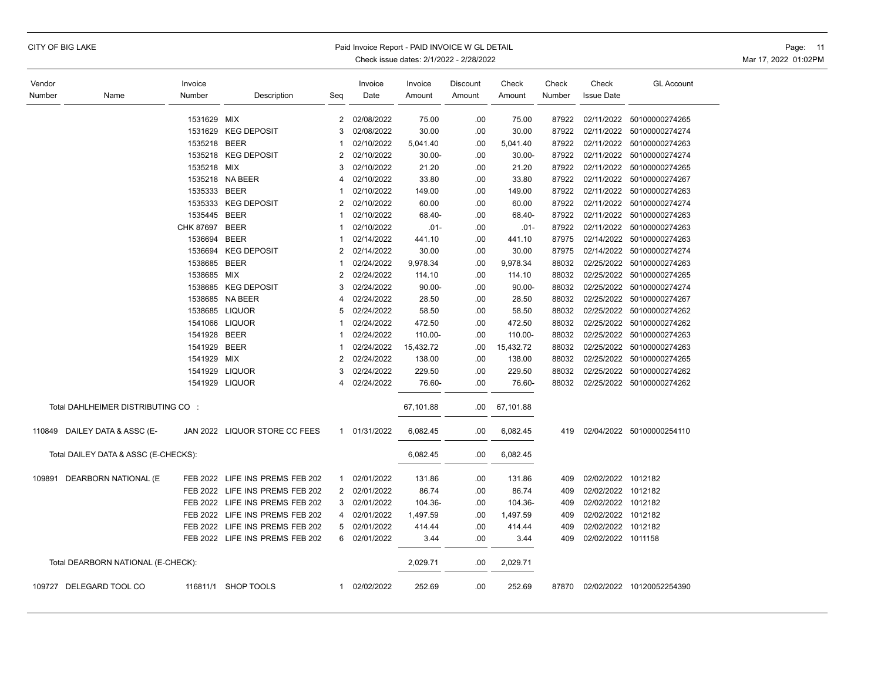|  |  |  | CITY OF BIG LAKE |
|--|--|--|------------------|
|--|--|--|------------------|

### Paid Invoice Report - PAID INVOICE W GL DETAIL **Page:** 11

| Vendor |                                      | Invoice        |                                 |                | Invoice                  | Invoice               | Discount   | Check                 | Check          | Check                    | <b>GL Account</b>                |
|--------|--------------------------------------|----------------|---------------------------------|----------------|--------------------------|-----------------------|------------|-----------------------|----------------|--------------------------|----------------------------------|
| Number | Name                                 | Number         | Description                     | Seg            | Date                     | Amount                | Amount     | Amount                | Number         | <b>Issue Date</b>        |                                  |
|        |                                      |                |                                 |                |                          |                       |            |                       |                |                          |                                  |
|        |                                      | 1531629 MIX    |                                 | 2<br>3         | 02/08/2022               | 75.00                 | .00        | 75.00                 | 87922<br>87922 | 02/11/2022               | 50100000274265                   |
|        |                                      | 1535218 BEER   | 1531629 KEG DEPOSIT             |                | 02/08/2022<br>02/10/2022 | 30.00                 | .00        | 30.00                 | 87922          | 02/11/2022<br>02/11/2022 | 50100000274274                   |
|        |                                      |                | 1535218 KEG DEPOSIT             | 2              | 02/10/2022               | 5,041.40<br>$30.00 -$ | .00<br>.00 | 5,041.40<br>$30.00 -$ | 87922          | 02/11/2022               | 50100000274263<br>50100000274274 |
|        |                                      | 1535218 MIX    |                                 | 3              | 02/10/2022               | 21.20                 | .00        | 21.20                 | 87922          | 02/11/2022               | 50100000274265                   |
|        |                                      |                | 1535218 NA BEER                 | 4              | 02/10/2022               | 33.80                 | .00        | 33.80                 | 87922          | 02/11/2022               | 50100000274267                   |
|        |                                      | 1535333 BEER   |                                 | 1              | 02/10/2022               | 149.00                | .00        | 149.00                | 87922          | 02/11/2022               | 50100000274263                   |
|        |                                      |                | 1535333 KEG DEPOSIT             | $\overline{2}$ | 02/10/2022               | 60.00                 | .00        | 60.00                 | 87922          |                          | 02/11/2022 50100000274274        |
|        |                                      | 1535445 BEER   |                                 | 1              | 02/10/2022               | 68.40-                | .00        | 68.40-                | 87922          | 02/11/2022               | 50100000274263                   |
|        |                                      | CHK 87697 BEER |                                 |                | 02/10/2022               | $.01 -$               | .00        | $.01 -$               | 87922          | 02/11/2022               | 50100000274263                   |
|        |                                      | 1536694 BEER   |                                 | 1              | 02/14/2022               | 441.10                | .00        | 441.10                | 87975          | 02/14/2022               | 50100000274263                   |
|        |                                      |                | 1536694 KEG DEPOSIT             | $\overline{2}$ | 02/14/2022               | 30.00                 | .00        | 30.00                 | 87975          | 02/14/2022               | 50100000274274                   |
|        |                                      | 1538685 BEER   |                                 | 1              | 02/24/2022               | 9,978.34              | .00        | 9,978.34              | 88032          | 02/25/2022               | 50100000274263                   |
|        |                                      | 1538685 MIX    |                                 | $\overline{2}$ | 02/24/2022               | 114.10                | .00        | 114.10                | 88032          | 02/25/2022               | 50100000274265                   |
|        |                                      |                | 1538685 KEG DEPOSIT             | 3              | 02/24/2022               | $90.00 -$             | .00        | $90.00 -$             | 88032          |                          | 02/25/2022 50100000274274        |
|        |                                      |                | 1538685 NA BEER                 | 4              | 02/24/2022               | 28.50                 | .00        | 28.50                 | 88032          | 02/25/2022               | 50100000274267                   |
|        |                                      |                | 1538685 LIQUOR                  | 5              | 02/24/2022               | 58.50                 | .00        | 58.50                 | 88032          | 02/25/2022               | 50100000274262                   |
|        |                                      |                | 1541066 LIQUOR                  | 1              | 02/24/2022               | 472.50                | .00        | 472.50                | 88032          | 02/25/2022               | 50100000274262                   |
|        |                                      | 1541928 BEER   |                                 | 1              | 02/24/2022               | 110.00-               | .00        | 110.00-               | 88032          |                          | 02/25/2022 50100000274263        |
|        |                                      | 1541929 BEER   |                                 | 1              | 02/24/2022               | 15,432.72             | .00        | 15,432.72             | 88032          | 02/25/2022               | 50100000274263                   |
|        |                                      | 1541929 MIX    |                                 | $\overline{2}$ | 02/24/2022               | 138.00                | .00        | 138.00                | 88032          | 02/25/2022               | 50100000274265                   |
|        |                                      |                | 1541929 LIQUOR                  | 3              | 02/24/2022               | 229.50                | .00        | 229.50                | 88032          |                          | 02/25/2022 50100000274262        |
|        |                                      |                | 1541929 LIQUOR                  | 4              | 02/24/2022               | 76.60-                | .00        | 76.60-                | 88032          |                          | 02/25/2022 50100000274262        |
|        |                                      |                |                                 |                |                          |                       |            |                       |                |                          |                                  |
|        | Total DAHLHEIMER DISTRIBUTING CO :   |                |                                 |                |                          | 67,101.88             | .00        | 67,101.88             |                |                          |                                  |
|        | 110849 DAILEY DATA & ASSC (E-        |                | JAN 2022 LIQUOR STORE CC FEES   |                | 1 01/31/2022             | 6,082.45              | .00        | 6,082.45              | 419            |                          | 02/04/2022 50100000254110        |
|        | Total DAILEY DATA & ASSC (E-CHECKS): |                |                                 |                |                          | 6,082.45              | .00        | 6,082.45              |                |                          |                                  |
| 109891 | DEARBORN NATIONAL (E                 |                | FEB 2022 LIFE INS PREMS FEB 202 | 1              | 02/01/2022               | 131.86                | .00        | 131.86                | 409            | 02/02/2022 1012182       |                                  |
|        |                                      |                | FEB 2022 LIFE INS PREMS FEB 202 | 2              | 02/01/2022               | 86.74                 | .00        | 86.74                 | 409            | 02/02/2022 1012182       |                                  |
|        |                                      |                | FEB 2022 LIFE INS PREMS FEB 202 | 3              | 02/01/2022               | 104.36-               | .00        | 104.36-               | 409            | 02/02/2022 1012182       |                                  |
|        |                                      |                | FEB 2022 LIFE INS PREMS FEB 202 | 4              | 02/01/2022               | 1,497.59              | .00        | 1,497.59              | 409            | 02/02/2022 1012182       |                                  |
|        |                                      |                | FEB 2022 LIFE INS PREMS FEB 202 | 5              | 02/01/2022               | 414.44                | .00        | 414.44                | 409            | 02/02/2022 1012182       |                                  |
|        |                                      |                | FEB 2022 LIFE INS PREMS FEB 202 | 6              | 02/01/2022               | 3.44                  | .00        | 3.44                  | 409            | 02/02/2022 1011158       |                                  |
|        | Total DEARBORN NATIONAL (E-CHECK):   |                |                                 |                |                          | 2,029.71              | .00        | 2,029.71              |                |                          |                                  |
|        | 109727 DELEGARD TOOL CO              | 116811/1       | <b>SHOP TOOLS</b>               | 1              | 02/02/2022               | 252.69                | .00        | 252.69                | 87870          |                          | 02/02/2022 10120052254390        |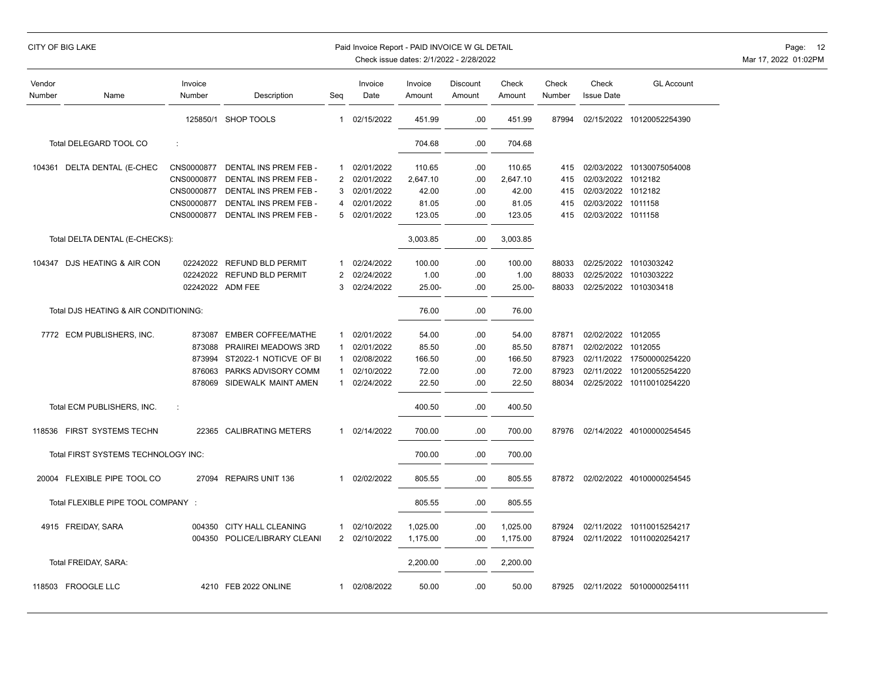## CITY OF BIG LAKE PAID INVOICE WORLD EXAMPLE PAID INVOICE WORLD DETAIL PAID INVOICE WORLD DETAIL PAGE: 12

| Vendor<br>Number | Name                                  | Invoice<br>Number | Description                  | Seg            | Invoice<br>Date | Invoice<br>Amount | <b>Discount</b><br>Amount | Check<br>Amount | Check<br>Number | Check<br><b>Issue Date</b> | <b>GL Account</b>         |
|------------------|---------------------------------------|-------------------|------------------------------|----------------|-----------------|-------------------|---------------------------|-----------------|-----------------|----------------------------|---------------------------|
|                  |                                       |                   | 125850/1 SHOP TOOLS          | $\mathbf{1}$   | 02/15/2022      | 451.99            | .00                       | 451.99          | 87994           |                            | 02/15/2022 10120052254390 |
|                  | Total DELEGARD TOOL CO                | ċ                 |                              |                |                 | 704.68            | .00                       | 704.68          |                 |                            |                           |
|                  | 104361 DELTA DENTAL (E-CHEC           | CNS0000877        | DENTAL INS PREM FEB -        | 1              | 02/01/2022      | 110.65            | .00                       | 110.65          | 415             |                            | 02/03/2022 10130075054008 |
|                  |                                       | CNS0000877        | DENTAL INS PREM FEB -        | 2              | 02/01/2022      | 2,647.10          | .00                       | 2,647.10        | 415             | 02/03/2022 1012182         |                           |
|                  |                                       | CNS0000877        | DENTAL INS PREM FEB -        | 3              | 02/01/2022      | 42.00             | .00                       | 42.00           | 415             | 02/03/2022 1012182         |                           |
|                  |                                       | CNS0000877        | DENTAL INS PREM FEB -        | 4              | 02/01/2022      | 81.05             | .00                       | 81.05           | 415             | 02/03/2022 1011158         |                           |
|                  |                                       | CNS0000877        | DENTAL INS PREM FEB -        | 5              | 02/01/2022      | 123.05            | .00                       | 123.05          | 415             | 02/03/2022 1011158         |                           |
|                  | Total DELTA DENTAL (E-CHECKS):        |                   |                              |                |                 | 3,003.85          | .00                       | 3,003.85        |                 |                            |                           |
|                  | 104347 DJS HEATING & AIR CON          | 02242022          | <b>REFUND BLD PERMIT</b>     | -1             | 02/24/2022      | 100.00            | .00                       | 100.00          | 88033           |                            | 02/25/2022 1010303242     |
|                  |                                       | 02242022          | <b>REFUND BLD PERMIT</b>     | $\overline{2}$ | 02/24/2022      | 1.00              | .00                       | 1.00            | 88033           | 02/25/2022                 | 1010303222                |
|                  |                                       |                   | 02242022 ADM FEE             | 3              | 02/24/2022      | $25.00 -$         | .00                       | 25.00-          | 88033           |                            | 02/25/2022 1010303418     |
|                  | Total DJS HEATING & AIR CONDITIONING: |                   |                              |                |                 | 76.00             | .00                       | 76.00           |                 |                            |                           |
|                  | 7772 ECM PUBLISHERS, INC.             | 873087            | <b>EMBER COFFEE/MATHE</b>    | $\mathbf{1}$   | 02/01/2022      | 54.00             | .00                       | 54.00           | 87871           | 02/02/2022 1012055         |                           |
|                  |                                       | 873088            | PRAIIREI MEADOWS 3RD         | $\mathbf 1$    | 02/01/2022      | 85.50             | .00                       | 85.50           | 87871           | 02/02/2022 1012055         |                           |
|                  |                                       | 873994            | ST2022-1 NOTICVE OF BI       | $\mathbf 1$    | 02/08/2022      | 166.50            | .00                       | 166.50          | 87923           | 02/11/2022                 | 17500000254220            |
|                  |                                       | 876063            | PARKS ADVISORY COMM          | $\mathbf{1}$   | 02/10/2022      | 72.00             | .00                       | 72.00           | 87923           | 02/11/2022                 | 10120055254220            |
|                  |                                       | 878069            | SIDEWALK MAINT AMEN          | $\mathbf 1$    | 02/24/2022      | 22.50             | .00                       | 22.50           | 88034           | 02/25/2022                 | 10110010254220            |
|                  | Total ECM PUBLISHERS, INC.            | ÷                 |                              |                |                 | 400.50            | .00                       | 400.50          |                 |                            |                           |
|                  | 118536 FIRST SYSTEMS TECHN            | 22365             | <b>CALIBRATING METERS</b>    | 1              | 02/14/2022      | 700.00            | .00                       | 700.00          | 87976           |                            | 02/14/2022 40100000254545 |
|                  | Total FIRST SYSTEMS TECHNOLOGY INC:   |                   |                              |                |                 | 700.00            | .00                       | 700.00          |                 |                            |                           |
|                  | 20004 FLEXIBLE PIPE TOOL CO           | 27094             | <b>REPAIRS UNIT 136</b>      | 1              | 02/02/2022      | 805.55            | .00                       | 805.55          | 87872           |                            | 02/02/2022 40100000254545 |
|                  | Total FLEXIBLE PIPE TOOL COMPANY :    |                   |                              |                |                 | 805.55            | .00                       | 805.55          |                 |                            |                           |
|                  | 4915 FREIDAY, SARA                    | 004350            | <b>CITY HALL CLEANING</b>    | $\mathbf{1}$   | 02/10/2022      | 1,025.00          | .00                       | 1,025.00        | 87924           | 02/11/2022                 | 10110015254217            |
|                  |                                       |                   | 004350 POLICE/LIBRARY CLEANI | $\overline{2}$ | 02/10/2022      | 1,175.00          | .00                       | 1,175.00        | 87924           | 02/11/2022                 | 10110020254217            |
|                  | Total FREIDAY, SARA:                  |                   |                              |                |                 | 2,200.00          | .00                       | 2,200.00        |                 |                            |                           |
|                  | 118503 FROOGLE LLC                    |                   | 4210 FEB 2022 ONLINE         | 1              | 02/08/2022      | 50.00             | .00                       | 50.00           | 87925           |                            | 02/11/2022 50100000254111 |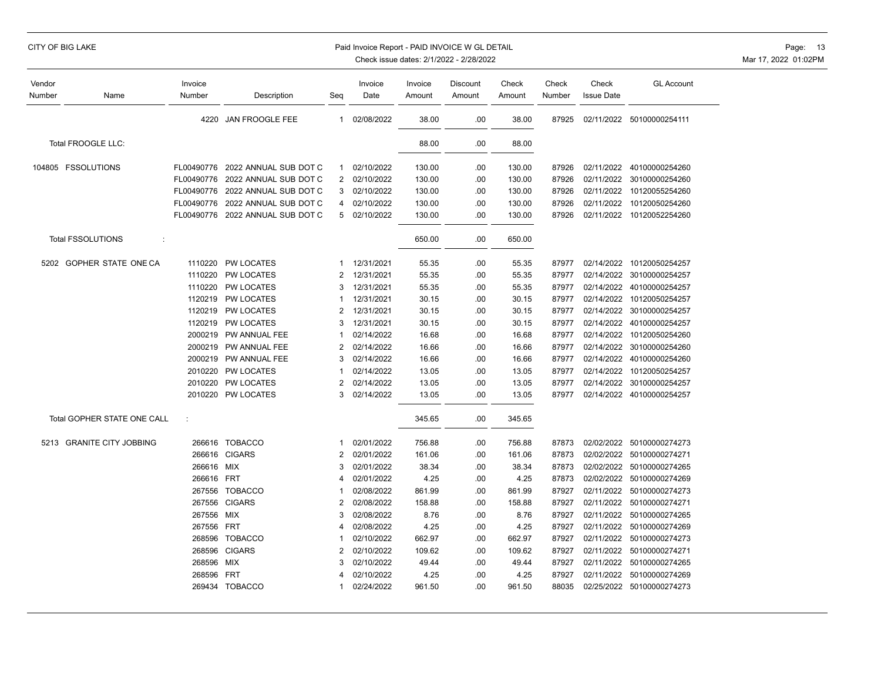## CITY OF BIG LAKE PAID INVOICE WORLD EXAMPLE PAID INVOICE WORLD DETAIL PAID INVOICE WORLD DETAIL PAGE: 13

| Vendor<br>Number | Name                          | Invoice<br>Number | Description           | Seg            | Invoice<br>Date | Invoice<br>Amount | Discount<br>Amount | Check<br>Amount | Check<br>Number | Check<br><b>Issue Date</b> | <b>GL Account</b>         |
|------------------|-------------------------------|-------------------|-----------------------|----------------|-----------------|-------------------|--------------------|-----------------|-----------------|----------------------------|---------------------------|
|                  |                               | 4220              | JAN FROOGLE FEE       | 1              | 02/08/2022      | 38.00             | .00                | 38.00           | 87925           |                            | 02/11/2022 50100000254111 |
|                  | Total FROOGLE LLC:            |                   |                       |                |                 | 88.00             | .00                | 88.00           |                 |                            |                           |
|                  | 104805 FSSOLUTIONS            | FL00490776        | 2022 ANNUAL SUB DOT C | 1              | 02/10/2022      | 130.00            | .00                | 130.00          | 87926           | 02/11/2022                 | 40100000254260            |
|                  |                               | FL00490776        | 2022 ANNUAL SUB DOT C | $\overline{2}$ | 02/10/2022      | 130.00            | .00                | 130.00          | 87926           | 02/11/2022                 | 30100000254260            |
|                  |                               | FL00490776        | 2022 ANNUAL SUB DOT C | 3              | 02/10/2022      | 130.00            | .00                | 130.00          | 87926           | 02/11/2022                 | 10120055254260            |
|                  |                               | FL00490776        | 2022 ANNUAL SUB DOT C | 4              | 02/10/2022      | 130.00            | .00                | 130.00          | 87926           | 02/11/2022                 | 10120050254260            |
|                  |                               | FL00490776        | 2022 ANNUAL SUB DOT C | 5              | 02/10/2022      | 130.00            | .00                | 130.00          | 87926           | 02/11/2022                 | 10120052254260            |
|                  | <b>Total FSSOLUTIONS</b><br>÷ |                   |                       |                |                 | 650.00            | .00                | 650.00          |                 |                            |                           |
|                  | 5202 GOPHER STATE ONE CA      | 1110220           | PW LOCATES            | 1              | 12/31/2021      | 55.35             | .00                | 55.35           | 87977           | 02/14/2022                 | 10120050254257            |
|                  |                               | 1110220           | PW LOCATES            | $\overline{2}$ | 12/31/2021      | 55.35             | .00                | 55.35           | 87977           |                            | 02/14/2022 30100000254257 |
|                  |                               | 1110220           | <b>PW LOCATES</b>     | 3              | 12/31/2021      | 55.35             | .00                | 55.35           | 87977           | 02/14/2022                 | 40100000254257            |
|                  |                               | 1120219           | <b>PW LOCATES</b>     |                | 12/31/2021      | 30.15             | .00                | 30.15           | 87977           | 02/14/2022                 | 10120050254257            |
|                  |                               | 1120219           | <b>PW LOCATES</b>     | 2              | 12/31/2021      | 30.15             | .00                | 30.15           | 87977           | 02/14/2022                 | 30100000254257            |
|                  |                               | 1120219           | <b>PW LOCATES</b>     | 3              | 12/31/2021      | 30.15             | .00                | 30.15           | 87977           | 02/14/2022                 | 40100000254257            |
|                  |                               | 2000219           | PW ANNUAL FEE         | -1             | 02/14/2022      | 16.68             | .00                | 16.68           | 87977           | 02/14/2022                 | 10120050254260            |
|                  |                               | 2000219           | PW ANNUAL FEE         | 2              | 02/14/2022      | 16.66             | .00.               | 16.66           | 87977           | 02/14/2022                 | 30100000254260            |
|                  |                               | 2000219           | PW ANNUAL FEE         | 3              | 02/14/2022      | 16.66             | .00                | 16.66           | 87977           | 02/14/2022                 | 40100000254260            |
|                  |                               | 2010220           | PW LOCATES            |                | 02/14/2022      | 13.05             | .00                | 13.05           | 87977           | 02/14/2022                 | 10120050254257            |
|                  |                               | 2010220           | PW LOCATES            | $\overline{2}$ | 02/14/2022      | 13.05             | .00                | 13.05           | 87977           | 02/14/2022                 | 30100000254257            |
|                  |                               | 2010220           | <b>PW LOCATES</b>     | 3              | 02/14/2022      | 13.05             | .00                | 13.05           | 87977           |                            | 02/14/2022 40100000254257 |
|                  | Total GOPHER STATE ONE CALL   | ÷                 |                       |                |                 | 345.65            | .00                | 345.65          |                 |                            |                           |
|                  | 5213 GRANITE CITY JOBBING     |                   | 266616 TOBACCO        | -1             | 02/01/2022      | 756.88            | .00                | 756.88          | 87873           |                            | 02/02/2022 50100000274273 |
|                  |                               | 266616            | <b>CIGARS</b>         | $\overline{2}$ | 02/01/2022      | 161.06            | .00                | 161.06          | 87873           |                            | 02/02/2022 50100000274271 |
|                  |                               | 266616            | MIX                   | 3              | 02/01/2022      | 38.34             | .00                | 38.34           | 87873           | 02/02/2022                 | 50100000274265            |
|                  |                               | 266616 FRT        |                       | 4              | 02/01/2022      | 4.25              | .00.               | 4.25            | 87873           | 02/02/2022                 | 50100000274269            |
|                  |                               | 267556            | <b>TOBACCO</b>        |                | 02/08/2022      | 861.99            | .00.               | 861.99          | 87927           | 02/11/2022                 | 50100000274273            |
|                  |                               | 267556            | <b>CIGARS</b>         | 2              | 02/08/2022      | 158.88            | .00                | 158.88          | 87927           | 02/11/2022                 | 50100000274271            |
|                  |                               | 267556            | MIX                   | 3              | 02/08/2022      | 8.76              | .00                | 8.76            | 87927           | 02/11/2022                 | 50100000274265            |
|                  |                               | 267556            | <b>FRT</b>            | 4              | 02/08/2022      | 4.25              | .00.               | 4.25            | 87927           | 02/11/2022                 | 50100000274269            |
|                  |                               | 268596            | <b>TOBACCO</b>        |                | 02/10/2022      | 662.97            | .00                | 662.97          | 87927           | 02/11/2022                 | 50100000274273            |
|                  |                               | 268596            | <b>CIGARS</b>         | $\overline{2}$ | 02/10/2022      | 109.62            | .00                | 109.62          | 87927           | 02/11/2022                 | 50100000274271            |
|                  |                               | 268596            | MIX                   | 3              | 02/10/2022      | 49.44             | .00.               | 49.44           | 87927           | 02/11/2022                 | 50100000274265            |
|                  |                               | 268596            | <b>FRT</b>            |                | 02/10/2022      | 4.25              | .00                | 4.25            | 87927           | 02/11/2022                 | 50100000274269            |
|                  |                               |                   | 269434 TOBACCO        | -1             | 02/24/2022      | 961.50            | .00.               | 961.50          | 88035           |                            | 02/25/2022 50100000274273 |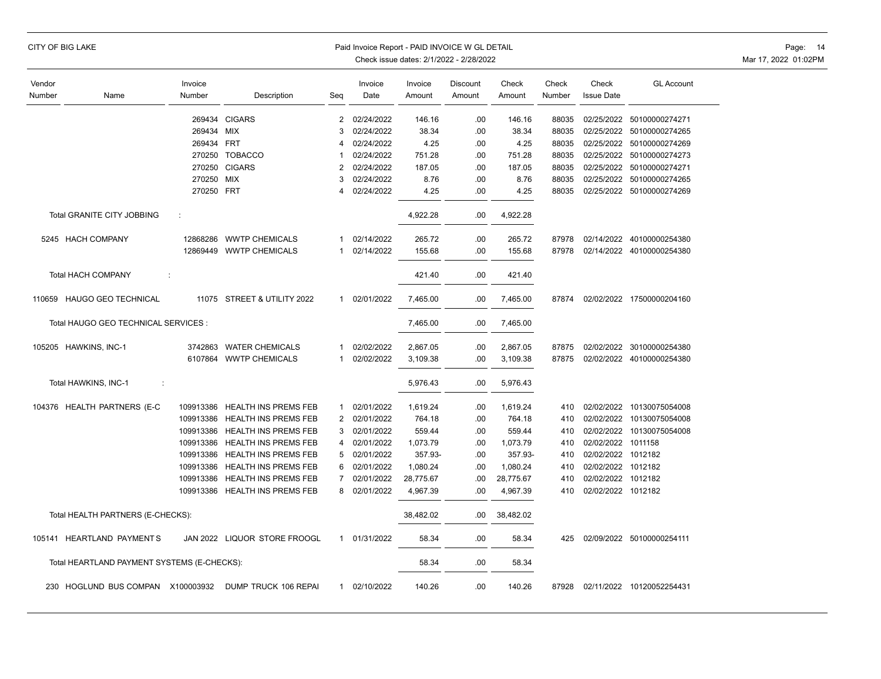|                  | CITY OF BIG LAKE                            |                   |                                |                | Paid Invoice Report - PAID INVOICE W GL DETAIL |                   | Check issue dates: 2/1/2022 - 2/28/2022 |                 |                 |                            |                           | Page: 14<br>Mar 17, 2022 01:02PM |
|------------------|---------------------------------------------|-------------------|--------------------------------|----------------|------------------------------------------------|-------------------|-----------------------------------------|-----------------|-----------------|----------------------------|---------------------------|----------------------------------|
| Vendor<br>Number | Name                                        | Invoice<br>Number | Description                    | Seq            | Invoice<br>Date                                | Invoice<br>Amount | Discount<br>Amount                      | Check<br>Amount | Check<br>Number | Check<br><b>Issue Date</b> | <b>GL Account</b>         |                                  |
|                  |                                             | 269434            | <b>CIGARS</b>                  | $\overline{2}$ | 02/24/2022                                     | 146.16            | .00                                     | 146.16          | 88035           | 02/25/2022                 | 50100000274271            |                                  |
|                  |                                             | 269434            | <b>MIX</b>                     | 3              | 02/24/2022                                     | 38.34             | .00                                     | 38.34           | 88035           |                            | 02/25/2022 50100000274265 |                                  |
|                  |                                             | 269434            | <b>FRT</b>                     | 4              | 02/24/2022                                     | 4.25              | .00                                     | 4.25            | 88035           |                            | 02/25/2022 50100000274269 |                                  |
|                  |                                             |                   | 270250 TOBACCO                 | -1             | 02/24/2022                                     | 751.28            | .00                                     | 751.28          | 88035           |                            | 02/25/2022 50100000274273 |                                  |
|                  |                                             | 270250            | <b>CIGARS</b>                  | 2              | 02/24/2022                                     | 187.05            | .00                                     | 187.05          | 88035           |                            | 02/25/2022 50100000274271 |                                  |
|                  |                                             | 270250            | <b>MIX</b>                     | 3              | 02/24/2022                                     | 8.76              | .00                                     | 8.76            | 88035           | 02/25/2022                 | 50100000274265            |                                  |
|                  |                                             | 270250 FRT        |                                | $\overline{4}$ | 02/24/2022                                     | 4.25              | .00                                     | 4.25            | 88035           |                            | 02/25/2022 50100000274269 |                                  |
|                  | Total GRANITE CITY JOBBING                  | ÷                 |                                |                |                                                | 4,922.28          | .00.                                    | 4,922.28        |                 |                            |                           |                                  |
|                  | 5245 HACH COMPANY                           | 12868286          | <b>WWTP CHEMICALS</b>          | 1              | 02/14/2022                                     | 265.72            | .00                                     | 265.72          | 87978           |                            | 02/14/2022 40100000254380 |                                  |
|                  |                                             | 12869449          | <b>WWTP CHEMICALS</b>          | 1              | 02/14/2022                                     | 155.68            | .00                                     | 155.68          | 87978           |                            | 02/14/2022 40100000254380 |                                  |
|                  | <b>Total HACH COMPANY</b>                   | ÷                 |                                |                |                                                | 421.40            | .00                                     | 421.40          |                 |                            |                           |                                  |
|                  | 110659 HAUGO GEO TECHNICAL                  |                   | 11075 STREET & UTILITY 2022    | $\mathbf{1}$   | 02/01/2022                                     | 7,465.00          | .00                                     | 7,465.00        | 87874           |                            | 02/02/2022 17500000204160 |                                  |
|                  | Total HAUGO GEO TECHNICAL SERVICES :        |                   |                                |                |                                                | 7,465.00          | .00                                     | 7,465.00        |                 |                            |                           |                                  |
|                  | 105205 HAWKINS, INC-1                       | 3742863           | <b>WATER CHEMICALS</b>         | 1              | 02/02/2022                                     | 2,867.05          | .00                                     | 2,867.05        | 87875           |                            | 02/02/2022 30100000254380 |                                  |
|                  |                                             | 6107864           | <b>WWTP CHEMICALS</b>          | $\mathbf{1}$   | 02/02/2022                                     | 3,109.38          | .00                                     | 3,109.38        | 87875           |                            | 02/02/2022 40100000254380 |                                  |
|                  | Total HAWKINS, INC-1<br>÷                   |                   |                                |                |                                                | 5,976.43          | .00                                     | 5,976.43        |                 |                            |                           |                                  |
|                  | 104376 HEALTH PARTNERS (E-C                 | 109913386         | <b>HEALTH INS PREMS FEB</b>    | 1              | 02/01/2022                                     | 1,619.24          | .00                                     | 1,619.24        | 410             |                            | 02/02/2022 10130075054008 |                                  |
|                  |                                             | 109913386         | <b>HEALTH INS PREMS FEB</b>    | $\overline{2}$ | 02/01/2022                                     | 764.18            | .00                                     | 764.18          | 410             |                            | 02/02/2022 10130075054008 |                                  |
|                  |                                             | 109913386         | HEALTH INS PREMS FEB           | 3              | 02/01/2022                                     | 559.44            | .00                                     | 559.44          | 410             |                            | 02/02/2022 10130075054008 |                                  |
|                  |                                             | 109913386         | <b>HEALTH INS PREMS FEB</b>    | 4              | 02/01/2022                                     | 1,073.79          | .00                                     | 1,073.79        | 410             | 02/02/2022 1011158         |                           |                                  |
|                  |                                             | 109913386         | <b>HEALTH INS PREMS FEB</b>    | 5              | 02/01/2022                                     | 357.93-           | .00                                     | 357.93-         | 410             | 02/02/2022 1012182         |                           |                                  |
|                  |                                             | 109913386         | <b>HEALTH INS PREMS FEB</b>    | 6              | 02/01/2022                                     | 1,080.24          | .00                                     | 1,080.24        | 410             | 02/02/2022 1012182         |                           |                                  |
|                  |                                             | 109913386         | <b>HEALTH INS PREMS FEB</b>    | $\overline{7}$ | 02/01/2022                                     | 28,775.67         | .00                                     | 28,775.67       | 410             | 02/02/2022 1012182         |                           |                                  |
|                  |                                             |                   | 109913386 HEALTH INS PREMS FEB | 8              | 02/01/2022                                     | 4,967.39          | .00                                     | 4,967.39        | 410             | 02/02/2022 1012182         |                           |                                  |
|                  | Total HEALTH PARTNERS (E-CHECKS):           |                   |                                |                |                                                | 38,482.02         | .00.                                    | 38,482.02       |                 |                            |                           |                                  |
|                  | 105141 HEARTLAND PAYMENTS                   |                   | JAN 2022 LIQUOR STORE FROOGL   |                | 1 01/31/2022                                   | 58.34             | .00                                     | 58.34           | 425             |                            | 02/09/2022 50100000254111 |                                  |
|                  | Total HEARTLAND PAYMENT SYSTEMS (E-CHECKS): |                   |                                |                |                                                | 58.34             | .00                                     | 58.34           |                 |                            |                           |                                  |
|                  | 230 HOGLUND BUS COMPAN X100003932           |                   | DUMP TRUCK 106 REPAI           |                | 1 02/10/2022                                   | 140.26            | .00                                     | 140.26          | 87928           |                            | 02/11/2022 10120052254431 |                                  |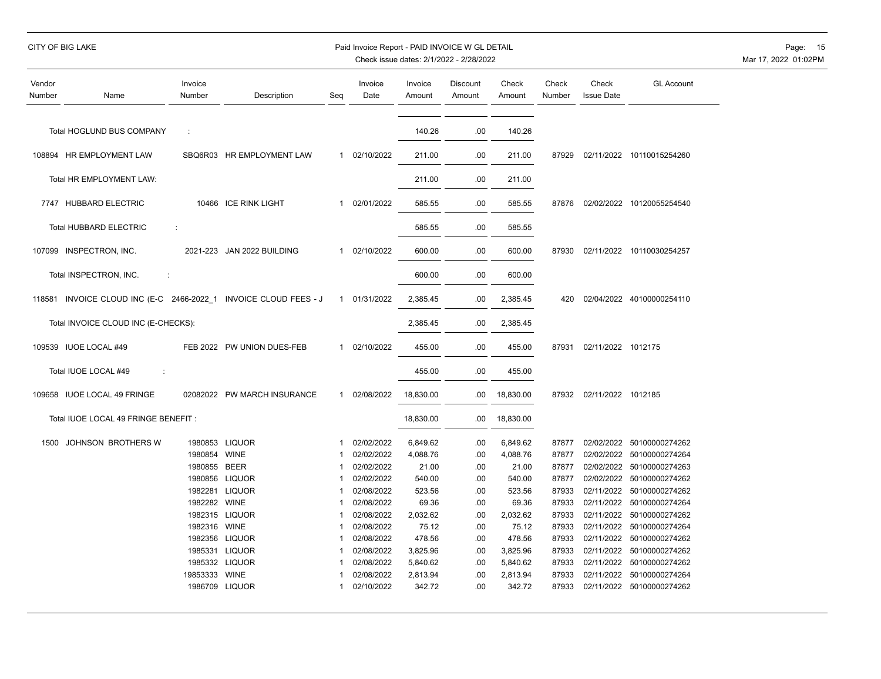| <b>CITY OF BIG LAKE</b> |                                  |                   |                            | Paid Invoice Report - PAID INVOICE W GL DETAIL<br>Check issue dates: 2/1/2022 - 2/28/2022 |                 |                   |                    |                 |                 |                            |                           |  |  |
|-------------------------|----------------------------------|-------------------|----------------------------|-------------------------------------------------------------------------------------------|-----------------|-------------------|--------------------|-----------------|-----------------|----------------------------|---------------------------|--|--|
| Vendor<br>Number        | Name                             | Invoice<br>Number | Description                | Seq                                                                                       | Invoice<br>Date | Invoice<br>Amount | Discount<br>Amount | Check<br>Amount | Check<br>Number | Check<br><b>Issue Date</b> | <b>GL Account</b>         |  |  |
|                         | Total HOGLUND BUS COMPANY        | $\pm$             |                            |                                                                                           |                 | 140.26            | .00                | 140.26          |                 |                            |                           |  |  |
|                         | 108894 HR EMPLOYMENT LAW         |                   | SBQ6R03 HR EMPLOYMENT LAW  |                                                                                           | 1 02/10/2022    | 211.00            | .00                | 211.00          | 87929           | 02/11/2022                 | 10110015254260            |  |  |
|                         | Total HR EMPLOYMENT LAW:         |                   |                            |                                                                                           |                 | 211.00            | .00.               | 211.00          |                 |                            |                           |  |  |
|                         | 7747 HUBBARD ELECTRIC            |                   | 10466 ICE RINK LIGHT       |                                                                                           | 02/01/2022      | 585.55            | .00                | 585.55          | 87876           |                            | 02/02/2022 10120055254540 |  |  |
|                         | Total HUBBARD ELECTRIC           | ÷                 |                            |                                                                                           |                 | 585.55            | .00                | 585.55          |                 |                            |                           |  |  |
|                         | 107099 INSPECTRON, INC.          |                   | 2021-223 JAN 2022 BUILDING |                                                                                           | 1 02/10/2022    | 600.00            | .00                | 600.00          | 87930           | 02/11/2022                 | 10110030254257            |  |  |
|                         | Total INSPECTRON, INC.<br>$\sim$ |                   |                            |                                                                                           |                 | 600.00            | .00 <sub>1</sub>   | 600.00          |                 |                            |                           |  |  |

| Total HOGLUND BUS COMPANY                                        | ÷             |                                  |                    |                          | 140.26             | .00        | 140.26             |                |                    |                                             |
|------------------------------------------------------------------|---------------|----------------------------------|--------------------|--------------------------|--------------------|------------|--------------------|----------------|--------------------|---------------------------------------------|
| 108894 HR EMPLOYMENT LAW                                         |               | SBQ6R03 HR EMPLOYMENT LAW        |                    | 1 02/10/2022             | 211.00             | .00        | 211.00             | 87929          |                    | 02/11/2022 10110015254260                   |
| Total HR EMPLOYMENT LAW:                                         |               |                                  |                    |                          | 211.00             | .00        | 211.00             |                |                    |                                             |
| 7747 HUBBARD ELECTRIC                                            |               | 10466 ICE RINK LIGHT             | $\mathbf{1}$       | 02/01/2022               | 585.55             | .00        | 585.55             | 87876          |                    | 02/02/2022 10120055254540                   |
| <b>Total HUBBARD ELECTRIC</b>                                    | ÷             |                                  |                    |                          | 585.55             | .00        | 585.55             |                |                    |                                             |
| 107099 INSPECTRON, INC.                                          |               | 2021-223 JAN 2022 BUILDING       | $\mathbf{1}$       | 02/10/2022               | 600.00             | .00        | 600.00             | 87930          |                    | 02/11/2022 10110030254257                   |
| Total INSPECTRON, INC.                                           | ÷             |                                  |                    |                          | 600.00             | .00        | 600.00             |                |                    |                                             |
|                                                                  |               |                                  |                    |                          |                    |            |                    |                |                    |                                             |
| 118581 INVOICE CLOUD INC (E-C 2466-2022 1 INVOICE CLOUD FEES - J |               |                                  |                    | 1 01/31/2022             | 2,385.45           | .00        | 2,385.45           | 420            |                    | 02/04/2022 40100000254110                   |
| Total INVOICE CLOUD INC (E-CHECKS):                              |               |                                  |                    |                          | 2,385.45           | .00        | 2,385.45           |                |                    |                                             |
| 109539 IUOE LOCAL #49                                            |               | FEB 2022 PW UNION DUES-FEB       | $\mathbf{1}$       | 02/10/2022               | 455.00             | .00        | 455.00             | 87931          | 02/11/2022 1012175 |                                             |
| Total IUOE LOCAL #49<br>÷                                        |               |                                  |                    |                          | 455.00             | .00        | 455.00             |                |                    |                                             |
| 109658 IUOE LOCAL 49 FRINGE                                      |               | 02082022 PW MARCH INSURANCE      | 1                  | 02/08/2022               | 18,830.00          | .00        | 18,830.00          | 87932          | 02/11/2022 1012185 |                                             |
| Total IUOE LOCAL 49 FRINGE BENEFIT:                              |               |                                  |                    |                          | 18,830.00          | .00        | 18,830.00          |                |                    |                                             |
|                                                                  |               |                                  |                    |                          |                    |            |                    |                |                    |                                             |
| 1500 JOHNSON BROTHERS W                                          |               | 1980853 LIQUOR                   | -1                 | 02/02/2022               | 6,849.62           | .00        | 6,849.62           | 87877          |                    | 02/02/2022 50100000274262                   |
|                                                                  | 1980854 WINE  |                                  | 1                  | 02/02/2022               | 4,088.76           | .00        | 4,088.76           | 87877          |                    | 02/02/2022 50100000274264                   |
|                                                                  | 1980855 BEER  |                                  | -1                 | 02/02/2022               | 21.00              | .00        | 21.00              | 87877          |                    | 02/02/2022 50100000274263                   |
|                                                                  |               | 1980856 LIQUOR                   | $\mathbf{1}$       | 02/02/2022               | 540.00             | .00        | 540.00             | 87877          |                    | 02/02/2022 50100000274262                   |
|                                                                  |               | 1982281 LIQUOR                   | -1                 | 02/08/2022               | 523.56             | .00        | 523.56             | 87933          | 02/11/2022         | 50100000274262                              |
|                                                                  | 1982282 WINE  |                                  | -1                 | 02/08/2022               | 69.36              | .00        | 69.36              | 87933          | 02/11/2022         | 50100000274264                              |
|                                                                  |               | 1982315 LIQUOR                   | -1                 | 02/08/2022               | 2,032.62           | .00        | 2,032.62           | 87933          | 02/11/2022         | 50100000274262                              |
|                                                                  | 1982316 WINE  |                                  | $\mathbf{1}$       | 02/08/2022               | 75.12              | .00        | 75.12              | 87933          | 02/11/2022         | 50100000274264                              |
|                                                                  |               | 1982356 LIQUOR<br>1985331 LIQUOR | $\mathbf{1}$<br>-1 | 02/08/2022               | 478.56             | .00        | 478.56             | 87933          | 02/11/2022         | 50100000274262                              |
|                                                                  |               |                                  |                    | 02/08/2022               | 3,825.96           | .00        | 3,825.96           | 87933          | 02/11/2022         | 50100000274262                              |
|                                                                  |               | 1985332 LIQUOR                   |                    | 02/08/2022               | 5,840.62           | .00        | 5,840.62           | 87933          | 02/11/2022         | 50100000274262                              |
|                                                                  | 19853333 WINE | 1986709 LIQUOR                   | 1                  | 02/08/2022<br>02/10/2022 | 2,813.94<br>342.72 | .00<br>.00 | 2,813.94<br>342.72 | 87933<br>87933 | 02/11/2022         | 50100000274264<br>02/11/2022 50100000274262 |
|                                                                  |               |                                  |                    |                          |                    |            |                    |                |                    |                                             |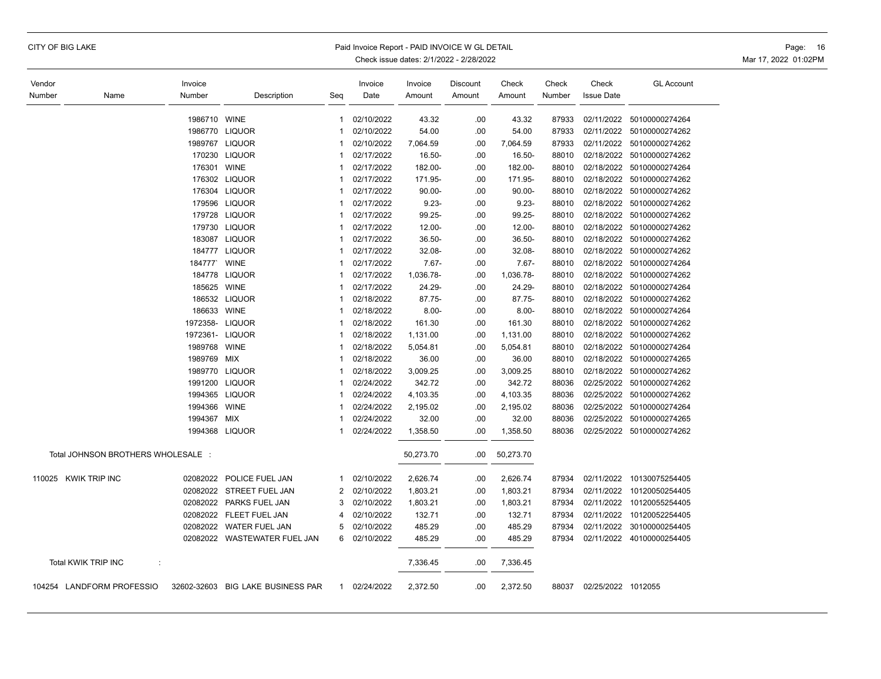|  |  |  | CITY OF BIG LAKE |
|--|--|--|------------------|
|--|--|--|------------------|

### Paid Invoice Report - PAID INVOICE W GL DETAIL **Page: 16** Page: 16

| Vendor |                                    | Invoice            |                                   |                | Invoice                  | Invoice            | Discount   | Check              | Check          | Check                    | <b>GL Account</b>                                      |
|--------|------------------------------------|--------------------|-----------------------------------|----------------|--------------------------|--------------------|------------|--------------------|----------------|--------------------------|--------------------------------------------------------|
| Number | Name                               | Number             | Description                       | Seg            | Date                     | Amount             | Amount     | Amount             | Number         | <b>Issue Date</b>        |                                                        |
|        |                                    |                    |                                   |                |                          |                    |            |                    |                |                          |                                                        |
|        |                                    | 1986710            | <b>WINE</b><br>1986770 LIQUOR     | -1<br>-1       | 02/10/2022<br>02/10/2022 | 43.32              | .00.       | 43.32              | 87933<br>87933 | 02/11/2022               | 50100000274264<br>50100000274262                       |
|        |                                    |                    | 1989767 LIQUOR                    | -1             | 02/10/2022               | 54.00              | .00        | 54.00              |                | 02/11/2022<br>02/11/2022 |                                                        |
|        |                                    | 170230             | <b>LIQUOR</b>                     | -1             | 02/17/2022               | 7,064.59<br>16.50- | .00<br>.00 | 7,064.59<br>16.50- | 87933<br>88010 |                          | 50100000274262<br>02/18/2022 50100000274262            |
|        |                                    | 176301             | <b>WINE</b>                       | $\overline{1}$ | 02/17/2022               | 182.00-            | .00        | 182.00-            | 88010          | 02/18/2022               | 50100000274264                                         |
|        |                                    |                    | 176302 LIQUOR                     | 1              | 02/17/2022               | 171.95-            | .00        | 171.95-            | 88010          |                          | 02/18/2022 50100000274262                              |
|        |                                    |                    | 176304 LIQUOR                     | $\mathbf 1$    | 02/17/2022               | 90.00-             | .00        | $90.00 -$          | 88010          |                          | 02/18/2022 50100000274262                              |
|        |                                    | 179596             | <b>LIQUOR</b>                     | 1              | 02/17/2022               | $9.23 -$           | .00        | $9.23 -$           | 88010          |                          | 02/18/2022 50100000274262                              |
|        |                                    |                    | 179728 LIQUOR                     | $\mathbf 1$    | 02/17/2022               | 99.25-             | .00.       | 99.25-             | 88010          |                          | 02/18/2022 50100000274262                              |
|        |                                    | 179730             | <b>LIQUOR</b>                     | $\overline{1}$ | 02/17/2022               | 12.00-             | .00        | 12.00-             | 88010          | 02/18/2022               | 50100000274262                                         |
|        |                                    |                    | 183087 LIQUOR                     | -1             | 02/17/2022               | 36.50-             | .00        | 36.50-             | 88010          |                          | 02/18/2022 50100000274262                              |
|        |                                    |                    | 184777 LIQUOR                     | 1              | 02/17/2022               | 32.08-             | .00        | 32.08-             | 88010          | 02/18/2022               | 50100000274262                                         |
|        |                                    | 184777' WINE       |                                   | $\mathbf 1$    | 02/17/2022               | $7.67 -$           | .00        | $7.67 -$           | 88010          |                          | 02/18/2022 50100000274264                              |
|        |                                    |                    | 184778 LIQUOR                     | $\overline{1}$ | 02/17/2022               | 1,036.78-          | .00        | 1,036.78-          | 88010          |                          | 02/18/2022 50100000274262                              |
|        |                                    | 185625 WINE        |                                   | -1             | 02/17/2022               | 24.29-             | .00        | 24.29-             | 88010          |                          | 02/18/2022 50100000274264                              |
|        |                                    |                    | 186532 LIQUOR                     | -1             | 02/18/2022               | 87.75-             | .00        | 87.75-             | 88010          |                          | 02/18/2022 50100000274262                              |
|        |                                    | 186633 WINE        |                                   | 1              | 02/18/2022               | $8.00 -$           | .00        | $8.00 -$           | 88010          |                          | 02/18/2022 50100000274264                              |
|        |                                    | 1972358-           |                                   | -1             | 02/18/2022               |                    |            |                    |                | 02/18/2022               |                                                        |
|        |                                    | 1972361-           | LIQUOR<br><b>LIQUOR</b>           | 1              | 02/18/2022               | 161.30             | .00        | 161.30             | 88010<br>88010 |                          | 50100000274262<br>02/18/2022 50100000274262            |
|        |                                    | 1989768            | <b>WINE</b>                       | 1              | 02/18/2022               | 1,131.00           | .00<br>.00 | 1,131.00           | 88010          |                          | 02/18/2022 50100000274264                              |
|        |                                    | 1989769            | <b>MIX</b>                        | 1              | 02/18/2022               | 5,054.81<br>36.00  | .00        | 5,054.81<br>36.00  | 88010          |                          | 02/18/2022 50100000274265                              |
|        |                                    |                    | 1989770 LIQUOR                    | $\overline{1}$ | 02/18/2022               |                    | .00        |                    | 88010          |                          | 02/18/2022 50100000274262                              |
|        |                                    | 1991200            | <b>LIQUOR</b>                     | 1              | 02/24/2022               | 3,009.25<br>342.72 | .00.       | 3,009.25<br>342.72 | 88036          |                          | 02/25/2022 50100000274262                              |
|        |                                    | 1994365            | LIQUOR                            | 1              | 02/24/2022               |                    | .00        |                    | 88036          |                          | 02/25/2022 50100000274262                              |
|        |                                    | 1994366            | <b>WINE</b>                       | 1              | 02/24/2022               | 4,103.35           |            | 4,103.35           |                |                          | 02/25/2022 50100000274264                              |
|        |                                    |                    |                                   | 1              |                          | 2,195.02           | .00        | 2,195.02           | 88036          |                          |                                                        |
|        |                                    | 1994367<br>1994368 | MIX<br><b>LIQUOR</b>              | 1              | 02/24/2022<br>02/24/2022 | 32.00              | .00<br>.00 | 32.00              | 88036<br>88036 |                          | 02/25/2022 50100000274265<br>02/25/2022 50100000274262 |
|        |                                    |                    |                                   |                |                          | 1,358.50           |            | 1,358.50           |                |                          |                                                        |
|        | Total JOHNSON BROTHERS WHOLESALE : |                    |                                   |                |                          | 50,273.70          | .00        | 50,273.70          |                |                          |                                                        |
|        | 110025 KWIK TRIP INC               | 02082022           | POLICE FUEL JAN                   | $\mathbf 1$    | 02/10/2022               | 2,626.74           | .00        | 2,626.74           | 87934          | 02/11/2022               | 10130075254405                                         |
|        |                                    | 02082022           | STREET FUEL JAN                   | 2              | 02/10/2022               | 1,803.21           | .00        | 1,803.21           | 87934          | 02/11/2022               | 10120050254405                                         |
|        |                                    | 02082022           | PARKS FUEL JAN                    | 3              | 02/10/2022               | 1,803.21           | .00        | 1,803.21           | 87934          | 02/11/2022               | 10120055254405                                         |
|        |                                    | 02082022           | FLEET FUEL JAN                    | 4              | 02/10/2022               | 132.71             | .00        | 132.71             | 87934          | 02/11/2022               | 10120052254405                                         |
|        |                                    | 02082022           | WATER FUEL JAN                    | 5              | 02/10/2022               | 485.29             | .00        | 485.29             | 87934          | 02/11/2022               | 30100000254405                                         |
|        |                                    |                    | 02082022 WASTEWATER FUEL JAN      | 6              | 02/10/2022               | 485.29             | .00        | 485.29             | 87934          |                          | 02/11/2022 40100000254405                              |
|        | Total KWIK TRIP INC<br>÷           |                    |                                   |                |                          | 7,336.45           | .00        | 7,336.45           |                |                          |                                                        |
|        | 104254 LANDFORM PROFESSIO          |                    | 32602-32603 BIG LAKE BUSINESS PAR | 1              | 02/24/2022               | 2,372.50           | .00        | 2,372.50           | 88037          | 02/25/2022 1012055       |                                                        |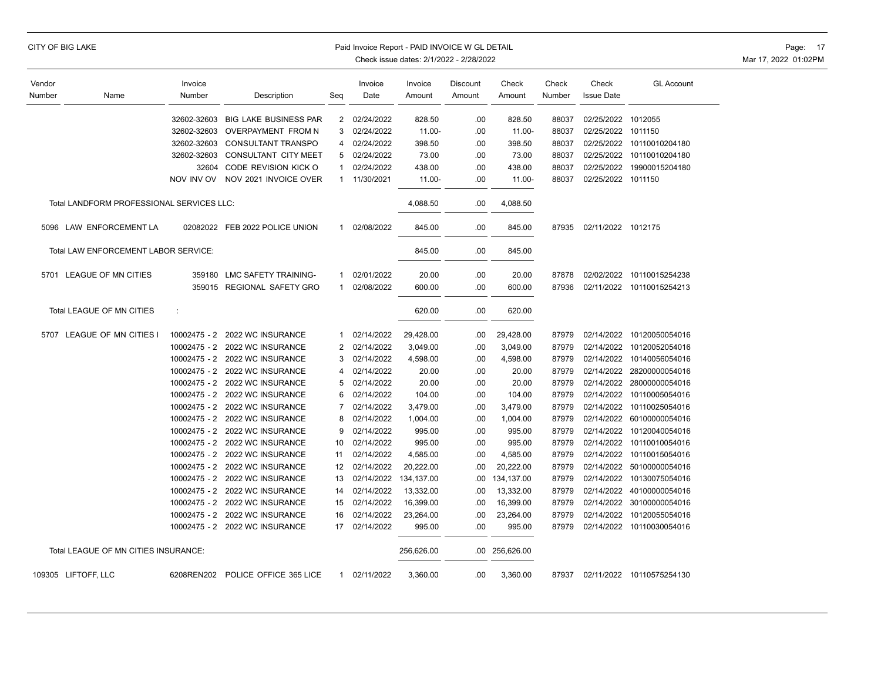| CITY OF BIG LAKE |  |  |
|------------------|--|--|
|------------------|--|--|

### Paid Invoice Report - PAID INVOICE W GL DETAIL **Page: 17** Page: 17

| Vendor |                                             | Invoice      |                                |              | Invoice    | Invoice    | Discount | Check          | Check  | Check              | <b>GL Account</b>         |
|--------|---------------------------------------------|--------------|--------------------------------|--------------|------------|------------|----------|----------------|--------|--------------------|---------------------------|
| Number | Name                                        | Number       | Description                    | Seq          | Date       | Amount     | Amount   | Amount         | Number | <b>Issue Date</b>  |                           |
|        |                                             |              |                                |              |            |            |          |                |        |                    |                           |
|        |                                             | 32602-32603  | <b>BIG LAKE BUSINESS PAR</b>   | 2            | 02/24/2022 | 828.50     | .00      | 828.50         | 88037  | 02/25/2022         | 1012055                   |
|        |                                             | 32602-32603  | OVERPAYMENT FROM N             | 3            | 02/24/2022 | 11.00-     | .00      | $11.00 -$      | 88037  | 02/25/2022 1011150 |                           |
|        |                                             | 32602-32603  | CONSULTANT TRANSPO             | 4            | 02/24/2022 | 398.50     | .00      | 398.50         | 88037  | 02/25/2022         | 10110010204180            |
|        |                                             | 32602-32603  | CONSULTANT CITY MEET           | 5            | 02/24/2022 | 73.00      | .00      | 73.00          | 88037  |                    | 02/25/2022 10110010204180 |
|        |                                             | 32604        | CODE REVISION KICK O           | $\mathbf{1}$ | 02/24/2022 | 438.00     | .00      | 438.00         | 88037  | 02/25/2022         | 19900015204180            |
|        |                                             | NOV INV OV   | NOV 2021 INVOICE OVER          | 1            | 11/30/2021 | 11.00-     | .00      | $11.00 -$      | 88037  | 02/25/2022 1011150 |                           |
|        | Total LANDFORM PROFESSIONAL SERVICES LLC:   |              |                                |              |            | 4,088.50   | .00      | 4,088.50       |        |                    |                           |
|        | 5096 LAW ENFORCEMENT LA                     |              | 02082022 FEB 2022 POLICE UNION | 1            | 02/08/2022 | 845.00     | .00      | 845.00         | 87935  | 02/11/2022 1012175 |                           |
|        | <b>Total LAW ENFORCEMENT LABOR SERVICE:</b> |              |                                |              |            | 845.00     | .00      | 845.00         |        |                    |                           |
|        | 5701 LEAGUE OF MN CITIES                    | 359180       | LMC SAFETY TRAINING-           | 1            | 02/01/2022 | 20.00      | .00      | 20.00          | 87878  |                    | 02/02/2022 10110015254238 |
|        |                                             |              | 359015 REGIONAL SAFETY GRO     | 1            | 02/08/2022 | 600.00     | .00      | 600.00         | 87936  |                    | 02/11/2022 10110015254213 |
|        |                                             |              |                                |              |            |            |          |                |        |                    |                           |
|        | Total LEAGUE OF MN CITIES                   | ÷            |                                |              |            | 620.00     | .00      | 620.00         |        |                    |                           |
|        | 5707 LEAGUE OF MN CITIES I                  | 10002475 - 2 | 2022 WC INSURANCE              | 1            | 02/14/2022 | 29,428.00  | .00      | 29,428.00      | 87979  |                    | 02/14/2022 10120050054016 |
|        |                                             | 10002475 - 2 | 2022 WC INSURANCE              | 2            | 02/14/2022 | 3,049.00   | .00      | 3,049.00       | 87979  | 02/14/2022         | 10120052054016            |
|        |                                             | 10002475 - 2 | 2022 WC INSURANCE              | 3            | 02/14/2022 | 4,598.00   | .00      | 4,598.00       | 87979  |                    | 02/14/2022 10140056054016 |
|        |                                             | 10002475 - 2 | 2022 WC INSURANCE              | 4            | 02/14/2022 | 20.00      | .00      | 20.00          | 87979  | 02/14/2022         | 28200000054016            |
|        |                                             | 10002475 - 2 | 2022 WC INSURANCE              | 5            | 02/14/2022 | 20.00      | .00      | 20.00          | 87979  |                    | 02/14/2022 28000000054016 |
|        |                                             | 10002475 - 2 | 2022 WC INSURANCE              | 6            | 02/14/2022 | 104.00     | .00      | 104.00         | 87979  | 02/14/2022         | 10110005054016            |
|        |                                             | 10002475 - 2 | 2022 WC INSURANCE              | 7            | 02/14/2022 | 3,479.00   | .00      | 3,479.00       | 87979  | 02/14/2022         | 10110025054016            |
|        |                                             | 10002475 - 2 | 2022 WC INSURANCE              | 8            | 02/14/2022 | 1,004.00   | .00      | 1,004.00       | 87979  | 02/14/2022         | 60100000054016            |
|        |                                             | 10002475 - 2 | 2022 WC INSURANCE              | 9            | 02/14/2022 | 995.00     | .00.     | 995.00         | 87979  | 02/14/2022         | 10120040054016            |
|        |                                             | 10002475 - 2 | 2022 WC INSURANCE              | 10           | 02/14/2022 | 995.00     | .00      | 995.00         | 87979  | 02/14/2022         | 10110010054016            |
|        |                                             | 10002475 - 2 | 2022 WC INSURANCE              | 11           | 02/14/2022 | 4,585.00   | .00      | 4,585.00       | 87979  | 02/14/2022         | 10110015054016            |
|        |                                             | 10002475 - 2 | 2022 WC INSURANCE              | 12           | 02/14/2022 | 20,222.00  | .00      | 20,222.00      | 87979  | 02/14/2022         | 50100000054016            |
|        |                                             | 10002475 - 2 | 2022 WC INSURANCE              | 13           | 02/14/2022 | 134,137.00 | .00      | 134,137.00     | 87979  | 02/14/2022         | 10130075054016            |
|        |                                             | 10002475 - 2 | 2022 WC INSURANCE              | 14           | 02/14/2022 | 13,332.00  | .00      | 13,332.00      | 87979  | 02/14/2022         | 40100000054016            |
|        |                                             | 10002475 - 2 | 2022 WC INSURANCE              | 15           | 02/14/2022 | 16,399.00  | .00      | 16,399.00      | 87979  | 02/14/2022         | 30100000054016            |
|        |                                             | 10002475 - 2 | 2022 WC INSURANCE              | 16           | 02/14/2022 | 23,264.00  | .00      | 23,264.00      | 87979  |                    | 02/14/2022 10120055054016 |
|        |                                             |              | 10002475 - 2 2022 WC INSURANCE | 17           | 02/14/2022 | 995.00     | .00      | 995.00         | 87979  |                    | 02/14/2022 10110030054016 |
|        | Total LEAGUE OF MN CITIES INSURANCE:        |              |                                |              |            | 256,626.00 |          | .00 256,626.00 |        |                    |                           |
|        | 109305 LIFTOFF, LLC                         | 6208REN202   | POLICE OFFICE 365 LICE         | 1            | 02/11/2022 | 3,360.00   | .00.     | 3,360.00       | 87937  |                    | 02/11/2022 10110575254130 |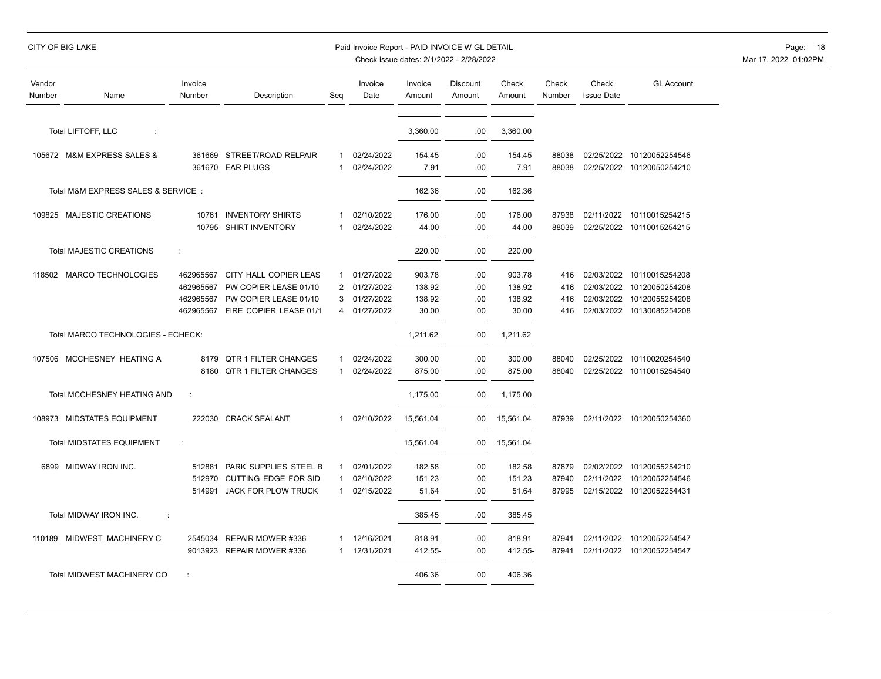## CITY OF BIG LAKE PAID INVOICE WORLD EXAMPLE PAID INVOICE WORLD DETAIL PAID INVOICE WORLD DETAIL PAGE: 18

| Vendor<br>Number | Name                               | Invoice<br>Number | Description                 | Seq          | Invoice<br>Date | Invoice<br>Amount | <b>Discount</b><br>Amount | Check<br>Amount | Check<br>Number | Check<br><b>Issue Date</b> | <b>GL Account</b>         |
|------------------|------------------------------------|-------------------|-----------------------------|--------------|-----------------|-------------------|---------------------------|-----------------|-----------------|----------------------------|---------------------------|
|                  | Total LIFTOFF, LLC<br>÷            |                   |                             |              |                 | 3,360.00          | .00                       | 3,360.00        |                 |                            |                           |
|                  | 105672 M&M EXPRESS SALES &         |                   | 361669 STREET/ROAD RELPAIR  | 1            | 02/24/2022      | 154.45            | .00                       | 154.45          | 88038           |                            | 02/25/2022 10120052254546 |
|                  |                                    |                   | 361670 EAR PLUGS            | $\mathbf{1}$ | 02/24/2022      | 7.91              | .00                       | 7.91            | 88038           |                            | 02/25/2022 10120050254210 |
|                  | Total M&M EXPRESS SALES & SERVICE: |                   |                             |              |                 | 162.36            | .00                       | 162.36          |                 |                            |                           |
|                  | 109825 MAJESTIC CREATIONS          | 10761             | <b>INVENTORY SHIRTS</b>     | 1            | 02/10/2022      | 176.00            | .00                       | 176.00          | 87938           |                            | 02/11/2022 10110015254215 |
|                  |                                    |                   | 10795 SHIRT INVENTORY       | 1            | 02/24/2022      | 44.00             | .00                       | 44.00           | 88039           | 02/25/2022                 | 10110015254215            |
|                  | <b>Total MAJESTIC CREATIONS</b>    | ÷                 |                             |              |                 | 220.00            | .00                       | 220.00          |                 |                            |                           |
|                  | 118502 MARCO TECHNOLOGIES          | 462965567         | CITY HALL COPIER LEAS       |              | 1 01/27/2022    | 903.78            | .00                       | 903.78          | 416             |                            | 02/03/2022 10110015254208 |
|                  |                                    | 462965567         | PW COPIER LEASE 01/10       | 2            | 01/27/2022      | 138.92            | .00                       | 138.92          | 416             | 02/03/2022                 | 10120050254208            |
|                  |                                    | 462965567         | PW COPIER LEASE 01/10       | 3            | 01/27/2022      | 138.92            | .00                       | 138.92          | 416             |                            | 02/03/2022 10120055254208 |
|                  |                                    | 462965567         | FIRE COPIER LEASE 01/1      | 4            | 01/27/2022      | 30.00             | .00                       | 30.00           | 416             |                            | 02/03/2022 10130085254208 |
|                  | Total MARCO TECHNOLOGIES - ECHECK: |                   |                             |              |                 | 1,211.62          | .00                       | 1,211.62        |                 |                            |                           |
|                  | 107506 MCCHESNEY HEATING A         | 8179              | QTR 1 FILTER CHANGES        | 1            | 02/24/2022      | 300.00            | .00                       | 300.00          | 88040           | 02/25/2022                 | 10110020254540            |
|                  |                                    | 8180              | <b>QTR 1 FILTER CHANGES</b> | $\mathbf 1$  | 02/24/2022      | 875.00            | .00                       | 875.00          | 88040           | 02/25/2022                 | 10110015254540            |
|                  | <b>Total MCCHESNEY HEATING AND</b> | ÷                 |                             |              |                 | 1,175.00          | .00                       | 1,175.00        |                 |                            |                           |
|                  | 108973 MIDSTATES EQUIPMENT         | 222030            | <b>CRACK SEALANT</b>        | $\mathbf 1$  | 02/10/2022      | 15,561.04         | .00                       | 15,561.04       | 87939           |                            | 02/11/2022 10120050254360 |
|                  | <b>Total MIDSTATES EQUIPMENT</b>   | ÷                 |                             |              |                 | 15,561.04         | .00                       | 15,561.04       |                 |                            |                           |
|                  | 6899 MIDWAY IRON INC.              | 512881            | PARK SUPPLIES STEEL B       | 1            | 02/01/2022      | 182.58            | .00.                      | 182.58          | 87879           |                            | 02/02/2022 10120055254210 |
|                  |                                    | 512970            | <b>CUTTING EDGE FOR SID</b> | 1            | 02/10/2022      | 151.23            | .00                       | 151.23          | 87940           | 02/11/2022                 | 10120052254546            |
|                  |                                    | 514991            | <b>JACK FOR PLOW TRUCK</b>  | 1            | 02/15/2022      | 51.64             | .00                       | 51.64           | 87995           |                            | 02/15/2022 10120052254431 |
|                  | Total MIDWAY IRON INC.<br>÷        |                   |                             |              |                 | 385.45            | .00                       | 385.45          |                 |                            |                           |
|                  | 110189 MIDWEST MACHINERY C         | 2545034           | REPAIR MOWER #336           | 1            | 12/16/2021      | 818.91            | .00                       | 818.91          | 87941           | 02/11/2022                 | 10120052254547            |
|                  |                                    | 9013923           | REPAIR MOWER #336           | 1            | 12/31/2021      | 412.55-           | .00                       | 412.55-         | 87941           | 02/11/2022                 | 10120052254547            |
|                  | <b>Total MIDWEST MACHINERY CO</b>  |                   |                             |              |                 | 406.36            | .00                       | 406.36          |                 |                            |                           |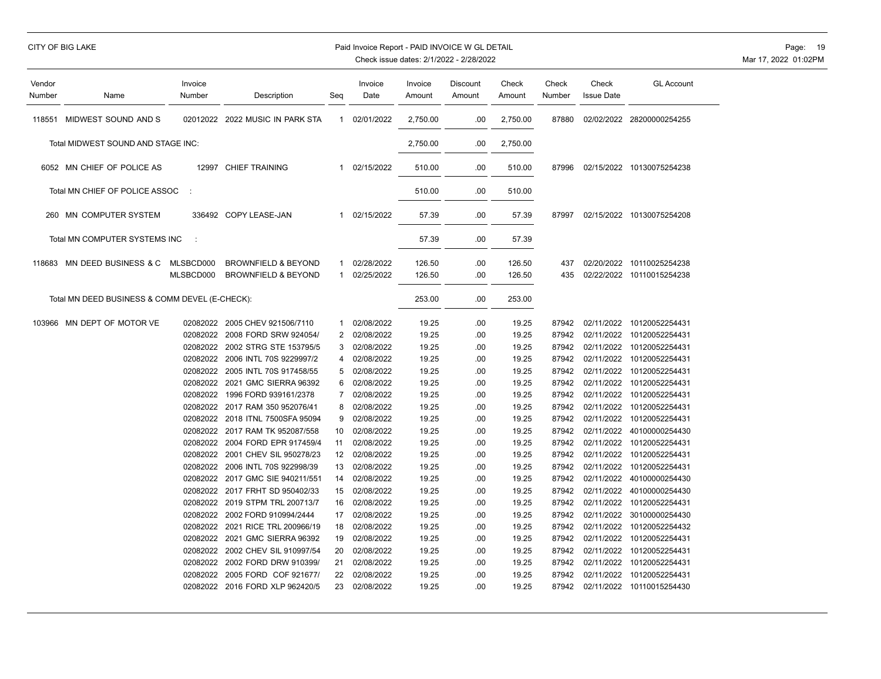# CITY OF BIG LAKE **Paid Invoice Report - PAID INVOICE W GL DETAIL Page: 19** Page: 19

| Vendor<br>Number | Name                                           | Invoice<br>Number | Description                      | Seg            | Invoice<br>Date | Invoice<br>Amount | Discount<br>Amount | Check<br>Amount | Check<br>Number | Check<br><b>Issue Date</b> | <b>GL Account</b>         |
|------------------|------------------------------------------------|-------------------|----------------------------------|----------------|-----------------|-------------------|--------------------|-----------------|-----------------|----------------------------|---------------------------|
| 118551           | MIDWEST SOUND AND S                            |                   | 02012022 2022 MUSIC IN PARK STA  | $\mathbf{1}$   | 02/01/2022      | 2,750.00          | .00                | 2,750.00        | 87880           |                            | 02/02/2022 28200000254255 |
|                  | Total MIDWEST SOUND AND STAGE INC:             |                   |                                  |                |                 | 2,750.00          | .00                | 2,750.00        |                 |                            |                           |
|                  | 6052 MN CHIEF OF POLICE AS                     |                   | 12997 CHIEF TRAINING             | $\mathbf{1}$   | 02/15/2022      | 510.00            | .00                | 510.00          | 87996           |                            | 02/15/2022 10130075254238 |
|                  | Total MN CHIEF OF POLICE ASSOC                 | ÷                 |                                  |                |                 | 510.00            | .00                | 510.00          |                 |                            |                           |
| 260              | MN COMPUTER SYSTEM                             |                   | 336492 COPY LEASE-JAN            | $\mathbf{1}$   | 02/15/2022      | 57.39             | .00                | 57.39           | 87997           |                            | 02/15/2022 10130075254208 |
|                  | Total MN COMPUTER SYSTEMS INC                  | ÷                 |                                  |                |                 | 57.39             | .00                | 57.39           |                 |                            |                           |
| 118683           | MN DEED BUSINESS & C                           | MLSBCD000         | <b>BROWNFIELD &amp; BEYOND</b>   | 1              | 02/28/2022      | 126.50            | .00                | 126.50          | 437             |                            | 02/20/2022 10110025254238 |
|                  |                                                | MLSBCD000         | <b>BROWNFIELD &amp; BEYOND</b>   | 1              | 02/25/2022      | 126.50            | .00                | 126.50          | 435             |                            | 02/22/2022 10110015254238 |
|                  | Total MN DEED BUSINESS & COMM DEVEL (E-CHECK): |                   |                                  |                |                 | 253.00            | .00                | 253.00          |                 |                            |                           |
|                  | 103966 MN DEPT OF MOTOR VE                     |                   | 02082022 2005 CHEV 921506/7110   | 1              | 02/08/2022      | 19.25             | .00                | 19.25           | 87942           | 02/11/2022                 | 10120052254431            |
|                  |                                                | 02082022          | 2008 FORD SRW 924054/            | $\overline{2}$ | 02/08/2022      | 19.25             | .00                | 19.25           | 87942           | 02/11/2022                 | 10120052254431            |
|                  |                                                |                   | 02082022 2002 STRG STE 153795/5  | 3              | 02/08/2022      | 19.25             | .00                | 19.25           | 87942           | 02/11/2022                 | 10120052254431            |
|                  |                                                |                   | 02082022 2006 INTL 70S 9229997/2 | 4              | 02/08/2022      | 19.25             | .00                | 19.25           | 87942           |                            | 02/11/2022 10120052254431 |
|                  |                                                |                   | 02082022 2005 INTL 70S 917458/55 | 5              | 02/08/2022      | 19.25             | .00                | 19.25           | 87942           | 02/11/2022                 | 10120052254431            |
|                  |                                                | 02082022          | 2021 GMC SIERRA 96392            | 6              | 02/08/2022      | 19.25             | .00                | 19.25           | 87942           | 02/11/2022                 | 10120052254431            |
|                  |                                                | 02082022          | 1996 FORD 939161/2378            | 7              | 02/08/2022      | 19.25             | .00                | 19.25           | 87942           | 02/11/2022                 | 10120052254431            |
|                  |                                                | 02082022          | 2017 RAM 350 952076/41           | 8              | 02/08/2022      | 19.25             | .00                | 19.25           | 87942           | 02/11/2022                 | 10120052254431            |
|                  |                                                |                   | 02082022 2018 ITNL 7500SFA 95094 | 9              | 02/08/2022      | 19.25             | .00                | 19.25           | 87942           | 02/11/2022                 | 10120052254431            |
|                  |                                                |                   | 02082022 2017 RAM TK 952087/558  | 10             | 02/08/2022      | 19.25             | .00                | 19.25           | 87942           | 02/11/2022                 | 40100000254430            |
|                  |                                                | 02082022          | 2004 FORD EPR 917459/4           | 11             | 02/08/2022      | 19.25             | .00                | 19.25           | 87942           | 02/11/2022                 | 10120052254431            |
|                  |                                                | 02082022          | 2001 CHEV SIL 950278/23          | 12             | 02/08/2022      | 19.25             | .00                | 19.25           | 87942           | 02/11/2022                 | 10120052254431            |
|                  |                                                | 02082022          | 2006 INTL 70S 922998/39          | 13             | 02/08/2022      | 19.25             | .00                | 19.25           | 87942           | 02/11/2022                 | 10120052254431            |
|                  |                                                |                   | 02082022 2017 GMC SIE 940211/551 | 14             | 02/08/2022      | 19.25             | .00                | 19.25           | 87942           | 02/11/2022                 | 40100000254430            |
|                  |                                                | 02082022          | 2017 FRHT SD 950402/33           | 15             | 02/08/2022      | 19.25             | .00                | 19.25           | 87942           | 02/11/2022                 | 40100000254430            |
|                  |                                                |                   | 02082022 2019 STPM TRL 200713/7  | 16             | 02/08/2022      | 19.25             | .00                | 19.25           | 87942           | 02/11/2022                 | 10120052254431            |
|                  |                                                | 02082022          | 2002 FORD 910994/2444            | 17             | 02/08/2022      | 19.25             | .00                | 19.25           | 87942           | 02/11/2022                 | 30100000254430            |
|                  |                                                | 02082022          | 2021 RICE TRL 200966/19          | 18             | 02/08/2022      | 19.25             | .00                | 19.25           | 87942           | 02/11/2022                 | 10120052254432            |
|                  |                                                | 02082022          | 2021 GMC SIERRA 96392            | 19             | 02/08/2022      | 19.25             | .00                | 19.25           | 87942           | 02/11/2022                 | 10120052254431            |
|                  |                                                | 02082022          | 2002 CHEV SIL 910997/54          | 20             | 02/08/2022      | 19.25             | .00                | 19.25           | 87942           | 02/11/2022                 | 10120052254431            |
|                  |                                                | 02082022          | 2002 FORD DRW 910399/            | 21             | 02/08/2022      | 19.25             | .00                | 19.25           | 87942           | 02/11/2022                 | 10120052254431            |
|                  |                                                | 02082022          | 2005 FORD COF 921677/            | 22             | 02/08/2022      | 19.25             | .00                | 19.25           | 87942           | 02/11/2022                 | 10120052254431            |
|                  |                                                |                   | 02082022 2016 FORD XLP 962420/5  | 23             | 02/08/2022      | 19.25             | .00                | 19.25           | 87942           |                            | 02/11/2022 10110015254430 |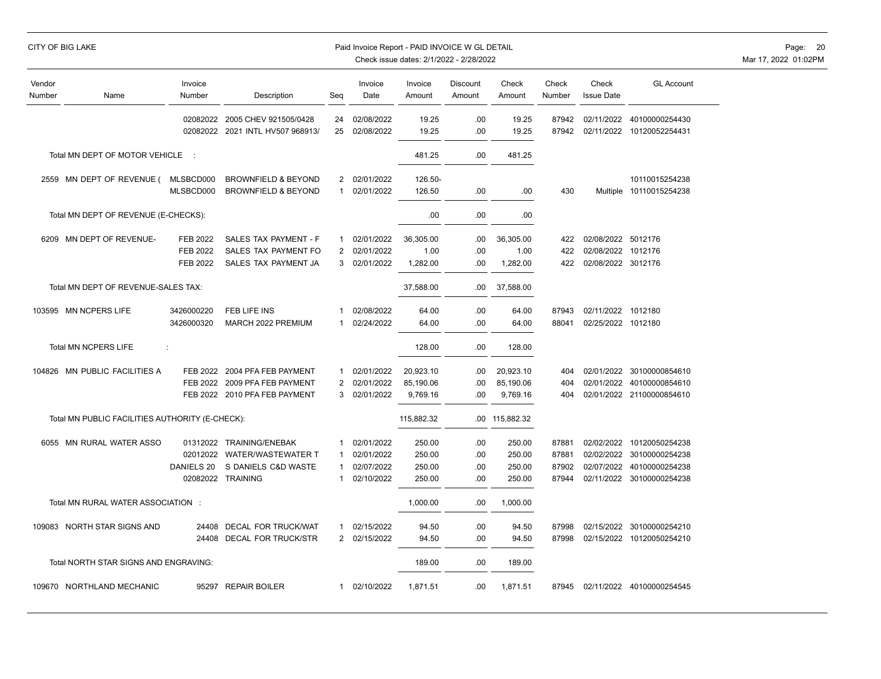|                  |                                                 |                   |                                                           |                |                          | Check issue dates: 2/1/2022 - 2/28/2022 |                           |                 |                 |                            |                                  |
|------------------|-------------------------------------------------|-------------------|-----------------------------------------------------------|----------------|--------------------------|-----------------------------------------|---------------------------|-----------------|-----------------|----------------------------|----------------------------------|
| Vendor<br>Number | Name                                            | Invoice<br>Number | Description                                               | Seg            | Invoice<br>Date          | Invoice<br>Amount                       | <b>Discount</b><br>Amount | Check<br>Amount | Check<br>Number | Check<br><b>Issue Date</b> | <b>GL Account</b>                |
|                  |                                                 | 02082022          | 02082022 2005 CHEV 921505/0428<br>2021 INTL HV507 968913/ | 24<br>25       | 02/08/2022<br>02/08/2022 | 19.25<br>19.25                          | .00<br>.00                | 19.25<br>19.25  | 87942<br>87942  | 02/11/2022<br>02/11/2022   | 40100000254430<br>10120052254431 |
|                  |                                                 |                   |                                                           |                |                          |                                         |                           |                 |                 |                            |                                  |
|                  | Total MN DEPT OF MOTOR VEHICLE                  | $\sim$ 1          |                                                           |                |                          | 481.25                                  | .00                       | 481.25          |                 |                            |                                  |
|                  | 2559 MN DEPT OF REVENUE (                       | MLSBCD000         | <b>BROWNFIELD &amp; BEYOND</b>                            | 2              | 02/01/2022               | 126.50-                                 |                           |                 |                 |                            | 10110015254238                   |
|                  |                                                 | MLSBCD000         | <b>BROWNFIELD &amp; BEYOND</b>                            | 1              | 02/01/2022               | 126.50                                  | .00                       | .00             | 430             |                            | Multiple 10110015254238          |
|                  | Total MN DEPT OF REVENUE (E-CHECKS):            |                   |                                                           |                |                          | .00                                     | .00                       | .00.            |                 |                            |                                  |
|                  | 6209 MN DEPT OF REVENUE-                        | <b>FEB 2022</b>   | SALES TAX PAYMENT - F                                     | 1              | 02/01/2022               | 36,305.00                               | .00                       | 36,305.00       | 422             | 02/08/2022 5012176         |                                  |
|                  |                                                 | <b>FEB 2022</b>   | SALES TAX PAYMENT FO                                      | $\overline{2}$ | 02/01/2022               | 1.00                                    | .00                       | 1.00            | 422             | 02/08/2022 1012176         |                                  |
|                  |                                                 | <b>FEB 2022</b>   | SALES TAX PAYMENT JA                                      | 3              | 02/01/2022               | 1,282.00                                | .00                       | 1,282.00        | 422             | 02/08/2022 3012176         |                                  |
|                  | Total MN DEPT OF REVENUE-SALES TAX:             |                   |                                                           |                |                          | 37,588.00                               | .00.                      | 37,588.00       |                 |                            |                                  |
|                  |                                                 |                   |                                                           |                |                          |                                         |                           |                 |                 |                            |                                  |
|                  | 103595 MN NCPERS LIFE                           | 3426000220        | FEB LIFE INS                                              | -1             | 02/08/2022               | 64.00                                   | .00                       | 64.00           | 87943           | 02/11/2022                 | 1012180                          |
|                  |                                                 | 3426000320        | MARCH 2022 PREMIUM                                        | 1              | 02/24/2022               | 64.00                                   | .00                       | 64.00           | 88041           | 02/25/2022 1012180         |                                  |
|                  | Total MN NCPERS LIFE                            | t                 |                                                           |                |                          | 128.00                                  | .00                       | 128.00          |                 |                            |                                  |
|                  | 104826 MN PUBLIC FACILITIES A                   |                   | FEB 2022 2004 PFA FEB PAYMENT                             | 1              | 02/01/2022               | 20,923.10                               | .00                       | 20,923.10       | 404             |                            | 02/01/2022 30100000854610        |
|                  |                                                 | FEB 2022          | 2009 PFA FEB PAYMENT                                      | 2              | 02/01/2022               | 85,190.06                               | .00                       | 85,190.06       | 404             | 02/01/2022                 | 40100000854610                   |
|                  |                                                 |                   | FEB 2022 2010 PFA FEB PAYMENT                             | 3              | 02/01/2022               | 9,769.16                                | .00                       | 9,769.16        | 404             |                            | 02/01/2022 21100000854610        |
|                  | Total MN PUBLIC FACILITIES AUTHORITY (E-CHECK): |                   |                                                           |                |                          | 115,882.32                              |                           | .00 115,882.32  |                 |                            |                                  |
|                  |                                                 |                   |                                                           |                |                          |                                         |                           |                 |                 |                            |                                  |
|                  | 6055 MN RURAL WATER ASSO                        |                   | 01312022 TRAINING/ENEBAK                                  | 1              | 02/01/2022               | 250.00                                  | .00                       | 250.00          | 87881           | 02/02/2022                 | 10120050254238                   |
|                  |                                                 |                   | 02012022 WATER/WASTEWATER T                               | 1              | 02/01/2022               | 250.00                                  | .00                       | 250.00          | 87881           | 02/02/2022                 | 30100000254238                   |
|                  |                                                 | DANIELS 20        | S DANIELS C&D WASTE                                       | 1              | 02/07/2022               | 250.00                                  | .00                       | 250.00          | 87902           | 02/07/2022                 | 40100000254238                   |
|                  |                                                 |                   | 02082022 TRAINING                                         | 1              | 02/10/2022               | 250.00                                  | .00                       | 250.00          | 87944           | 02/11/2022                 | 30100000254238                   |
|                  | Total MN RURAL WATER ASSOCIATION :              |                   |                                                           |                |                          | 1,000.00                                | .00                       | 1,000.00        |                 |                            |                                  |
|                  | 109083 NORTH STAR SIGNS AND                     | 24408             | <b>DECAL FOR TRUCK/WAT</b>                                | 1              | 02/15/2022               | 94.50                                   | .00                       | 94.50           | 87998           | 02/15/2022                 | 30100000254210                   |
|                  |                                                 | 24408             | <b>DECAL FOR TRUCK/STR</b>                                | $\overline{2}$ | 02/15/2022               | 94.50                                   | .00                       | 94.50           | 87998           | 02/15/2022                 | 10120050254210                   |
|                  | Total NORTH STAR SIGNS AND ENGRAVING:           |                   |                                                           |                |                          | 189.00                                  | .00                       | 189.00          |                 |                            |                                  |
|                  | 109670 NORTHLAND MECHANIC                       | 95297             | <b>REPAIR BOILER</b>                                      | 1              | 02/10/2022               | 1,871.51                                | .00                       | 1,871.51        | 87945           | 02/11/2022                 | 40100000254545                   |
|                  |                                                 |                   |                                                           |                |                          |                                         |                           |                 |                 |                            |                                  |

CITY OF BIG LAKE **Example 20** Paid Invoice Report - PAID INVOICE W GL DETAIL **Page:** 20 Page: 20 Mar 17, 2022 01:02PM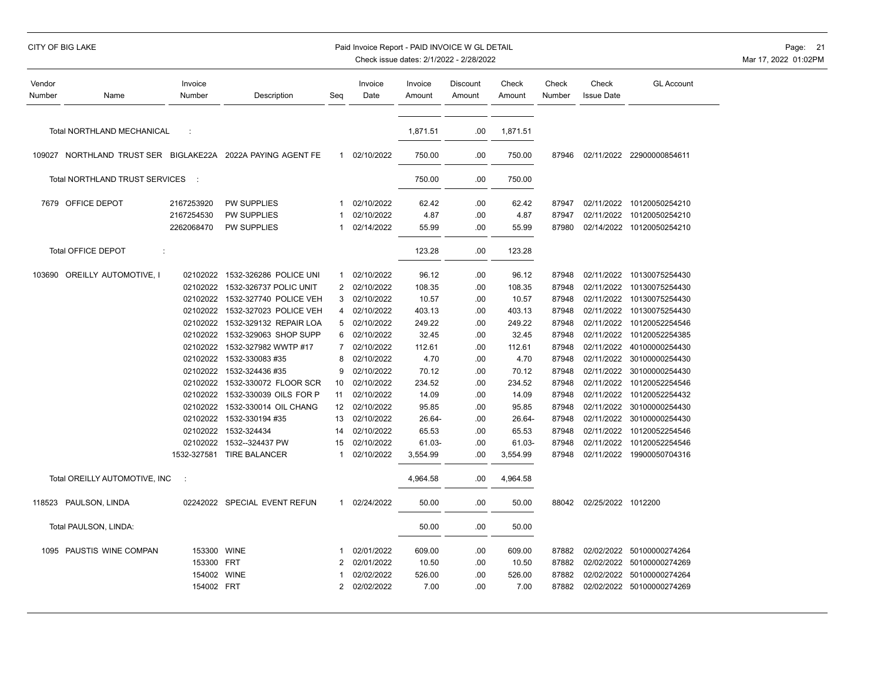|  | CITY OF BIG LAKE |  |
|--|------------------|--|
|  |                  |  |

### Paid Invoice Report - PAID INVOICE W GL DETAIL **Page:** 21

| Vendor<br>Number | Name                                                        | Invoice<br>Number        | Description                                      | Seg                            | Invoice<br>Date          | Invoice<br>Amount | Discount<br>Amount | Check<br>Amount  | Check<br>Number | Check<br><b>Issue Date</b> | <b>GL Account</b>                           |
|------------------|-------------------------------------------------------------|--------------------------|--------------------------------------------------|--------------------------------|--------------------------|-------------------|--------------------|------------------|-----------------|----------------------------|---------------------------------------------|
|                  | Total NORTHLAND MECHANICAL                                  | ÷                        |                                                  |                                |                          | 1,871.51          | .00                | 1,871.51         |                 |                            |                                             |
|                  | 109027 NORTHLAND TRUST SER BIGLAKE22A 2022A PAYING AGENT FE |                          |                                                  | $\mathbf{1}$                   | 02/10/2022               | 750.00            | .00                | 750.00           | 87946           |                            | 02/11/2022 22900000854611                   |
|                  | Total NORTHLAND TRUST SERVICES                              | $\mathbb{R}^2$           |                                                  |                                |                          | 750.00            | .00                | 750.00           |                 |                            |                                             |
|                  | 7679 OFFICE DEPOT                                           | 2167253920               | PW SUPPLIES                                      | 1                              | 02/10/2022               | 62.42             | .00                | 62.42            | 87947           | 02/11/2022                 | 10120050254210                              |
|                  |                                                             | 2167254530<br>2262068470 | PW SUPPLIES<br><b>PW SUPPLIES</b>                | 1                              | 02/10/2022<br>02/14/2022 | 4.87<br>55.99     | .00<br>.00         | 4.87<br>55.99    | 87947<br>87980  | 02/11/2022                 | 10120050254210<br>02/14/2022 10120050254210 |
|                  | <b>Total OFFICE DEPOT</b><br>÷                              |                          |                                                  |                                |                          | 123.28            | .00                | 123.28           |                 |                            |                                             |
|                  | 103690 OREILLY AUTOMOTIVE, I                                | 02102022<br>02102022     | 1532-326286 POLICE UNI<br>1532-326737 POLIC UNIT | $\mathbf{1}$<br>$\overline{2}$ | 02/10/2022<br>02/10/2022 | 96.12<br>108.35   | .00<br>.00         | 96.12<br>108.35  | 87948<br>87948  | 02/11/2022                 | 02/11/2022 10130075254430<br>10130075254430 |
|                  |                                                             | 02102022                 | 1532-327740 POLICE VEH                           | 3                              | 02/10/2022               | 10.57             | .00                | 10.57            | 87948           | 02/11/2022                 | 10130075254430                              |
|                  |                                                             | 02102022<br>02102022     | 1532-327023 POLICE VEH<br>1532-329132 REPAIR LOA | 4<br>5                         | 02/10/2022<br>02/10/2022 | 403.13<br>249.22  | .00<br>.00         | 403.13<br>249.22 | 87948<br>87948  | 02/11/2022<br>02/11/2022   | 10130075254430<br>10120052254546            |
|                  |                                                             | 02102022                 | 1532-329063 SHOP SUPP                            | 6                              | 02/10/2022               | 32.45             | .00                | 32.45            | 87948           | 02/11/2022                 | 10120052254385                              |
|                  |                                                             | 02102022                 | 1532-327982 WWTP #17                             | 7                              | 02/10/2022               | 112.61            | .00                | 112.61           | 87948           | 02/11/2022                 | 40100000254430                              |
|                  |                                                             | 02102022                 | 1532-330083 #35                                  | 8                              | 02/10/2022               | 4.70              | .00                | 4.70             | 87948           | 02/11/2022                 | 30100000254430                              |
|                  |                                                             | 02102022                 | 1532-324436 #35                                  | <u>g</u>                       | 02/10/2022               | 70.12             | .00                | 70.12            | 87948           | 02/11/2022                 | 30100000254430                              |
|                  |                                                             | 02102022                 | 1532-330072 FLOOR SCR                            | 10                             | 02/10/2022               | 234.52            | .00                | 234.52           | 87948           | 02/11/2022                 | 10120052254546                              |
|                  |                                                             | 02102022<br>02102022     | 1532-330039 OILS FOR P<br>1532-330014 OIL CHANG  | 11<br>12                       | 02/10/2022<br>02/10/2022 | 14.09<br>95.85    | .00<br>.00         | 14.09<br>95.85   | 87948<br>87948  | 02/11/2022<br>02/11/2022   | 10120052254432<br>30100000254430            |
|                  |                                                             | 02102022                 | 1532-330194 #35                                  | 13                             | 02/10/2022               | 26.64-            | .00                | 26.64-           | 87948           | 02/11/2022                 | 30100000254430                              |
|                  |                                                             | 02102022                 | 1532-324434                                      | 14                             | 02/10/2022               | 65.53             | .00                | 65.53            | 87948           | 02/11/2022                 | 10120052254546                              |
|                  |                                                             | 02102022                 | 1532--324437 PW                                  | 15                             | 02/10/2022               | 61.03-            | .00                | 61.03-           | 87948           | 02/11/2022                 | 10120052254546                              |
|                  |                                                             |                          | 1532-327581 TIRE BALANCER                        | -1                             | 02/10/2022               | 3,554.99          | .00                | 3,554.99         | 87948           |                            | 02/11/2022 19900050704316                   |
|                  | Total OREILLY AUTOMOTIVE, INC                               | $\ddot{\phantom{a}}$     |                                                  |                                |                          | 4,964.58          | .00                | 4,964.58         |                 |                            |                                             |
|                  | 118523 PAULSON, LINDA                                       |                          | 02242022 SPECIAL EVENT REFUN                     | $\mathbf{1}$                   | 02/24/2022               | 50.00             | .00                | 50.00            | 88042           | 02/25/2022 1012200         |                                             |
|                  | Total PAULSON, LINDA:                                       |                          |                                                  |                                |                          | 50.00             | .00                | 50.00            |                 |                            |                                             |
|                  | 1095 PAUSTIS WINE COMPAN                                    | 153300                   | <b>WINE</b>                                      | -1                             | 02/01/2022               | 609.00            | .00                | 609.00           | 87882           |                            | 02/02/2022 50100000274264                   |
|                  |                                                             | 153300 FRT               |                                                  | 2                              | 02/01/2022               | 10.50             | .00                | 10.50            | 87882           | 02/02/2022                 | 50100000274269                              |
|                  |                                                             | 154002 WINE              |                                                  |                                | 02/02/2022               | 526.00            | .00                | 526.00           | 87882           | 02/02/2022                 | 50100000274264                              |
|                  |                                                             | 154002 FRT               |                                                  | 2                              | 02/02/2022               | 7.00              | .00                | 7.00             | 87882           |                            | 02/02/2022 50100000274269                   |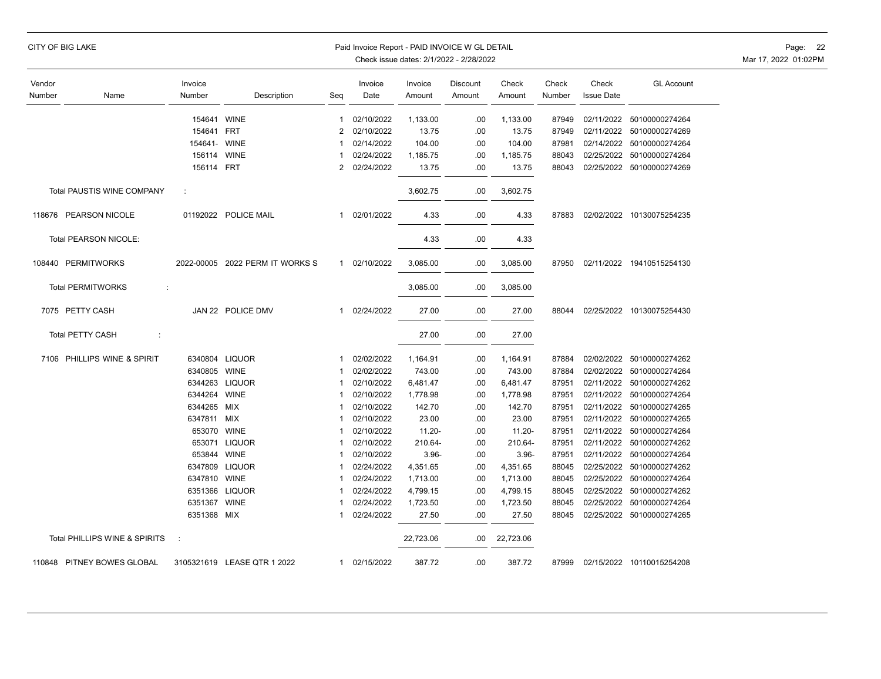|                  | CITY OF BIG LAKE              |                   |                                 |                | Paid Invoice Report - PAID INVOICE W GL DETAIL | Check issue dates: 2/1/2022 - 2/28/2022 |                    |                 |                 |                            |                           | Page: 22<br>Mar 17, 2022 01:02PM |
|------------------|-------------------------------|-------------------|---------------------------------|----------------|------------------------------------------------|-----------------------------------------|--------------------|-----------------|-----------------|----------------------------|---------------------------|----------------------------------|
| Vendor<br>Number | Name                          | Invoice<br>Number | Description                     | Seq            | Invoice<br>Date                                | Invoice<br>Amount                       | Discount<br>Amount | Check<br>Amount | Check<br>Number | Check<br><b>Issue Date</b> | <b>GL Account</b>         |                                  |
|                  |                               | 154641 WINE       |                                 | 1              | 02/10/2022                                     | 1,133.00                                | .00                | 1,133.00        | 87949           | 02/11/2022                 | 50100000274264            |                                  |
|                  |                               | 154641 FRT        |                                 | 2              | 02/10/2022                                     | 13.75                                   | .00                | 13.75           | 87949           | 02/11/2022                 | 50100000274269            |                                  |
|                  |                               | 154641- WINE      |                                 | 1              | 02/14/2022                                     | 104.00                                  | .00                | 104.00          | 87981           | 02/14/2022                 | 50100000274264            |                                  |
|                  |                               | 156114 WINE       |                                 | 1              | 02/24/2022                                     | 1,185.75                                | .00                | 1,185.75        | 88043           | 02/25/2022                 | 50100000274264            |                                  |
|                  |                               | 156114 FRT        |                                 | $\overline{2}$ | 02/24/2022                                     | 13.75                                   | .00                | 13.75           | 88043           |                            | 02/25/2022 50100000274269 |                                  |
|                  | Total PAUSTIS WINE COMPANY    | ÷                 |                                 |                |                                                | 3,602.75                                | .00                | 3,602.75        |                 |                            |                           |                                  |
|                  | 118676 PEARSON NICOLE         |                   | 01192022 POLICE MAIL            | 1              | 02/01/2022                                     | 4.33                                    | .00                | 4.33            | 87883           |                            | 02/02/2022 10130075254235 |                                  |
|                  | Total PEARSON NICOLE:         |                   |                                 |                |                                                | 4.33                                    | .00                | 4.33            |                 |                            |                           |                                  |
|                  | 108440 PERMITWORKS            |                   | 2022-00005 2022 PERM IT WORKS S |                | 1 02/10/2022                                   | 3,085.00                                | .00                | 3,085.00        | 87950           |                            | 02/11/2022 19410515254130 |                                  |
|                  | <b>Total PERMITWORKS</b><br>÷ |                   |                                 |                |                                                | 3,085.00                                | .00                | 3,085.00        |                 |                            |                           |                                  |
|                  | 7075 PETTY CASH               |                   | JAN 22 POLICE DMV               | $\mathbf{1}$   | 02/24/2022                                     | 27.00                                   | .00                | 27.00           | 88044           |                            | 02/25/2022 10130075254430 |                                  |
|                  | <b>Total PETTY CASH</b><br>÷  |                   |                                 |                |                                                | 27.00                                   | .00                | 27.00           |                 |                            |                           |                                  |
|                  | 7106 PHILLIPS WINE & SPIRIT   |                   | 6340804 LIQUOR                  | 1              | 02/02/2022                                     | 1,164.91                                | .00                | 1,164.91        | 87884           |                            | 02/02/2022 50100000274262 |                                  |
|                  |                               | 6340805 WINE      |                                 | 1              | 02/02/2022                                     | 743.00                                  | .00                | 743.00          | 87884           |                            | 02/02/2022 50100000274264 |                                  |
|                  |                               |                   | 6344263 LIQUOR                  | 1              | 02/10/2022                                     | 6,481.47                                | .00                | 6,481.47        | 87951           | 02/11/2022                 | 50100000274262            |                                  |
|                  |                               | 6344264 WINE      |                                 | 1              | 02/10/2022                                     | 1,778.98                                | .00                | 1,778.98        | 87951           |                            | 02/11/2022 50100000274264 |                                  |
|                  |                               | 6344265 MIX       |                                 | $\mathbf{1}$   | 02/10/2022                                     | 142.70                                  | .00                | 142.70          | 87951           | 02/11/2022                 | 50100000274265            |                                  |
|                  |                               | 6347811 MIX       |                                 | 1              | 02/10/2022                                     | 23.00                                   | .00                | 23.00           | 87951           |                            | 02/11/2022 50100000274265 |                                  |
|                  |                               | 653070 WINE       |                                 | 1              | 02/10/2022                                     | $11.20 -$                               | .00                | $11.20 -$       | 87951           | 02/11/2022                 | 50100000274264            |                                  |
|                  |                               |                   | 653071 LIQUOR                   | $\mathbf 1$    | 02/10/2022                                     | 210.64-                                 | .00                | 210.64-         | 87951           | 02/11/2022                 | 50100000274262            |                                  |
|                  |                               | 653844 WINE       |                                 | $\mathbf{1}$   | 02/10/2022                                     | $3.96 -$                                | .00                | $3.96 -$        | 87951           | 02/11/2022                 | 50100000274264            |                                  |
|                  |                               | 6347809           | <b>LIQUOR</b>                   | 1              | 02/24/2022                                     | 4,351.65                                | .00                | 4,351.65        | 88045           | 02/25/2022                 | 50100000274262            |                                  |
|                  |                               | 6347810 WINE      |                                 | 1              | 02/24/2022                                     | 1,713.00                                | .00                | 1,713.00        | 88045           | 02/25/2022                 | 50100000274264            |                                  |
|                  |                               |                   | 6351366 LIQUOR                  | 1              | 02/24/2022                                     | 4,799.15                                | .00                | 4,799.15        | 88045           | 02/25/2022                 | 50100000274262            |                                  |
|                  |                               | 6351367 WINE      |                                 | 1              | 02/24/2022                                     | 1,723.50                                | .00                | 1,723.50        | 88045           | 02/25/2022                 | 50100000274264            |                                  |
|                  |                               | 6351368 MIX       |                                 | 1              | 02/24/2022                                     | 27.50                                   | .00                | 27.50           | 88045           |                            | 02/25/2022 50100000274265 |                                  |
|                  | Total PHILLIPS WINE & SPIRITS | $\cdot$ :         |                                 |                |                                                | 22,723.06                               | .00                | 22,723.06       |                 |                            |                           |                                  |
|                  | 110848 PITNEY BOWES GLOBAL    |                   | 3105321619 LEASE QTR 1 2022     |                | 1 02/15/2022                                   | 387.72                                  | .00                | 387.72          | 87999           |                            | 02/15/2022 10110015254208 |                                  |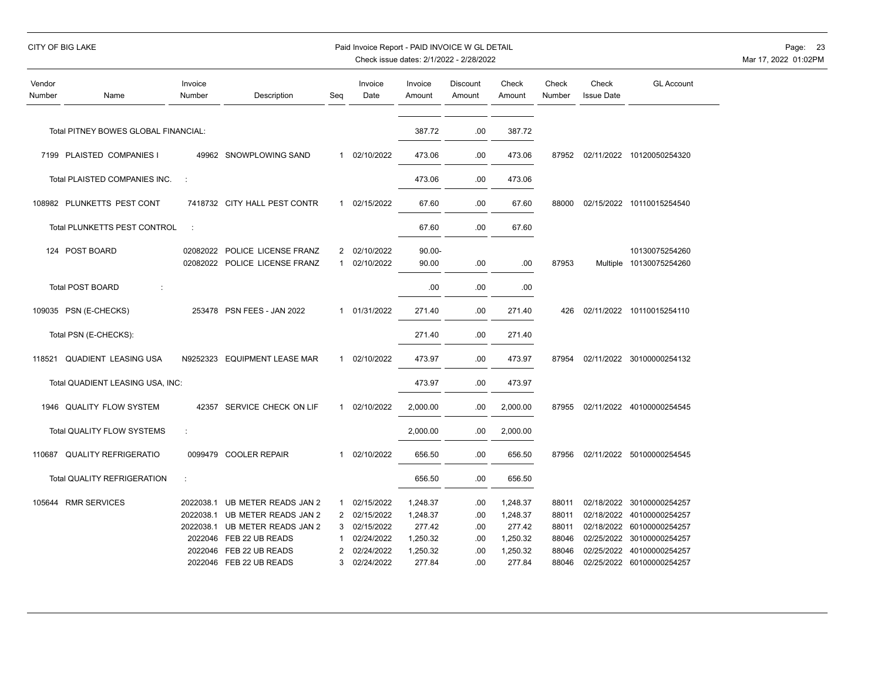|                  | CITY OF BIG LAKE                     |                      |                                                                                                                                                                                     |                        | Paid Invoice Report - PAID INVOICE W GL DETAIL                                         |                                                                  | Check issue dates: 2/1/2022 - 2/28/2022   |                                                                  |                                                    |                            |                                                                                                                                                                 | Page:<br>-23<br>Mar 17, 2022 01:02PM |
|------------------|--------------------------------------|----------------------|-------------------------------------------------------------------------------------------------------------------------------------------------------------------------------------|------------------------|----------------------------------------------------------------------------------------|------------------------------------------------------------------|-------------------------------------------|------------------------------------------------------------------|----------------------------------------------------|----------------------------|-----------------------------------------------------------------------------------------------------------------------------------------------------------------|--------------------------------------|
| Vendor<br>Number | Name                                 | Invoice<br>Number    | Description                                                                                                                                                                         | Seq                    | Invoice<br>Date                                                                        | Invoice<br>Amount                                                | Discount<br>Amount                        | Check<br>Amount                                                  | Check<br>Number                                    | Check<br><b>Issue Date</b> | <b>GL Account</b>                                                                                                                                               |                                      |
|                  | Total PITNEY BOWES GLOBAL FINANCIAL: |                      |                                                                                                                                                                                     |                        |                                                                                        | 387.72                                                           | .00                                       | 387.72                                                           |                                                    |                            |                                                                                                                                                                 |                                      |
|                  | 7199 PLAISTED COMPANIES I            |                      | 49962 SNOWPLOWING SAND                                                                                                                                                              |                        | 1 02/10/2022                                                                           | 473.06                                                           | .00                                       | 473.06                                                           | 87952                                              |                            | 02/11/2022 10120050254320                                                                                                                                       |                                      |
|                  | Total PLAISTED COMPANIES INC.        | $\ddot{\phantom{a}}$ |                                                                                                                                                                                     |                        |                                                                                        | 473.06                                                           | .00                                       | 473.06                                                           |                                                    |                            |                                                                                                                                                                 |                                      |
|                  | 108982 PLUNKETTS PEST CONT           |                      | 7418732 CITY HALL PEST CONTR                                                                                                                                                        |                        | 1 02/15/2022                                                                           | 67.60                                                            | .00                                       | 67.60                                                            | 88000                                              |                            | 02/15/2022 10110015254540                                                                                                                                       |                                      |
|                  | Total PLUNKETTS PEST CONTROL         | $\sim$               |                                                                                                                                                                                     |                        |                                                                                        | 67.60                                                            | .00                                       | 67.60                                                            |                                                    |                            |                                                                                                                                                                 |                                      |
|                  | 124 POST BOARD                       |                      | 02082022 POLICE LICENSE FRANZ<br>02082022 POLICE LICENSE FRANZ                                                                                                                      | $\mathbf{1}$           | 2 02/10/2022<br>02/10/2022                                                             | $90.00 -$<br>90.00                                               | .00.                                      | .00                                                              | 87953                                              |                            | 10130075254260<br>Multiple 10130075254260                                                                                                                       |                                      |
|                  | <b>Total POST BOARD</b>              |                      |                                                                                                                                                                                     |                        |                                                                                        | .00                                                              | .00                                       | .00                                                              |                                                    |                            |                                                                                                                                                                 |                                      |
|                  | 109035 PSN (E-CHECKS)                |                      | 253478 PSN FEES - JAN 2022                                                                                                                                                          |                        | 1 01/31/2022                                                                           | 271.40                                                           | .00                                       | 271.40                                                           | 426                                                |                            | 02/11/2022 10110015254110                                                                                                                                       |                                      |
|                  | Total PSN (E-CHECKS):                |                      |                                                                                                                                                                                     |                        |                                                                                        | 271.40                                                           | .00                                       | 271.40                                                           |                                                    |                            |                                                                                                                                                                 |                                      |
| 118521           | QUADIENT LEASING USA                 |                      | N9252323 EQUIPMENT LEASE MAR                                                                                                                                                        |                        | 1 02/10/2022                                                                           | 473.97                                                           | .00.                                      | 473.97                                                           | 87954                                              |                            | 02/11/2022 30100000254132                                                                                                                                       |                                      |
|                  | Total QUADIENT LEASING USA, INC:     |                      |                                                                                                                                                                                     |                        |                                                                                        | 473.97                                                           | .00                                       | 473.97                                                           |                                                    |                            |                                                                                                                                                                 |                                      |
|                  | 1946 QUALITY FLOW SYSTEM             |                      | 42357 SERVICE CHECK ON LIF                                                                                                                                                          | 1                      | 02/10/2022                                                                             | 2,000.00                                                         | .00.                                      | 2,000.00                                                         | 87955                                              |                            | 02/11/2022 40100000254545                                                                                                                                       |                                      |
|                  | Total QUALITY FLOW SYSTEMS           | ÷                    |                                                                                                                                                                                     |                        |                                                                                        | 2,000.00                                                         | .00                                       | 2,000.00                                                         |                                                    |                            |                                                                                                                                                                 |                                      |
|                  | 110687 QUALITY REFRIGERATIO          |                      | 0099479 COOLER REPAIR                                                                                                                                                               | $\mathbf{1}$           | 02/10/2022                                                                             | 656.50                                                           | .00                                       | 656.50                                                           | 87956                                              |                            | 02/11/2022 50100000254545                                                                                                                                       |                                      |
|                  | <b>Total QUALITY REFRIGERATION</b>   | ÷                    |                                                                                                                                                                                     |                        |                                                                                        | 656.50                                                           | .00                                       | 656.50                                                           |                                                    |                            |                                                                                                                                                                 |                                      |
|                  | 105644 RMR SERVICES                  |                      | 2022038.1 UB METER READS JAN 2<br>2022038.1 UB METER READS JAN 2<br>2022038.1 UB METER READS JAN 2<br>2022046 FEB 22 UB READS<br>2022046 FEB 22 UB READS<br>2022046 FEB 22 UB READS | $\mathbf{1}$<br>1<br>2 | 02/15/2022<br>2 02/15/2022<br>3 02/15/2022<br>02/24/2022<br>02/24/2022<br>3 02/24/2022 | 1,248.37<br>1,248.37<br>277.42<br>1,250.32<br>1,250.32<br>277.84 | .00.<br>.00.<br>.00<br>.00<br>.00<br>.00. | 1,248.37<br>1,248.37<br>277.42<br>1,250.32<br>1,250.32<br>277.84 | 88011<br>88011<br>88011<br>88046<br>88046<br>88046 | 02/25/2022                 | 02/18/2022 30100000254257<br>02/18/2022 40100000254257<br>02/18/2022 60100000254257<br>02/25/2022 30100000254257<br>40100000254257<br>02/25/2022 60100000254257 |                                      |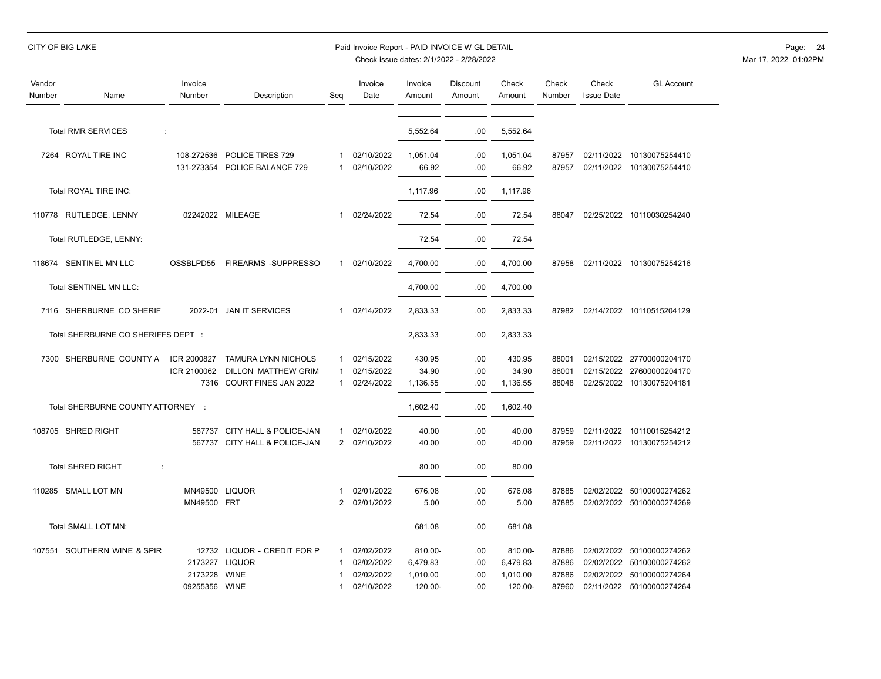## CITY OF BIG LAKE Paid Invoice Report - PAID INVOICE W GL DETAIL Page: 24

| Vendor<br>Number | Name                               | Invoice<br>Number          | Description                                              | Seq                          | Invoice<br>Date          | Invoice<br>Amount    | Discount<br>Amount | Check<br>Amount      | Check<br>Number | Check<br><b>Issue Date</b> | <b>GL Account</b>                                      |
|------------------|------------------------------------|----------------------------|----------------------------------------------------------|------------------------------|--------------------------|----------------------|--------------------|----------------------|-----------------|----------------------------|--------------------------------------------------------|
|                  | <b>Total RMR SERVICES</b><br>÷     |                            |                                                          |                              |                          | 5,552.64             | .00                | 5,552.64             |                 |                            |                                                        |
|                  | 7264 ROYAL TIRE INC                | 108-272536<br>131-273354   | POLICE TIRES 729<br>POLICE BALANCE 729                   | 1<br>1                       | 02/10/2022<br>02/10/2022 | 1,051.04<br>66.92    | .00<br>.00         | 1,051.04<br>66.92    | 87957<br>87957  |                            | 02/11/2022 10130075254410<br>02/11/2022 10130075254410 |
|                  | Total ROYAL TIRE INC:              |                            |                                                          |                              |                          | 1,117.96             | .00                | 1,117.96             |                 |                            |                                                        |
|                  | 110778 RUTLEDGE, LENNY             |                            | 02242022 MILEAGE                                         | 1                            | 02/24/2022               | 72.54                | .00                | 72.54                | 88047           |                            | 02/25/2022 10110030254240                              |
|                  | Total RUTLEDGE, LENNY:             |                            |                                                          |                              |                          | 72.54                | .00                | 72.54                |                 |                            |                                                        |
|                  | 118674 SENTINEL MN LLC             | OSSBLPD55                  | FIREARMS -SUPPRESSO                                      | $\mathbf{1}$                 | 02/10/2022               | 4,700.00             | .00                | 4,700.00             | 87958           |                            | 02/11/2022 10130075254216                              |
|                  | Total SENTINEL MN LLC:             |                            |                                                          |                              |                          | 4,700.00             | .00                | 4,700.00             |                 |                            |                                                        |
|                  | 7116 SHERBURNE CO SHERIF           | 2022-01                    | <b>JAN IT SERVICES</b>                                   | $\mathbf{1}$                 | 02/14/2022               | 2,833.33             | .00                | 2,833.33             | 87982           |                            | 02/14/2022 10110515204129                              |
|                  | Total SHERBURNE CO SHERIFFS DEPT : |                            |                                                          |                              |                          | 2,833.33             | .00                | 2,833.33             |                 |                            |                                                        |
|                  | 7300 SHERBURNE COUNTY A            | ICR 2000827<br>ICR 2100062 | <b>TAMURA LYNN NICHOLS</b><br><b>DILLON MATTHEW GRIM</b> | $\mathbf{1}$<br>$\mathbf{1}$ | 02/15/2022<br>02/15/2022 | 430.95<br>34.90      | .00<br>.00         | 430.95<br>34.90      | 88001<br>88001  |                            | 02/15/2022 27700000204170<br>02/15/2022 27600000204170 |
|                  |                                    |                            | 7316 COURT FINES JAN 2022                                | 1                            | 02/24/2022               | 1,136.55             | .00                | 1,136.55             | 88048           |                            | 02/25/2022 10130075204181                              |
|                  | Total SHERBURNE COUNTY ATTORNEY :  |                            |                                                          |                              |                          | 1,602.40             | .00                | 1,602.40             |                 |                            |                                                        |
|                  | 108705 SHRED RIGHT                 | 567737                     | CITY HALL & POLICE-JAN<br>567737 CITY HALL & POLICE-JAN  | 1<br>2                       | 02/10/2022<br>02/10/2022 | 40.00<br>40.00       | .00<br>.00         | 40.00<br>40.00       | 87959<br>87959  |                            | 02/11/2022 10110015254212<br>02/11/2022 10130075254212 |
|                  | <b>Total SHRED RIGHT</b><br>÷      |                            |                                                          |                              |                          | 80.00                | .00                | 80.00                |                 |                            |                                                        |
|                  | 110285 SMALL LOT MN                | MN49500<br>MN49500 FRT     | <b>LIQUOR</b>                                            | 1<br>2                       | 02/01/2022<br>02/01/2022 | 676.08<br>5.00       | .00<br>.00         | 676.08<br>5.00       | 87885<br>87885  | 02/02/2022                 | 50100000274262<br>02/02/2022 50100000274269            |
|                  | Total SMALL LOT MN:                |                            |                                                          |                              |                          | 681.08               | .00                | 681.08               |                 |                            |                                                        |
|                  | 107551 SOUTHERN WINE & SPIR        |                            | 12732 LIQUOR - CREDIT FOR P                              | 1                            | 02/02/2022               | 810.00-              | .00                | 810.00-              | 87886           | 02/02/2022                 | 50100000274262                                         |
|                  |                                    | 2173227<br>2173228         | <b>LIQUOR</b><br><b>WINE</b>                             | 1                            | 02/02/2022<br>02/02/2022 | 6,479.83<br>1,010.00 | .00<br>.00         | 6,479.83<br>1,010.00 | 87886<br>87886  | 02/02/2022                 | 02/02/2022 50100000274262<br>50100000274264            |
|                  |                                    | 09255356 WINE              |                                                          |                              | 02/10/2022               | 120.00-              | .00                | 120.00-              | 87960           |                            | 02/11/2022 50100000274264                              |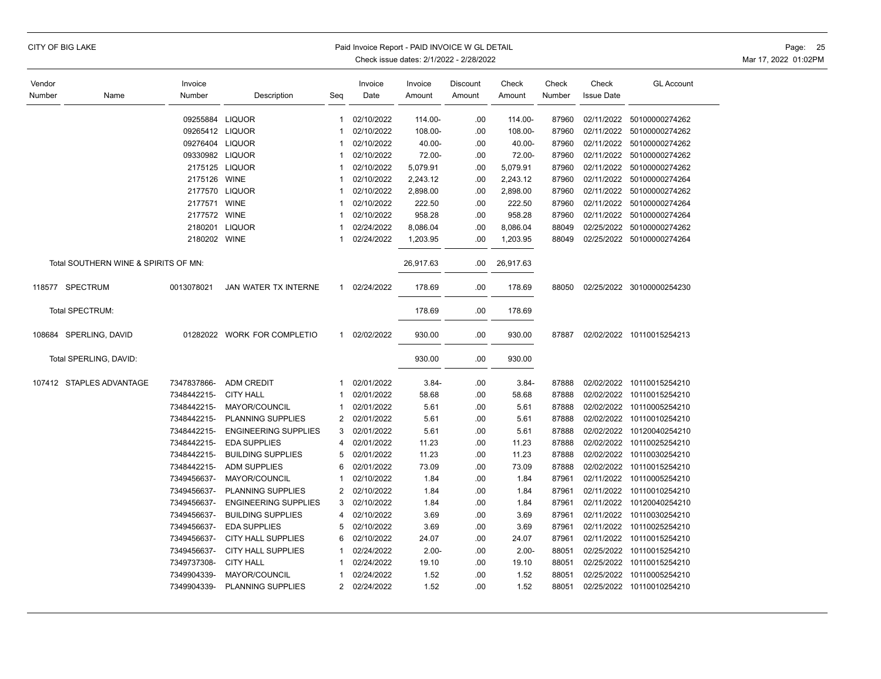|                  | CITY OF BIG LAKE                     |                   |                             |                | Paid Invoice Report - PAID INVOICE W GL DETAIL | Check issue dates: 2/1/2022 - 2/28/2022 |                    |                 |                 |                            |                           | Page: 25<br>Mar 17, 2022 01:02PM |
|------------------|--------------------------------------|-------------------|-----------------------------|----------------|------------------------------------------------|-----------------------------------------|--------------------|-----------------|-----------------|----------------------------|---------------------------|----------------------------------|
| Vendor<br>Number | Name                                 | Invoice<br>Number | Description                 | Seq            | Invoice<br>Date                                | Invoice<br>Amount                       | Discount<br>Amount | Check<br>Amount | Check<br>Number | Check<br><b>Issue Date</b> | <b>GL Account</b>         |                                  |
|                  |                                      | 09255884 LIQUOR   |                             | $\mathbf{1}$   | 02/10/2022                                     | 114.00-                                 | .00                | 114.00-         | 87960           | 02/11/2022                 | 50100000274262            |                                  |
|                  |                                      | 09265412 LIQUOR   |                             | $\mathbf 1$    | 02/10/2022                                     | 108.00-                                 | .00                | 108.00-         | 87960           | 02/11/2022                 | 50100000274262            |                                  |
|                  |                                      | 09276404 LIQUOR   |                             | 1              | 02/10/2022                                     | 40.00-                                  | .00                | 40.00-          | 87960           | 02/11/2022                 | 50100000274262            |                                  |
|                  |                                      | 09330982 LIQUOR   |                             |                | 02/10/2022                                     | 72.00-                                  | .00                | 72.00-          | 87960           | 02/11/2022                 | 50100000274262            |                                  |
|                  |                                      |                   | 2175125 LIQUOR              | 1              | 02/10/2022                                     | 5,079.91                                | .00                | 5,079.91        | 87960           | 02/11/2022                 | 50100000274262            |                                  |
|                  |                                      | 2175126 WINE      |                             | -1             | 02/10/2022                                     | 2,243.12                                | .00                | 2,243.12        | 87960           | 02/11/2022                 | 50100000274264            |                                  |
|                  |                                      |                   | 2177570 LIQUOR              | $\mathbf 1$    | 02/10/2022                                     | 2,898.00                                | .00                | 2,898.00        | 87960           | 02/11/2022                 | 50100000274262            |                                  |
|                  |                                      | 2177571 WINE      |                             |                | 02/10/2022                                     | 222.50                                  | .00                | 222.50          | 87960           | 02/11/2022                 | 50100000274264            |                                  |
|                  |                                      | 2177572 WINE      |                             |                | 02/10/2022                                     | 958.28                                  | .00                | 958.28          | 87960           | 02/11/2022                 | 50100000274264            |                                  |
|                  |                                      |                   | 2180201 LIQUOR              | -1             | 02/24/2022                                     | 8,086.04                                | .00                | 8,086.04        | 88049           |                            | 02/25/2022 50100000274262 |                                  |
|                  |                                      | 2180202 WINE      |                             |                | 02/24/2022                                     | 1,203.95                                | .00                | 1,203.95        | 88049           |                            | 02/25/2022 50100000274264 |                                  |
|                  | Total SOUTHERN WINE & SPIRITS OF MN: |                   |                             |                |                                                | 26,917.63                               | .00                | 26,917.63       |                 |                            |                           |                                  |
|                  | 118577 SPECTRUM                      | 0013078021        | <b>JAN WATER TX INTERNE</b> | $\mathbf{1}$   | 02/24/2022                                     | 178.69                                  | .00                | 178.69          | 88050           |                            | 02/25/2022 30100000254230 |                                  |
|                  | Total SPECTRUM:                      |                   |                             |                |                                                | 178.69                                  | .00                | 178.69          |                 |                            |                           |                                  |
|                  | 108684 SPERLING, DAVID               |                   | 01282022 WORK FOR COMPLETIO | $\mathbf{1}$   | 02/02/2022                                     | 930.00                                  | .00                | 930.00          | 87887           |                            | 02/02/2022 10110015254213 |                                  |
|                  | Total SPERLING, DAVID:               |                   |                             |                |                                                | 930.00                                  | .00                | 930.00          |                 |                            |                           |                                  |
|                  | 107412 STAPLES ADVANTAGE             | 7347837866-       | <b>ADM CREDIT</b>           | $\mathbf{1}$   | 02/01/2022                                     | $3.84 -$                                | .00                | $3.84 -$        | 87888           |                            | 02/02/2022 10110015254210 |                                  |
|                  |                                      | 7348442215-       | <b>CITY HALL</b>            | -1             | 02/01/2022                                     | 58.68                                   | .00                | 58.68           | 87888           | 02/02/2022                 | 10110015254210            |                                  |
|                  |                                      | 7348442215-       | MAYOR/COUNCIL               |                | 02/01/2022                                     | 5.61                                    | .00                | 5.61            | 87888           | 02/02/2022                 | 10110005254210            |                                  |
|                  |                                      | 7348442215-       | PLANNING SUPPLIES           | $\overline{2}$ | 02/01/2022                                     | 5.61                                    | .00                | 5.61            | 87888           |                            | 02/02/2022 10110010254210 |                                  |
|                  |                                      | 7348442215-       | <b>ENGINEERING SUPPLIES</b> | 3              | 02/01/2022                                     | 5.61                                    | .00                | 5.61            | 87888           | 02/02/2022                 | 10120040254210            |                                  |
|                  |                                      | 7348442215-       | <b>EDA SUPPLIES</b>         | 4              | 02/01/2022                                     | 11.23                                   | .00                | 11.23           | 87888           | 02/02/2022                 | 10110025254210            |                                  |
|                  |                                      | 7348442215-       | <b>BUILDING SUPPLIES</b>    | 5              | 02/01/2022                                     | 11.23                                   | .00                | 11.23           | 87888           | 02/02/2022                 | 10110030254210            |                                  |
|                  |                                      | 7348442215-       | <b>ADM SUPPLIES</b>         | 6              | 02/01/2022                                     | 73.09                                   | .00                | 73.09           | 87888           | 02/02/2022                 | 10110015254210            |                                  |
|                  |                                      | 7349456637-       | MAYOR/COUNCIL               | 1              | 02/10/2022                                     | 1.84                                    | .00                | 1.84            | 87961           | 02/11/2022                 | 10110005254210            |                                  |
|                  |                                      | 7349456637-       | PLANNING SUPPLIES           | 2              | 02/10/2022                                     | 1.84                                    | .00                | 1.84            | 87961           | 02/11/2022                 | 10110010254210            |                                  |
|                  |                                      | 7349456637-       | <b>ENGINEERING SUPPLIES</b> | 3              | 02/10/2022                                     | 1.84                                    | .00                | 1.84            | 87961           | 02/11/2022                 | 10120040254210            |                                  |
|                  |                                      | 7349456637-       | <b>BUILDING SUPPLIES</b>    | 4              | 02/10/2022                                     | 3.69                                    | .00                | 3.69            | 87961           | 02/11/2022                 | 10110030254210            |                                  |
|                  |                                      | 7349456637-       | <b>EDA SUPPLIES</b>         | 5              | 02/10/2022                                     | 3.69                                    | .00                | 3.69            | 87961           | 02/11/2022                 | 10110025254210            |                                  |
|                  |                                      | 7349456637-       | <b>CITY HALL SUPPLIES</b>   | 6              | 02/10/2022                                     | 24.07                                   | .00                | 24.07           | 87961           | 02/11/2022                 | 10110015254210            |                                  |
|                  |                                      | 7349456637-       | <b>CITY HALL SUPPLIES</b>   |                | 02/24/2022                                     | $2.00 -$                                | .00                | $2.00 -$        | 88051           | 02/25/2022                 | 10110015254210            |                                  |
|                  |                                      | 7349737308-       | <b>CITY HALL</b>            | 1              | 02/24/2022                                     | 19.10                                   | .00                | 19.10           | 88051           | 02/25/2022                 | 10110015254210            |                                  |
|                  |                                      | 7349904339-       | MAYOR/COUNCIL               | 1              | 02/24/2022                                     | 1.52                                    | .00                | 1.52            | 88051           | 02/25/2022                 | 10110005254210            |                                  |
|                  |                                      | 7349904339-       | <b>PLANNING SUPPLIES</b>    | 2              | 02/24/2022                                     | 1.52                                    | .00                | 1.52            | 88051           |                            | 02/25/2022 10110010254210 |                                  |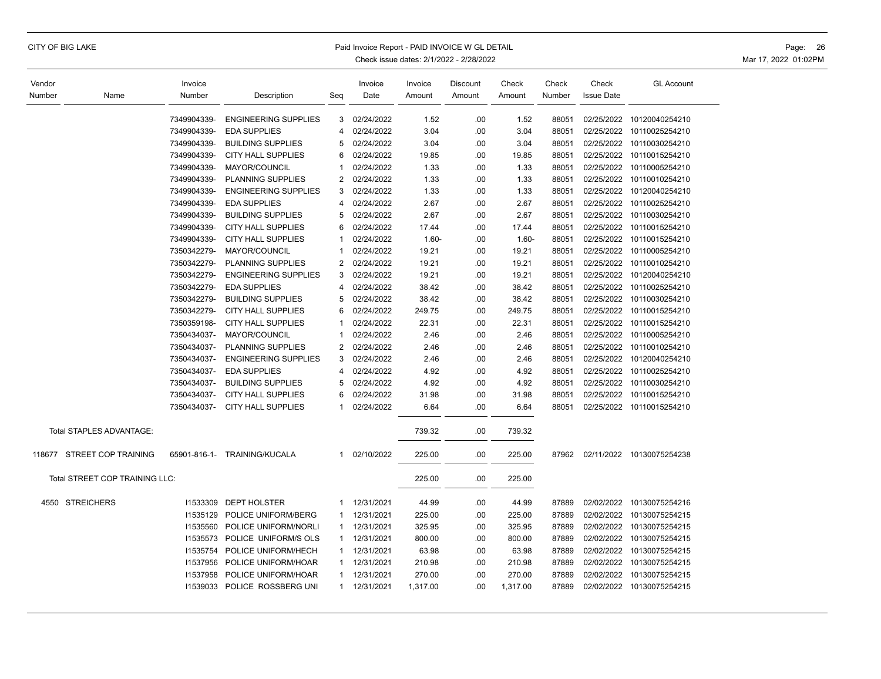## CITY OF BIG LAKE Paid Invoice Report - PAID INVOICE W GL DETAIL Page: 26

| Vendor |                                | Invoice      |                             |              | Invoice    | Invoice  | Discount | Check    | Check  | Check             | <b>GL Account</b>         |
|--------|--------------------------------|--------------|-----------------------------|--------------|------------|----------|----------|----------|--------|-------------------|---------------------------|
| Number | Name                           | Number       | Description                 | Seg          | Date       | Amount   | Amount   | Amount   | Number | <b>Issue Date</b> |                           |
|        |                                | 7349904339-  | <b>ENGINEERING SUPPLIES</b> | 3            | 02/24/2022 | 1.52     | .00      | 1.52     | 88051  | 02/25/2022        | 10120040254210            |
|        |                                | 7349904339-  | <b>EDA SUPPLIES</b>         | 4            | 02/24/2022 | 3.04     | .00      | 3.04     | 88051  | 02/25/2022        | 10110025254210            |
|        |                                | 7349904339-  | <b>BUILDING SUPPLIES</b>    | 5            | 02/24/2022 | 3.04     | .00      | 3.04     | 88051  | 02/25/2022        | 10110030254210            |
|        |                                | 7349904339-  | <b>CITY HALL SUPPLIES</b>   | 6            | 02/24/2022 | 19.85    | .00      | 19.85    | 88051  |                   | 02/25/2022 10110015254210 |
|        |                                | 7349904339-  | MAYOR/COUNCIL               | $\mathbf 1$  | 02/24/2022 | 1.33     | .00      | 1.33     | 88051  | 02/25/2022        | 10110005254210            |
|        |                                | 7349904339-  | <b>PLANNING SUPPLIES</b>    | 2            | 02/24/2022 | 1.33     | .00      | 1.33     | 88051  |                   | 02/25/2022 10110010254210 |
|        |                                | 7349904339-  | <b>ENGINEERING SUPPLIES</b> | 3            | 02/24/2022 | 1.33     | .00      | 1.33     | 88051  | 02/25/2022        | 10120040254210            |
|        |                                | 7349904339-  | <b>EDA SUPPLIES</b>         | 4            | 02/24/2022 | 2.67     | .00      | 2.67     | 88051  |                   | 02/25/2022 10110025254210 |
|        |                                | 7349904339-  | <b>BUILDING SUPPLIES</b>    | 5            | 02/24/2022 | 2.67     | .00      | 2.67     | 88051  | 02/25/2022        | 10110030254210            |
|        |                                | 7349904339-  | <b>CITY HALL SUPPLIES</b>   | 6            | 02/24/2022 | 17.44    | .00      | 17.44    | 88051  | 02/25/2022        | 10110015254210            |
|        |                                | 7349904339-  | <b>CITY HALL SUPPLIES</b>   | $\mathbf 1$  | 02/24/2022 | $1.60 -$ | .00      | $1.60 -$ | 88051  | 02/25/2022        | 10110015254210            |
|        |                                | 7350342279-  | MAYOR/COUNCIL               | $\mathbf 1$  | 02/24/2022 | 19.21    | .00      | 19.21    | 88051  | 02/25/2022        | 10110005254210            |
|        |                                | 7350342279-  | PLANNING SUPPLIES           | 2            | 02/24/2022 | 19.21    | .00      | 19.21    | 88051  | 02/25/2022        | 10110010254210            |
|        |                                | 7350342279-  | <b>ENGINEERING SUPPLIES</b> | 3            | 02/24/2022 | 19.21    | .00      | 19.21    | 88051  | 02/25/2022        | 10120040254210            |
|        |                                | 7350342279-  | <b>EDA SUPPLIES</b>         | 4            | 02/24/2022 | 38.42    | .00      | 38.42    | 88051  | 02/25/2022        | 10110025254210            |
|        |                                | 7350342279-  | <b>BUILDING SUPPLIES</b>    | 5            | 02/24/2022 | 38.42    | .00      | 38.42    | 88051  | 02/25/2022        | 10110030254210            |
|        |                                | 7350342279-  | <b>CITY HALL SUPPLIES</b>   | 6            | 02/24/2022 | 249.75   | .00      | 249.75   | 88051  | 02/25/2022        | 10110015254210            |
|        |                                | 7350359198-  | <b>CITY HALL SUPPLIES</b>   | 1            | 02/24/2022 | 22.31    | .00      | 22.31    | 88051  | 02/25/2022        | 10110015254210            |
|        |                                | 7350434037-  | MAYOR/COUNCIL               | 1            | 02/24/2022 | 2.46     | .00      | 2.46     | 88051  | 02/25/2022        | 10110005254210            |
|        |                                | 7350434037-  | PLANNING SUPPLIES           | 2            | 02/24/2022 | 2.46     | .00      | 2.46     | 88051  | 02/25/2022        | 10110010254210            |
|        |                                | 7350434037-  | <b>ENGINEERING SUPPLIES</b> | 3            | 02/24/2022 | 2.46     | .00      | 2.46     | 88051  | 02/25/2022        | 10120040254210            |
|        |                                | 7350434037-  | <b>EDA SUPPLIES</b>         | 4            | 02/24/2022 | 4.92     | .00      | 4.92     | 88051  |                   | 02/25/2022 10110025254210 |
|        |                                | 7350434037-  | <b>BUILDING SUPPLIES</b>    | 5            | 02/24/2022 | 4.92     | .00      | 4.92     | 88051  | 02/25/2022        | 10110030254210            |
|        |                                | 7350434037-  | <b>CITY HALL SUPPLIES</b>   | 6            | 02/24/2022 | 31.98    | .00      | 31.98    | 88051  | 02/25/2022        | 10110015254210            |
|        |                                | 7350434037-  | <b>CITY HALL SUPPLIES</b>   | -1           | 02/24/2022 | 6.64     | .00      | 6.64     | 88051  |                   | 02/25/2022 10110015254210 |
|        | Total STAPLES ADVANTAGE:       |              |                             |              |            | 739.32   | .00      | 739.32   |        |                   |                           |
|        | 118677 STREET COP TRAINING     | 65901-816-1- | TRAINING/KUCALA             | 1            | 02/10/2022 | 225.00   | .00      | 225.00   | 87962  |                   | 02/11/2022 10130075254238 |
|        | Total STREET COP TRAINING LLC: |              |                             |              |            | 225.00   | .00      | 225.00   |        |                   |                           |
| 4550   | <b>STREICHERS</b>              | 11533309     | <b>DEPT HOLSTER</b>         | -1           | 12/31/2021 | 44.99    | .00      | 44.99    | 87889  | 02/02/2022        | 10130075254216            |
|        |                                | 11535129     | POLICE UNIFORM/BERG         | $\mathbf 1$  | 12/31/2021 | 225.00   | .00      | 225.00   | 87889  | 02/02/2022        | 10130075254215            |
|        |                                | 11535560     | POLICE UNIFORM/NORLI        | $\mathbf{1}$ | 12/31/2021 | 325.95   | .00      | 325.95   | 87889  | 02/02/2022        | 10130075254215            |
|        |                                | 11535573     | POLICE UNIFORM/S OLS        | $\mathbf{1}$ | 12/31/2021 | 800.00   | .00      | 800.00   | 87889  |                   | 02/02/2022 10130075254215 |
|        |                                | 11535754     | POLICE UNIFORM/HECH         | $\mathbf{1}$ | 12/31/2021 | 63.98    | .00      | 63.98    | 87889  | 02/02/2022        | 10130075254215            |
|        |                                | 11537956     | POLICE UNIFORM/HOAR         | $\mathbf{1}$ | 12/31/2021 | 210.98   | .00      | 210.98   | 87889  |                   | 02/02/2022 10130075254215 |
|        |                                | 11537958     | POLICE UNIFORM/HOAR         | $\mathbf{1}$ | 12/31/2021 | 270.00   | .00      | 270.00   | 87889  | 02/02/2022        | 10130075254215            |
|        |                                | 11539033     | POLICE ROSSBERG UNI         | $\mathbf{1}$ | 12/31/2021 | 1,317.00 | .00      | 1,317.00 | 87889  |                   | 02/02/2022 10130075254215 |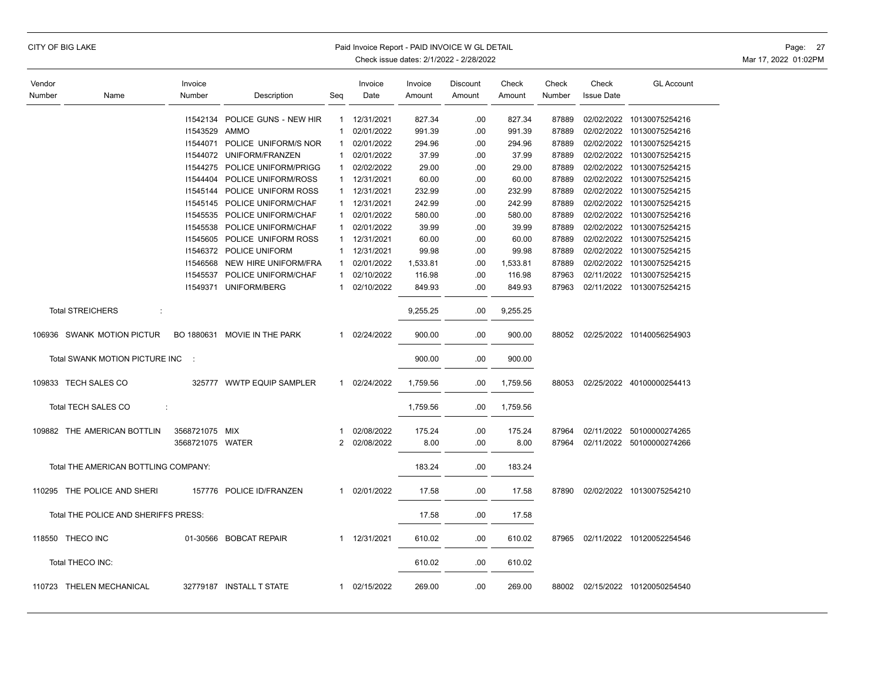|  |  |  | CITY OF BIG LAKE |
|--|--|--|------------------|
|--|--|--|------------------|

### Paid Invoice Report - PAID INVOICE W GL DETAIL **Page: 27** Page: 27

| Vendor |                                      | Invoice          |                               |                | Invoice    | Invoice  | <b>Discount</b> | Check    | Check  | Check             | <b>GL Account</b>         |
|--------|--------------------------------------|------------------|-------------------------------|----------------|------------|----------|-----------------|----------|--------|-------------------|---------------------------|
| Number | Name                                 | Number           | Description                   | Seq            | Date       | Amount   | Amount          | Amount   | Number | <b>Issue Date</b> |                           |
|        |                                      |                  |                               |                |            |          |                 |          |        |                   |                           |
|        |                                      | 11542134         | POLICE GUNS - NEW HIR         | 1              | 12/31/2021 | 827.34   | .00             | 827.34   | 87889  | 02/02/2022        | 10130075254216            |
|        |                                      | 11543529 AMMO    |                               | 1              | 02/01/2022 | 991.39   | .00             | 991.39   | 87889  | 02/02/2022        | 10130075254216            |
|        |                                      | 11544071         | POLICE UNIFORM/S NOR          | 1              | 02/01/2022 | 294.96   | .00             | 294.96   | 87889  |                   | 02/02/2022 10130075254215 |
|        |                                      |                  | 11544072 UNIFORM/FRANZEN      | 1              | 02/01/2022 | 37.99    | .00             | 37.99    | 87889  | 02/02/2022        | 10130075254215            |
|        |                                      |                  | 11544275 POLICE UNIFORM/PRIGG | 1              | 02/02/2022 | 29.00    | .00.            | 29.00    | 87889  |                   | 02/02/2022 10130075254215 |
|        |                                      |                  | 11544404 POLICE UNIFORM/ROSS  | $\mathbf{1}$   | 12/31/2021 | 60.00    | .00             | 60.00    | 87889  | 02/02/2022        | 10130075254215            |
|        |                                      |                  | 11545144 POLICE UNIFORM ROSS  | 1              | 12/31/2021 | 232.99   | .00             | 232.99   | 87889  |                   | 02/02/2022 10130075254215 |
|        |                                      |                  | 11545145 POLICE UNIFORM/CHAF  | $\mathbf{1}$   | 12/31/2021 | 242.99   | .00             | 242.99   | 87889  |                   | 02/02/2022 10130075254215 |
|        |                                      |                  | 11545535 POLICE UNIFORM/CHAF  |                | 02/01/2022 | 580.00   | .00             | 580.00   | 87889  | 02/02/2022        | 10130075254216            |
|        |                                      |                  | 11545538 POLICE UNIFORM/CHAF  | 1              | 02/01/2022 | 39.99    | .00.            | 39.99    | 87889  |                   | 02/02/2022 10130075254215 |
|        |                                      |                  | 11545605 POLICE UNIFORM ROSS  | $\mathbf{1}$   | 12/31/2021 | 60.00    | .00             | 60.00    | 87889  | 02/02/2022        | 10130075254215            |
|        |                                      |                  | 11546372 POLICE UNIFORM       | 1.             | 12/31/2021 | 99.98    | .00             | 99.98    | 87889  | 02/02/2022        | 10130075254215            |
|        |                                      |                  | 11546568 NEW HIRE UNIFORM/FRA | 1              | 02/01/2022 | 1,533.81 | .00             | 1,533.81 | 87889  | 02/02/2022        | 10130075254215            |
|        |                                      | 11545537         | POLICE UNIFORM/CHAF           | 1              | 02/10/2022 | 116.98   | .00.            | 116.98   | 87963  | 02/11/2022        | 10130075254215            |
|        |                                      | 11549371         | UNIFORM/BERG                  | 1              | 02/10/2022 | 849.93   | .00             | 849.93   | 87963  | 02/11/2022        | 10130075254215            |
|        | <b>Total STREICHERS</b><br>÷         |                  |                               |                |            | 9,255.25 | .00             | 9,255.25 |        |                   |                           |
|        |                                      |                  |                               |                |            |          |                 |          |        |                   |                           |
|        | 106936 SWANK MOTION PICTUR           |                  | BO 1880631 MOVIE IN THE PARK  | 1              | 02/24/2022 | 900.00   | .00             | 900.00   | 88052  |                   | 02/25/2022 10140056254903 |
|        | Total SWANK MOTION PICTURE INC       | - 1              |                               |                |            | 900.00   | .00             | 900.00   |        |                   |                           |
|        | 109833 TECH SALES CO                 |                  | 325777 WWTP EQUIP SAMPLER     | 1              | 02/24/2022 | 1,759.56 | .00             | 1,759.56 | 88053  |                   | 02/25/2022 40100000254413 |
|        | Total TECH SALES CO<br>÷             |                  |                               |                |            | 1,759.56 | .00             | 1,759.56 |        |                   |                           |
|        | 109882 THE AMERICAN BOTTLIN          | 3568721075 MIX   |                               | 1              | 02/08/2022 | 175.24   | .00             | 175.24   | 87964  |                   | 02/11/2022 50100000274265 |
|        |                                      | 3568721075 WATER |                               | $\overline{2}$ | 02/08/2022 | 8.00     | .00             | 8.00     | 87964  |                   | 02/11/2022 50100000274266 |
|        | Total THE AMERICAN BOTTLING COMPANY: |                  |                               |                |            | 183.24   | .00             | 183.24   |        |                   |                           |
|        | 110295 THE POLICE AND SHERI          |                  | 157776 POLICE ID/FRANZEN      | $\mathbf{1}$   | 02/01/2022 | 17.58    | .00             | 17.58    | 87890  |                   | 02/02/2022 10130075254210 |
|        | Total THE POLICE AND SHERIFFS PRESS: |                  |                               |                |            | 17.58    | .00             | 17.58    |        |                   |                           |
|        | 118550 THECO INC                     |                  | 01-30566 BOBCAT REPAIR        | 1              | 12/31/2021 | 610.02   | .00             | 610.02   | 87965  |                   | 02/11/2022 10120052254546 |
|        | Total THECO INC:                     |                  |                               |                |            | 610.02   | .00             | 610.02   |        |                   |                           |
|        | 110723 THELEN MECHANICAL             |                  | 32779187 INSTALL T STATE      | 1              | 02/15/2022 | 269.00   | .00             | 269.00   | 88002  |                   | 02/15/2022 10120050254540 |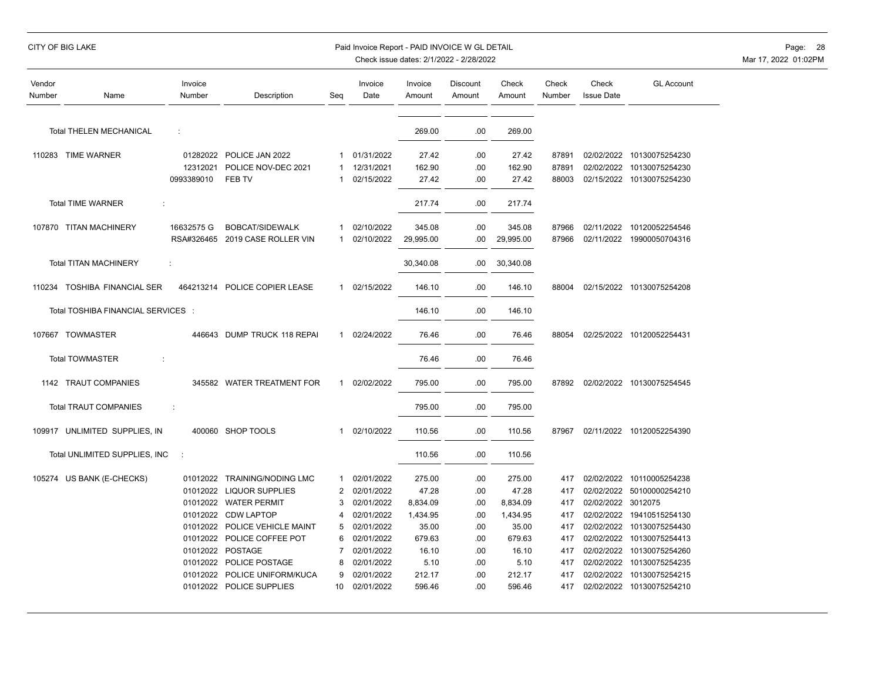## CITY OF BIG LAKE Paid Invoice Report - PAID INVOICE W GL DETAIL Page: 28

| Vendor<br>Number | Name                               | Invoice<br>Number | Description                | Seg          | Invoice<br>Date | Invoice<br>Amount | Discount<br>Amount | Check<br>Amount | Check<br>Number | Check<br><b>Issue Date</b> | <b>GL Account</b>         |
|------------------|------------------------------------|-------------------|----------------------------|--------------|-----------------|-------------------|--------------------|-----------------|-----------------|----------------------------|---------------------------|
|                  | <b>Total THELEN MECHANICAL</b>     | ÷                 |                            |              |                 | 269.00            | .00                | 269.00          |                 |                            |                           |
|                  | 110283 TIME WARNER                 | 01282022          | POLICE JAN 2022            | 1            | 01/31/2022      | 27.42             | .00                | 27.42           | 87891           |                            | 02/02/2022 10130075254230 |
|                  |                                    | 12312021          | POLICE NOV-DEC 2021        |              | 12/31/2021      | 162.90            | .00                | 162.90          | 87891           | 02/02/2022                 | 10130075254230            |
|                  |                                    | 0993389010        | FEB TV                     |              | 02/15/2022      | 27.42             | .00                | 27.42           | 88003           |                            | 02/15/2022 10130075254230 |
|                  | <b>Total TIME WARNER</b><br>÷      |                   |                            |              |                 | 217.74            | .00                | 217.74          |                 |                            |                           |
|                  | 107870 TITAN MACHINERY             | 16632575 G        | BOBCAT/SIDEWALK            | 1            | 02/10/2022      | 345.08            | .00                | 345.08          | 87966           |                            | 02/11/2022 10120052254546 |
|                  |                                    | RSA#326465        | 2019 CASE ROLLER VIN       | 1            | 02/10/2022      | 29.995.00         | .00                | 29,995.00       | 87966           | 02/11/2022                 | 19900050704316            |
|                  | <b>Total TITAN MACHINERY</b>       |                   |                            |              |                 | 30,340.08         | .00.               | 30,340.08       |                 |                            |                           |
|                  | 110234 TOSHIBA FINANCIAL SER       | 464213214         | POLICE COPIER LEASE        | 1            | 02/15/2022      | 146.10            | .00                | 146.10          | 88004           |                            | 02/15/2022 10130075254208 |
|                  | Total TOSHIBA FINANCIAL SERVICES : |                   |                            |              |                 | 146.10            | .00                | 146.10          |                 |                            |                           |
|                  | 107667 TOWMASTER                   | 446643            | DUMP TRUCK 118 REPAI       | $\mathbf{1}$ | 02/24/2022      | 76.46             | .00                | 76.46           | 88054           |                            | 02/25/2022 10120052254431 |
|                  | <b>Total TOWMASTER</b><br>÷        |                   |                            |              |                 | 76.46             | .00                | 76.46           |                 |                            |                           |
|                  | 1142 TRAUT COMPANIES               |                   | 345582 WATER TREATMENT FOR | 1            | 02/02/2022      | 795.00            | .00                | 795.00          | 87892           |                            | 02/02/2022 10130075254545 |
|                  | <b>Total TRAUT COMPANIES</b>       | ÷                 |                            |              |                 | 795.00            | .00                | 795.00          |                 |                            |                           |
|                  | 109917 UNLIMITED SUPPLIES, IN      |                   | 400060 SHOP TOOLS          | 1            | 02/10/2022      | 110.56            | .00.               | 110.56          | 87967           |                            | 02/11/2022 10120052254390 |
|                  | Total UNLIMITED SUPPLIES, INC      | $\cdot$           |                            |              |                 | 110.56            | .00                | 110.56          |                 |                            |                           |
|                  | 105274 US BANK (E-CHECKS)          | 01012022          | <b>TRAINING/NODING LMC</b> | -1           | 02/01/2022      | 275.00            | .00                | 275.00          | 417             |                            | 02/02/2022 10110005254238 |
|                  |                                    | 01012022          | <b>LIQUOR SUPPLIES</b>     | 2            | 02/01/2022      | 47.28             | .00                | 47.28           | 417             | 02/02/2022                 | 50100000254210            |
|                  |                                    | 01012022          | <b>WATER PERMIT</b>        |              | 02/01/2022      | 8,834.09          | .00                | 8,834.09        | 417             | 02/02/2022 3012075         |                           |
|                  |                                    | 01012022          | <b>CDW LAPTOP</b>          |              | 02/01/2022      | 1,434.95          | .00                | 1,434.95        | 417             |                            | 02/02/2022 19410515254130 |
|                  |                                    | 01012022          | POLICE VEHICLE MAINT       | 5            | 02/01/2022      | 35.00             | .00                | 35.00           | 417             | 02/02/2022                 | 10130075254430            |
|                  |                                    | 01012022          | POLICE COFFEE POT          | 6            | 02/01/2022      | 679.63            | .00                | 679.63          | 417             | 02/02/2022                 | 10130075254413            |
|                  |                                    | 01012022          | POSTAGE                    |              | 02/01/2022      | 16.10             | .00                | 16.10           | 417             | 02/02/2022                 | 10130075254260            |
|                  |                                    | 01012022          | POLICE POSTAGE             | 8            | 02/01/2022      | 5.10              | .00                | 5.10            | 417             |                            | 02/02/2022 10130075254235 |
|                  |                                    | 01012022          | POLICE UNIFORM/KUCA        | q            | 02/01/2022      | 212.17            | .00                | 212.17          | 417             | 02/02/2022                 | 10130075254215            |
|                  |                                    |                   | 01012022 POLICE SUPPLIES   | 10           | 02/01/2022      | 596.46            | .00                | 596.46          | 417             |                            | 02/02/2022 10130075254210 |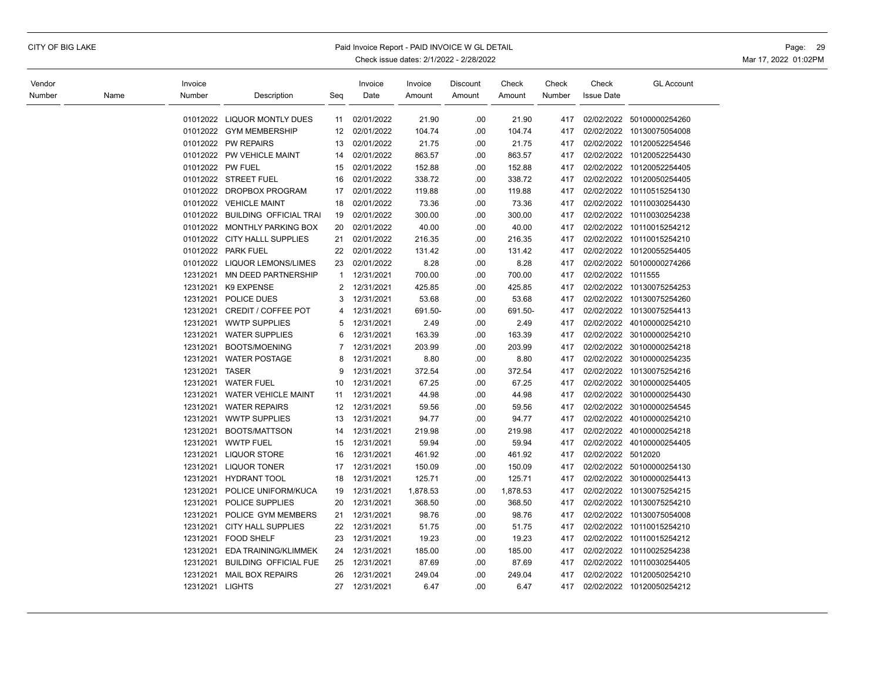## CITY OF BIG LAKE Paid Invoice Report - PAID INVOICE W GL DETAIL Page: 29

| Vendor |      | Invoice          |                               |                | Invoice    | Invoice  | Discount | Check    | Check  | Check              | <b>GL Account</b>         |
|--------|------|------------------|-------------------------------|----------------|------------|----------|----------|----------|--------|--------------------|---------------------------|
| Number | Name | Number           | Description                   | Seg            | Date       | Amount   | Amount   | Amount   | Number | <b>Issue Date</b>  |                           |
|        |      | 01012022         | <b>LIQUOR MONTLY DUES</b>     | 11             | 02/01/2022 | 21.90    | .00      | 21.90    | 417    | 02/02/2022         | 50100000254260            |
|        |      |                  | 01012022 GYM MEMBERSHIP       | 12             | 02/01/2022 | 104.74   | .00      | 104.74   | 417    | 02/02/2022         | 10130075054008            |
|        |      |                  | 01012022 PW REPAIRS           | 13             | 02/01/2022 | 21.75    | .00      | 21.75    | 417    | 02/02/2022         | 10120052254546            |
|        |      |                  | 01012022 PW VEHICLE MAINT     | 14             | 02/01/2022 | 863.57   | .00      | 863.57   | 417    | 02/02/2022         | 10120052254430            |
|        |      | 01012022 PW FUEL |                               | 15             | 02/01/2022 | 152.88   | .00      | 152.88   | 417    | 02/02/2022         | 10120052254405            |
|        |      |                  | 01012022 STREET FUEL          | 16             | 02/01/2022 | 338.72   | .00      | 338.72   | 417    | 02/02/2022         | 10120050254405            |
|        |      |                  | 01012022 DROPBOX PROGRAM      | 17             | 02/01/2022 | 119.88   | .00      | 119.88   | 417    | 02/02/2022         | 10110515254130            |
|        |      |                  | 01012022 VEHICLE MAINT        | 18             | 02/01/2022 | 73.36    | .00      | 73.36    | 417    | 02/02/2022         | 10110030254430            |
|        |      | 01012022         | <b>BUILDING OFFICIAL TRAI</b> | 19             | 02/01/2022 | 300.00   | .00      | 300.00   | 417    | 02/02/2022         | 10110030254238            |
|        |      | 01012022         | MONTHLY PARKING BOX           | 20             | 02/01/2022 | 40.00    | .00      | 40.00    | 417    | 02/02/2022         | 10110015254212            |
|        |      |                  | 01012022 CITY HALLL SUPPLIES  | 21             | 02/01/2022 | 216.35   | .00      | 216.35   | 417    | 02/02/2022         | 10110015254210            |
|        |      |                  | 01012022 PARK FUEL            | 22             | 02/01/2022 | 131.42   | .00      | 131.42   | 417    | 02/02/2022         | 10120055254405            |
|        |      |                  | 01012022 LIQUOR LEMONS/LIMES  | 23             | 02/01/2022 | 8.28     | .00      | 8.28     | 417    |                    | 02/02/2022 50100000274266 |
|        |      | 12312021         | MN DEED PARTNERSHIP           | $\mathbf{1}$   | 12/31/2021 | 700.00   | .00      | 700.00   | 417    | 02/02/2022         | 1011555                   |
|        |      | 12312021         | K9 EXPENSE                    | $\overline{2}$ | 12/31/2021 | 425.85   | .00      | 425.85   | 417    | 02/02/2022         | 10130075254253            |
|        |      | 12312021         | POLICE DUES                   | 3              | 12/31/2021 | 53.68    | .00      | 53.68    | 417    | 02/02/2022         | 10130075254260            |
|        |      | 12312021         | CREDIT / COFFEE POT           | $\overline{4}$ | 12/31/2021 | 691.50-  | .00      | 691.50-  | 417    | 02/02/2022         | 10130075254413            |
|        |      | 12312021         | <b>WWTP SUPPLIES</b>          | 5              | 12/31/2021 | 2.49     | .00      | 2.49     | 417    | 02/02/2022         | 40100000254210            |
|        |      | 12312021         | <b>WATER SUPPLIES</b>         | 6              | 12/31/2021 | 163.39   | .00      | 163.39   | 417    | 02/02/2022         | 30100000254210            |
|        |      | 12312021         | BOOTS/MOENING                 | $\overline{7}$ | 12/31/2021 | 203.99   | .00      | 203.99   | 417    | 02/02/2022         | 30100000254218            |
|        |      | 12312021         | <b>WATER POSTAGE</b>          | 8              | 12/31/2021 | 8.80     | .00      | 8.80     | 417    | 02/02/2022         | 30100000254235            |
|        |      | 12312021         | <b>TASER</b>                  | 9              | 12/31/2021 | 372.54   | .00      | 372.54   | 417    | 02/02/2022         | 10130075254216            |
|        |      | 12312021         | <b>WATER FUEL</b>             | 10             | 12/31/2021 | 67.25    | .00      | 67.25    | 417    | 02/02/2022         | 30100000254405            |
|        |      | 12312021         | WATER VEHICLE MAINT           | 11             | 12/31/2021 | 44.98    | .00      | 44.98    | 417    | 02/02/2022         | 30100000254430            |
|        |      | 12312021         | <b>WATER REPAIRS</b>          | 12             | 12/31/2021 | 59.56    | .00      | 59.56    | 417    | 02/02/2022         | 30100000254545            |
|        |      | 12312021         | <b>WWTP SUPPLIES</b>          | 13             | 12/31/2021 | 94.77    | .00      | 94.77    | 417    | 02/02/2022         | 40100000254210            |
|        |      | 12312021         | BOOTS/MATTSON                 | 14             | 12/31/2021 | 219.98   | .00      | 219.98   | 417    | 02/02/2022         | 40100000254218            |
|        |      | 12312021         | <b>WWTP FUEL</b>              | 15             | 12/31/2021 | 59.94    | .00      | 59.94    | 417    | 02/02/2022         | 40100000254405            |
|        |      | 12312021         | <b>LIQUOR STORE</b>           | 16             | 12/31/2021 | 461.92   | .00.     | 461.92   | 417    | 02/02/2022 5012020 |                           |
|        |      | 12312021         | <b>LIQUOR TONER</b>           | 17             | 12/31/2021 | 150.09   | .00      | 150.09   | 417    | 02/02/2022         | 50100000254130            |
|        |      | 12312021         | <b>HYDRANT TOOL</b>           | 18             | 12/31/2021 | 125.71   | .00      | 125.71   | 417    | 02/02/2022         | 30100000254413            |
|        |      | 12312021         | POLICE UNIFORM/KUCA           | 19             | 12/31/2021 | 1,878.53 | .00      | 1,878.53 | 417    | 02/02/2022         | 10130075254215            |
|        |      | 12312021         | POLICE SUPPLIES               | 20             | 12/31/2021 | 368.50   | .00      | 368.50   | 417    | 02/02/2022         | 10130075254210            |
|        |      | 12312021         | POLICE GYM MEMBERS            | 21             | 12/31/2021 | 98.76    | .00      | 98.76    | 417    | 02/02/2022         | 10130075054008            |
|        |      | 12312021         | <b>CITY HALL SUPPLIES</b>     | 22             | 12/31/2021 | 51.75    | .00      | 51.75    | 417    | 02/02/2022         | 10110015254210            |
|        |      | 12312021         | <b>FOOD SHELF</b>             | 23             | 12/31/2021 | 19.23    | .00      | 19.23    | 417    | 02/02/2022         | 10110015254212            |
|        |      | 12312021         | EDA TRAINING/KLIMMEK          | 24             | 12/31/2021 | 185.00   | .00      | 185.00   | 417    | 02/02/2022         | 10110025254238            |
|        |      | 12312021         | <b>BUILDING OFFICIAL FUE</b>  | 25             | 12/31/2021 | 87.69    | .00      | 87.69    | 417    | 02/02/2022         | 10110030254405            |
|        |      | 12312021         | <b>MAIL BOX REPAIRS</b>       | 26             | 12/31/2021 | 249.04   | .00      | 249.04   | 417    | 02/02/2022         | 10120050254210            |
|        |      | 12312021 LIGHTS  |                               | 27             | 12/31/2021 | 6.47     | .00      | 6.47     | 417    |                    | 02/02/2022 10120050254212 |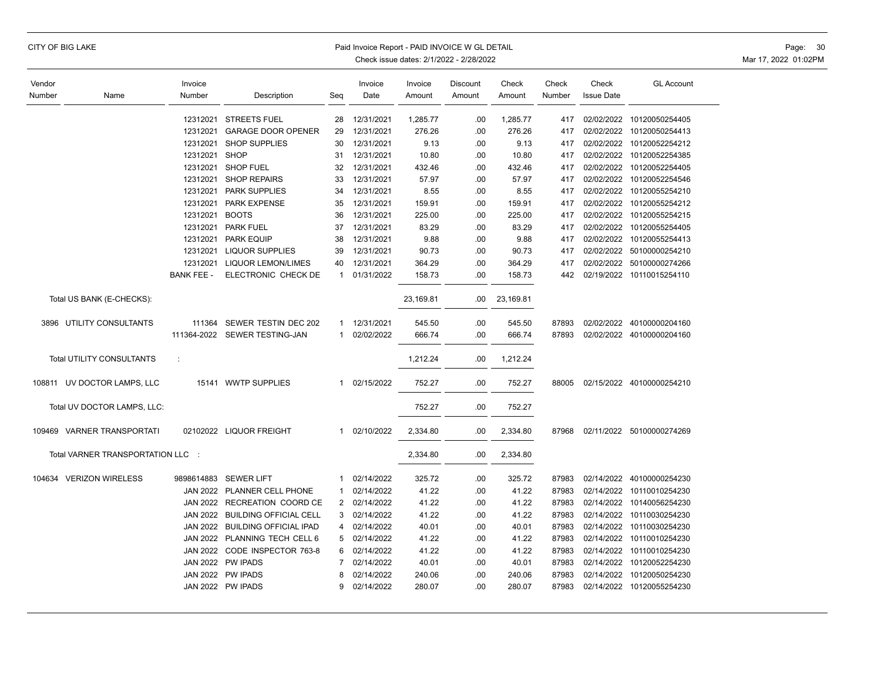| Check issue dates: 2/1/2022 - 2/28/2022 |                                        |                   |                               |     |                 |                   |                    |                 |                 |                            |                           |
|-----------------------------------------|----------------------------------------|-------------------|-------------------------------|-----|-----------------|-------------------|--------------------|-----------------|-----------------|----------------------------|---------------------------|
| Vendor<br>Number                        | Name                                   | Invoice<br>Number | Description                   | Seq | Invoice<br>Date | Invoice<br>Amount | Discount<br>Amount | Check<br>Amount | Check<br>Number | Check<br><b>Issue Date</b> | <b>GL Account</b>         |
|                                         |                                        | 12312021          | <b>STREETS FUEL</b>           | 28  | 12/31/2021      | 1,285.77          | .00                | 1,285.77        | 417             | 02/02/2022                 | 10120050254405            |
|                                         |                                        | 12312021          | <b>GARAGE DOOR OPENER</b>     | 29  | 12/31/2021      | 276.26            | .00                | 276.26          | 417             | 02/02/2022                 | 10120050254413            |
|                                         |                                        | 12312021          | <b>SHOP SUPPLIES</b>          | 30  | 12/31/2021      | 9.13              | .00                | 9.13            | 417             | 02/02/2022                 | 10120052254212            |
|                                         |                                        | 12312021          | <b>SHOP</b>                   | 31  | 12/31/2021      | 10.80             | .00                | 10.80           | 417             | 02/02/2022                 | 10120052254385            |
|                                         |                                        | 12312021          | <b>SHOP FUEL</b>              | 32  | 12/31/2021      | 432.46            | .00                | 432.46          | 417             | 02/02/2022                 | 10120052254405            |
|                                         |                                        | 12312021          | <b>SHOP REPAIRS</b>           | 33  | 12/31/2021      | 57.97             | .00                | 57.97           | 417             | 02/02/2022                 | 10120052254546            |
|                                         |                                        | 12312021          | <b>PARK SUPPLIES</b>          | 34  | 12/31/2021      | 8.55              | .00                | 8.55            | 417             | 02/02/2022                 | 10120055254210            |
|                                         |                                        | 12312021          | PARK EXPENSE                  | 35  | 12/31/2021      | 159.91            | .00                | 159.91          | 417             | 02/02/2022                 | 10120055254212            |
|                                         |                                        | 12312021          | <b>BOOTS</b>                  | 36  | 12/31/2021      | 225.00            | .00                | 225.00          | 417             | 02/02/2022                 | 10120055254215            |
|                                         |                                        | 12312021          | <b>PARK FUEL</b>              | 37  | 12/31/2021      | 83.29             | .00                | 83.29           | 417             | 02/02/2022                 | 10120055254405            |
|                                         |                                        | 12312021          | <b>PARK EQUIP</b>             | 38  | 12/31/2021      | 9.88              | .00                | 9.88            | 417             | 02/02/2022                 | 10120055254413            |
|                                         |                                        | 12312021          | LIQUOR SUPPLIES               | 39  | 12/31/2021      | 90.73             | .00                | 90.73           | 417             | 02/02/2022                 | 50100000254210            |
|                                         |                                        | 12312021          | <b>LIQUOR LEMON/LIMES</b>     | 40  | 12/31/2021      | 364.29            | .00                | 364.29          | 417             | 02/02/2022                 | 50100000274266            |
|                                         |                                        | <b>BANK FEE -</b> | ELECTRONIC CHECK DE           | 1   | 01/31/2022      | 158.73            | .00                | 158.73          | 442             | 02/19/2022                 | 10110015254110            |
|                                         | Total US BANK (E-CHECKS):              |                   |                               |     |                 | 23,169.81         | .00                | 23,169.81       |                 |                            |                           |
| 3896                                    | UTILITY CONSULTANTS                    | 111364            | SEWER TESTIN DEC 202          | 1   | 12/31/2021      | 545.50            | .00                | 545.50          | 87893           | 02/02/2022                 | 40100000204160            |
|                                         |                                        | 111364-2022       | SEWER TESTING-JAN             | 1   | 02/02/2022      | 666.74            | .00                | 666.74          | 87893           |                            | 02/02/2022 40100000204160 |
|                                         | <b>Total UTILITY CONSULTANTS</b>       | $\mathcal{I}$     |                               |     |                 | 1,212.24          | .00                | 1,212.24        |                 |                            |                           |
|                                         | 108811 UV DOCTOR LAMPS, LLC            |                   | 15141 WWTP SUPPLIES           | 1   | 02/15/2022      | 752.27            | .00                | 752.27          | 88005           |                            | 02/15/2022 40100000254210 |
|                                         | Total UV DOCTOR LAMPS, LLC:            |                   |                               |     |                 | 752.27            | .00                | 752.27          |                 |                            |                           |
|                                         | 109469 VARNER TRANSPORTATI             |                   | 02102022 LIQUOR FREIGHT       | 1   | 02/10/2022      | 2,334.80          | .00                | 2,334.80        | 87968           | 02/11/2022                 | 50100000274269            |
|                                         | <b>Total VARNER TRANSPORTATION LLC</b> |                   |                               |     |                 | 2,334.80          | .00                | 2,334.80        |                 |                            |                           |
|                                         | 104634 VERIZON WIRELESS                | 9898614883        | <b>SEWER LIFT</b>             | -1  | 02/14/2022      | 325.72            | .00                | 325.72          | 87983           | 02/14/2022                 | 40100000254230            |
|                                         |                                        |                   | JAN 2022 PLANNER CELL PHONE   |     | 02/14/2022      | 41.22             | .00                | 41.22           | 87983           | 02/14/2022                 | 10110010254230            |
|                                         |                                        |                   | JAN 2022 RECREATION COORD CE  | 2   | 02/14/2022      | 41.22             | .00                | 41.22           | 87983           | 02/14/2022                 | 10140056254230            |
|                                         |                                        | <b>JAN 2022</b>   | <b>BUILDING OFFICIAL CELL</b> | 3   | 02/14/2022      | 41.22             | .00                | 41.22           | 87983           | 02/14/2022                 | 10110030254230            |
|                                         |                                        | <b>JAN 2022</b>   | <b>BUILDING OFFICIAL IPAD</b> | 4   | 02/14/2022      | 40.01             | .00                | 40.01           | 87983           | 02/14/2022                 | 10110030254230            |
|                                         |                                        |                   | JAN 2022 PLANNING TECH CELL 6 | 5   | 02/14/2022      | 41.22             | .00                | 41.22           | 87983           | 02/14/2022                 | 10110010254230            |
|                                         |                                        |                   | JAN 2022 CODE INSPECTOR 763-8 | 6   | 02/14/2022      | 41.22             | .00                | 41.22           | 87983           | 02/14/2022                 | 10110010254230            |
|                                         |                                        |                   | JAN 2022 PW IPADS             | 7   | 02/14/2022      | 40.01             | .00                | 40.01           | 87983           | 02/14/2022                 | 10120052254230            |
|                                         |                                        |                   | JAN 2022 PW IPADS             |     | 02/14/2022      | 240.06            | .00                | 240.06          | 87983           | 02/14/2022                 | 10120050254230            |
|                                         |                                        |                   | JAN 2022 PW IPADS             | 9   | 02/14/2022      | 280.07            | .00                | 280.07          | 87983           | 02/14/2022                 | 10120055254230            |

CITY OF BIG LAKE **Example 20 The Second Act of the Second Act of Paid Invoice Report - PAID INVOICE W GL DETAIL** 

Mar 17, 2022 01:02PM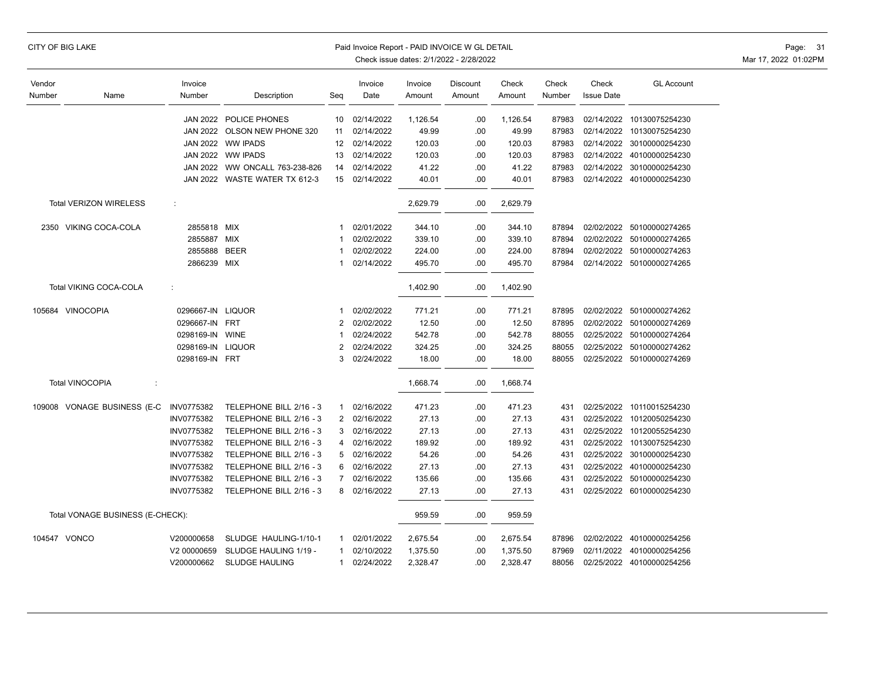|  |  |  | CITY OF BIG LAKE |
|--|--|--|------------------|
|--|--|--|------------------|

### Paid Invoice Report - PAID INVOICE W GL DETAIL **Page:** 31

Check issue dates: 2/1/2022 - 2/28/2022 <br>
Mar 17, 2022 01:02PM

-

| Vendor           |                                  | Invoice              |                                |                | Invoice    | Invoice  | Discount | Check    | Check  | Check             | <b>GL Account</b>         |
|------------------|----------------------------------|----------------------|--------------------------------|----------------|------------|----------|----------|----------|--------|-------------------|---------------------------|
| Number           | Name                             | Number               | Description                    | Seq            | Date       | Amount   | Amount   | Amount   | Number | <b>Issue Date</b> |                           |
|                  |                                  |                      |                                |                |            |          |          |          |        |                   |                           |
|                  |                                  | <b>JAN 2022</b>      | POLICE PHONES                  | 10             | 02/14/2022 | 1,126.54 | .00      | 1,126.54 | 87983  | 02/14/2022        | 10130075254230            |
|                  |                                  |                      | JAN 2022 OLSON NEW PHONE 320   | 11             | 02/14/2022 | 49.99    | .00      | 49.99    | 87983  | 02/14/2022        | 10130075254230            |
|                  |                                  |                      | JAN 2022 WW IPADS              | 12             | 02/14/2022 | 120.03   | .00      | 120.03   | 87983  | 02/14/2022        | 30100000254230            |
|                  |                                  | <b>JAN 2022</b>      | <b>WW IPADS</b>                | 13             | 02/14/2022 | 120.03   | .00      | 120.03   | 87983  | 02/14/2022        | 40100000254230            |
|                  |                                  |                      | JAN 2022 WW ONCALL 763-238-826 | 14             | 02/14/2022 | 41.22    | .00      | 41.22    | 87983  | 02/14/2022        | 30100000254230            |
|                  |                                  |                      | JAN 2022 WASTE WATER TX 612-3  | 15             | 02/14/2022 | 40.01    | .00      | 40.01    | 87983  | 02/14/2022        | 40100000254230            |
|                  | <b>Total VERIZON WIRELESS</b>    | ÷                    |                                |                |            | 2,629.79 | .00      | 2,629.79 |        |                   |                           |
|                  | 2350 VIKING COCA-COLA            | 2855818 MIX          |                                | -1             | 02/01/2022 | 344.10   | .00      | 344.10   | 87894  | 02/02/2022        | 50100000274265            |
|                  |                                  | 2855887 MIX          |                                | -1             | 02/02/2022 | 339.10   | .00.     | 339.10   | 87894  |                   | 02/02/2022 50100000274265 |
|                  |                                  | 2855888              | <b>BEER</b>                    | 1              | 02/02/2022 | 224.00   | .00      | 224.00   | 87894  | 02/02/2022        | 50100000274263            |
|                  |                                  | 2866239 MIX          |                                | 1              | 02/14/2022 | 495.70   | .00      | 495.70   | 87984  | 02/14/2022        | 50100000274265            |
|                  | Total VIKING COCA-COLA           | $\ddot{\phantom{a}}$ |                                |                |            | 1,402.90 | .00      | 1,402.90 |        |                   |                           |
|                  |                                  |                      |                                |                |            |          |          |          |        |                   |                           |
| 105684 VINOCOPIA |                                  | 0296667-IN           | <b>LIQUOR</b>                  | -1             | 02/02/2022 | 771.21   | .00      | 771.21   | 87895  | 02/02/2022        | 50100000274262            |
|                  |                                  | 0296667-IN           | <b>FRT</b>                     | $\overline{2}$ | 02/02/2022 | 12.50    | .00      | 12.50    | 87895  | 02/02/2022        | 50100000274269            |
|                  |                                  | 0298169-IN           | WINE                           | -1             | 02/24/2022 | 542.78   | .00      | 542.78   | 88055  | 02/25/2022        | 50100000274264            |
|                  |                                  | 0298169-IN LIQUOR    |                                | $\overline{2}$ | 02/24/2022 | 324.25   | .00      | 324.25   | 88055  | 02/25/2022        | 50100000274262            |
|                  |                                  | 0298169-IN FRT       |                                | 3              | 02/24/2022 | 18.00    | .00      | 18.00    | 88055  | 02/25/2022        | 50100000274269            |
|                  | <b>Total VINOCOPIA</b><br>÷      |                      |                                |                |            | 1,668.74 | .00      | 1,668.74 |        |                   |                           |
|                  | 109008 VONAGE BUSINESS (E-C      | INV0775382           | TELEPHONE BILL 2/16 - 3        | $\mathbf{1}$   | 02/16/2022 | 471.23   | .00      | 471.23   | 431    | 02/25/2022        | 10110015254230            |
|                  |                                  | INV0775382           | TELEPHONE BILL 2/16 - 3        | $\overline{2}$ | 02/16/2022 | 27.13    | .00      | 27.13    | 431    | 02/25/2022        | 10120050254230            |
|                  |                                  | INV0775382           | TELEPHONE BILL 2/16 - 3        | 3              | 02/16/2022 | 27.13    | .00      | 27.13    | 431    | 02/25/2022        | 10120055254230            |
|                  |                                  | INV0775382           | TELEPHONE BILL 2/16 - 3        | 4              | 02/16/2022 | 189.92   | .00      | 189.92   | 431    | 02/25/2022        | 10130075254230            |
|                  |                                  | INV0775382           | TELEPHONE BILL 2/16 - 3        | 5              | 02/16/2022 | 54.26    | .00      | 54.26    | 431    | 02/25/2022        | 30100000254230            |
|                  |                                  | INV0775382           | TELEPHONE BILL 2/16 - 3        | 6              | 02/16/2022 | 27.13    | .00      | 27.13    | 431    | 02/25/2022        | 40100000254230            |
|                  |                                  | INV0775382           | TELEPHONE BILL 2/16 - 3        | $\overline{7}$ | 02/16/2022 | 135.66   | .00      | 135.66   | 431    | 02/25/2022        | 50100000254230            |
|                  |                                  | INV0775382           | TELEPHONE BILL 2/16 - 3        | 8              | 02/16/2022 | 27.13    | .00      | 27.13    | 431    |                   | 02/25/2022 60100000254230 |
|                  | Total VONAGE BUSINESS (E-CHECK): |                      |                                |                |            | 959.59   | .00      | 959.59   |        |                   |                           |
| 104547 VONCO     |                                  | V200000658           | SLUDGE HAULING-1/10-1          | 1              | 02/01/2022 | 2,675.54 | .00      | 2,675.54 | 87896  | 02/02/2022        | 40100000254256            |
|                  |                                  | V2 00000659          | SLUDGE HAULING 1/19 -          | -1             | 02/10/2022 | 1,375.50 | .00      | 1,375.50 | 87969  | 02/11/2022        | 40100000254256            |
|                  |                                  | V200000662           | <b>SLUDGE HAULING</b>          | 1              | 02/24/2022 | 2,328.47 | .00      | 2,328.47 | 88056  | 02/25/2022        | 40100000254256            |